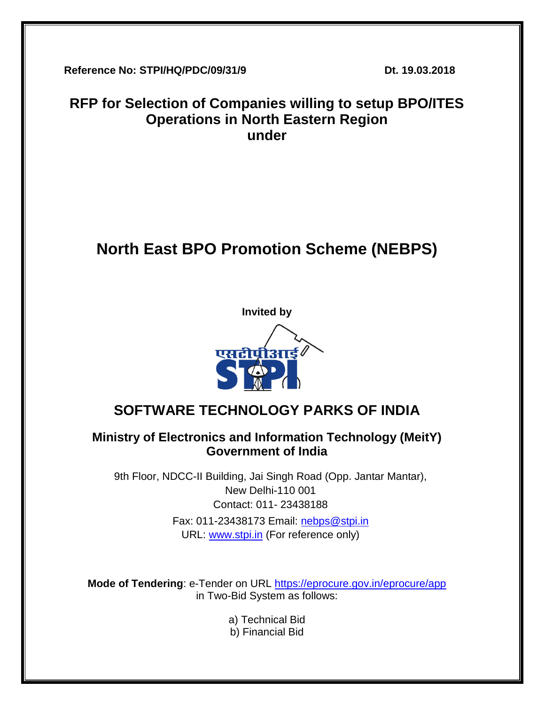**Reference No: STPI/HQ/PDC/09/31/9 Dt. 19.03.2018**

# **RFP for Selection of Companies willing to setup BPO/ITES Operations in North Eastern Region under**

# **North East BPO Promotion Scheme (NEBPS)**



# **SOFTWARE TECHNOLOGY PARKS OF INDIA**

## **Ministry of Electronics and Information Technology (MeitY) Government of India**

9th Floor, NDCC-II Building, Jai Singh Road (Opp. Jantar Mantar), New Delhi-110 001 Contact: 011- 23438188 Fax: 011-23438173 Email: [nebps@stpi.in](mailto:nebps@stpi.in) URL: [www.stpi.in](http://www.stpi.in/) (For reference only)

**Mode of Tendering**: e-Tender on URL<https://eprocure.gov.in/eprocure/app> in Two-Bid System as follows:

- a) Technical Bid
- b) Financial Bid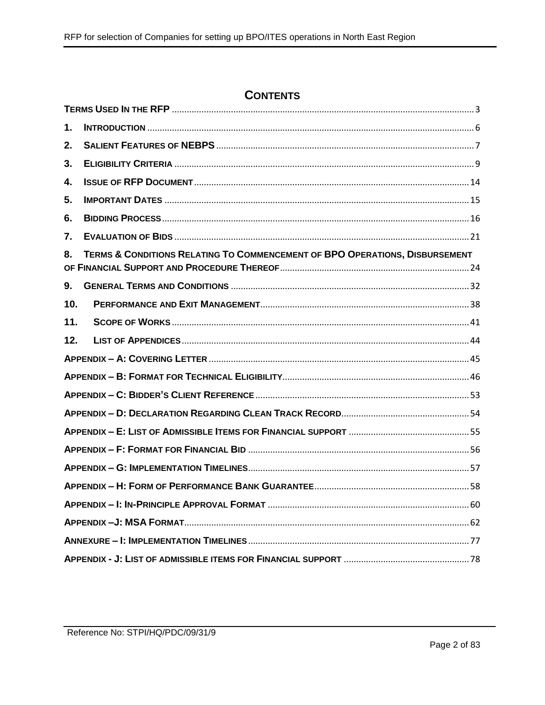## **CONTENTS**

| 1.  |                                                                             |  |  |  |
|-----|-----------------------------------------------------------------------------|--|--|--|
| 2.  |                                                                             |  |  |  |
| 3.  |                                                                             |  |  |  |
| 4.  |                                                                             |  |  |  |
| 5.  |                                                                             |  |  |  |
| 6.  |                                                                             |  |  |  |
| 7.  |                                                                             |  |  |  |
| 8.  | TERMS & CONDITIONS RELATING TO COMMENCEMENT OF BPO OPERATIONS, DISBURSEMENT |  |  |  |
| 9.  |                                                                             |  |  |  |
| 10. |                                                                             |  |  |  |
| 11. |                                                                             |  |  |  |
| 12. |                                                                             |  |  |  |
|     |                                                                             |  |  |  |
|     |                                                                             |  |  |  |
|     |                                                                             |  |  |  |
|     |                                                                             |  |  |  |
|     |                                                                             |  |  |  |
|     |                                                                             |  |  |  |
|     |                                                                             |  |  |  |
|     |                                                                             |  |  |  |
|     |                                                                             |  |  |  |
|     |                                                                             |  |  |  |
|     |                                                                             |  |  |  |
|     |                                                                             |  |  |  |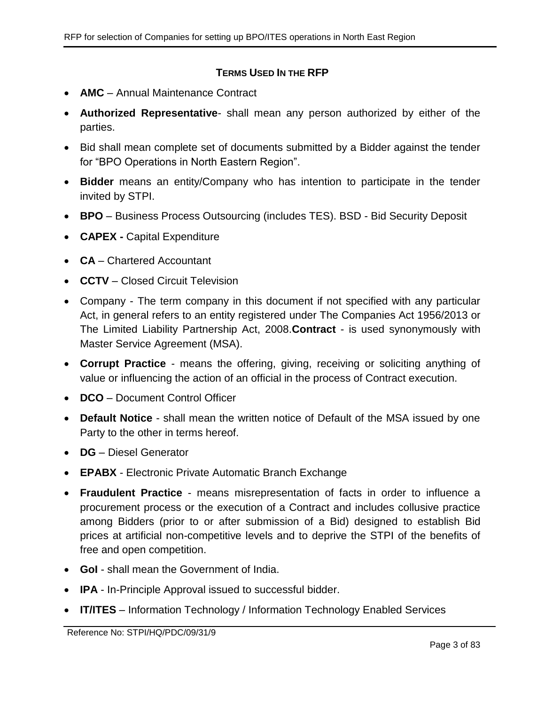#### **TERMS USED IN THE RFP**

- <span id="page-2-0"></span>**AMC** – Annual Maintenance Contract
- **Authorized Representative** shall mean any person authorized by either of the parties.
- Bid shall mean complete set of documents submitted by a Bidder against the tender for "BPO Operations in North Eastern Region".
- **Bidder** means an entity/Company who has intention to participate in the tender invited by STPI.
- **BPO** Business Process Outsourcing (includes TES). BSD Bid Security Deposit
- **CAPEX -** Capital Expenditure
- **CA** Chartered Accountant
- **CCTV** Closed Circuit Television
- Company The term company in this document if not specified with any particular Act, in general refers to an entity registered under The Companies Act 1956/2013 or The Limited Liability Partnership Act, 2008.**Contract** - is used synonymously with Master Service Agreement (MSA).
- **Corrupt Practice** means the offering, giving, receiving or soliciting anything of value or influencing the action of an official in the process of Contract execution.
- **DCO** Document Control Officer
- **Default Notice** shall mean the written notice of Default of the MSA issued by one Party to the other in terms hereof.
- **DG** Diesel Generator
- **EPABX** Electronic Private Automatic Branch Exchange
- **Fraudulent Practice** means misrepresentation of facts in order to influence a procurement process or the execution of a Contract and includes collusive practice among Bidders (prior to or after submission of a Bid) designed to establish Bid prices at artificial non-competitive levels and to deprive the STPI of the benefits of free and open competition.
- **GoI** shall mean the Government of India.
- **IPA** In-Principle Approval issued to successful bidder.
- **IT/ITES** Information Technology / Information Technology Enabled Services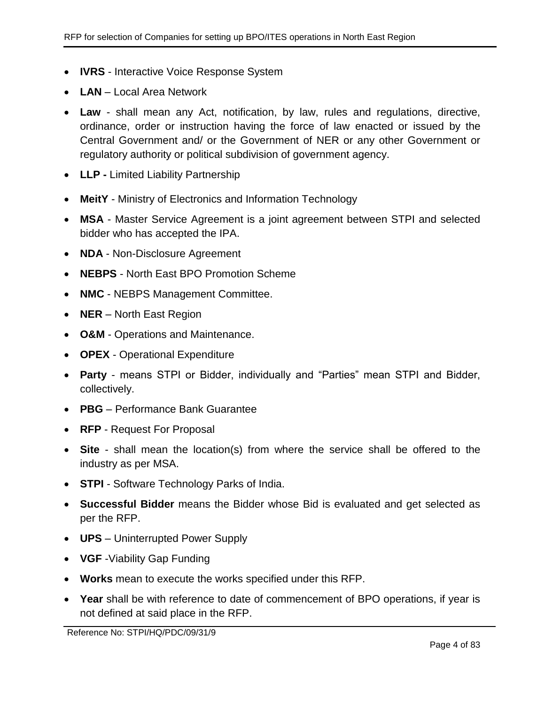- **IVRS** Interactive Voice Response System
- **LAN** Local Area Network
- **Law** shall mean any Act, notification, by law, rules and regulations, directive, ordinance, order or instruction having the force of law enacted or issued by the Central Government and/ or the Government of NER or any other Government or regulatory authority or political subdivision of government agency.
- **LLP -** Limited Liability Partnership
- **MeitY** Ministry of Electronics and Information Technology
- **MSA** Master Service Agreement is a joint agreement between STPI and selected bidder who has accepted the IPA.
- **NDA** Non-Disclosure Agreement
- **NEBPS** North East BPO Promotion Scheme
- **NMC** NEBPS Management Committee.
- **NER** North East Region
- **O&M** Operations and Maintenance.
- **OPEX** Operational Expenditure
- **Party** means STPI or Bidder, individually and "Parties" mean STPI and Bidder, collectively.
- **PBG** Performance Bank Guarantee
- **RFP** Request For Proposal
- **Site** shall mean the location(s) from where the service shall be offered to the industry as per MSA.
- **STPI** Software Technology Parks of India.
- **Successful Bidder** means the Bidder whose Bid is evaluated and get selected as per the RFP.
- **UPS** Uninterrupted Power Supply
- **VGF** -Viability Gap Funding
- **Works** mean to execute the works specified under this RFP.
- **Year** shall be with reference to date of commencement of BPO operations, if year is not defined at said place in the RFP.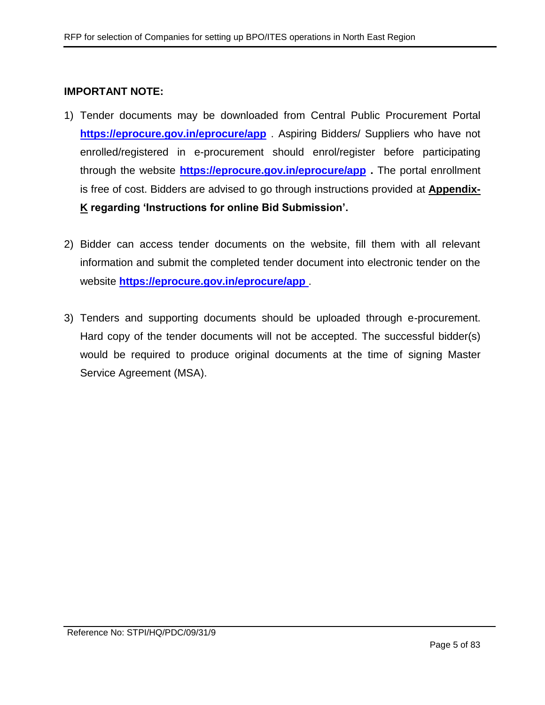#### **IMPORTANT NOTE:**

- 1) Tender documents may be downloaded from Central Public Procurement Portal **<https://eprocure.gov.in/eprocure/app>** . Aspiring Bidders/ Suppliers who have not enrolled/registered in e-procurement should enrol/register before participating through the website **<https://eprocure.gov.in/eprocure/app> .** The portal enrollment is free of cost. Bidders are advised to go through instructions provided at **[Appendix-](#page-78-0)[K](#page-78-0) regarding 'Instructions for online Bid Submission'.**
- 2) Bidder can access tender documents on the website, fill them with all relevant information and submit the completed tender document into electronic tender on the website **<https://eprocure.gov.in/eprocure/app>** .
- 3) Tenders and supporting documents should be uploaded through e-procurement. Hard copy of the tender documents will not be accepted. The successful bidder(s) would be required to produce original documents at the time of signing Master Service Agreement (MSA).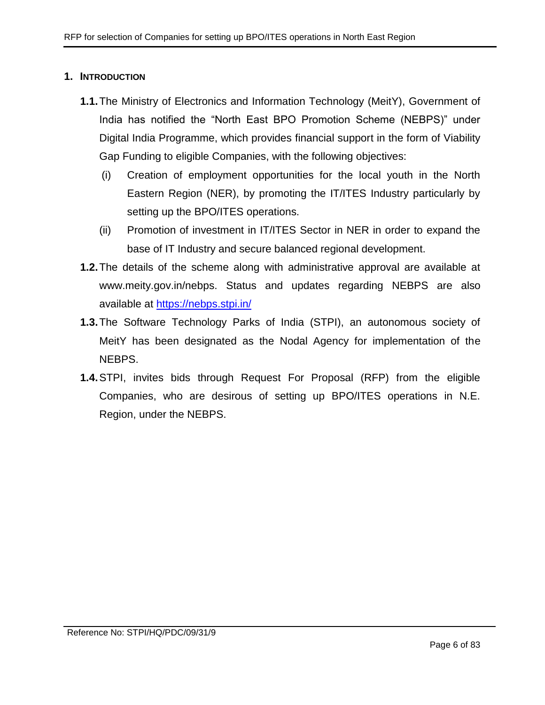#### <span id="page-5-0"></span>**1. INTRODUCTION**

- **1.1.**The Ministry of Electronics and Information Technology (MeitY), Government of India has notified the "North East BPO Promotion Scheme (NEBPS)" under Digital India Programme, which provides financial support in the form of Viability Gap Funding to eligible Companies, with the following objectives:
	- (i) Creation of employment opportunities for the local youth in the North Eastern Region (NER), by promoting the IT/ITES Industry particularly by setting up the BPO/ITES operations.
	- (ii) Promotion of investment in IT/ITES Sector in NER in order to expand the base of IT Industry and secure balanced regional development.
- **1.2.**The details of the scheme along with administrative approval are available at www.meity.gov.in/nebps. Status and updates regarding NEBPS are also available at [https://nebps.stpi.in/](https://ibps.stpi.in/)
- **1.3.**The Software Technology Parks of India (STPI), an autonomous society of MeitY has been designated as the Nodal Agency for implementation of the NEBPS.
- **1.4.**STPI, invites bids through Request For Proposal (RFP) from the eligible Companies, who are desirous of setting up BPO/ITES operations in N.E. Region, under the NEBPS.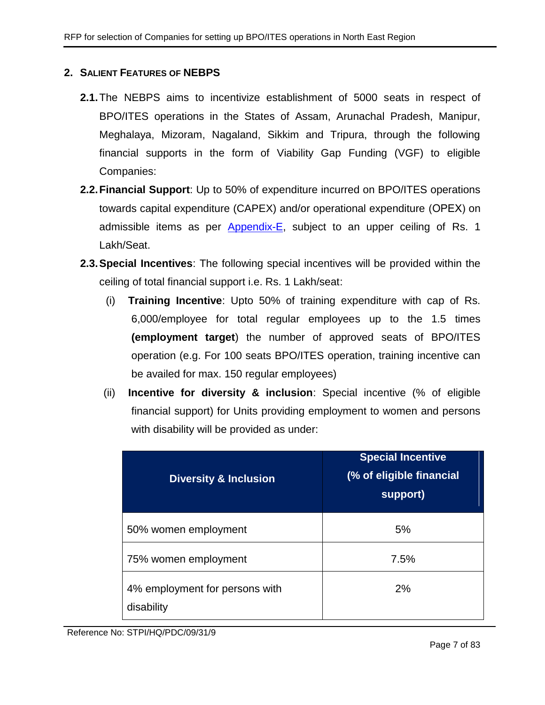## <span id="page-6-0"></span>**2. SALIENT FEATURES OF NEBPS**

- **2.1.**The NEBPS aims to incentivize establishment of 5000 seats in respect of BPO/ITES operations in the States of Assam, Arunachal Pradesh, Manipur, Meghalaya, Mizoram, Nagaland, Sikkim and Tripura, through the following financial supports in the form of Viability Gap Funding (VGF) to eligible Companies:
- **2.2.Financial Support**: Up to 50% of expenditure incurred on BPO/ITES operations towards capital expenditure (CAPEX) and/or operational expenditure (ОРЕХ) on admissible items as per [Appendix-E,](#page-54-0) subject to an upper ceiling of Rs. 1 Lakh/Seat.
- <span id="page-6-1"></span>**2.3.Special Incentives**: The following special incentives will be provided within the ceiling of total financial support i.e. Rs. 1 Lakh/seat:
	- (i) **Training Incentive**: Upto 50% of training expenditure with cap of Rs. 6,000/employee for total regular employees up to the 1.5 times **(employment target**) the number of approved seats of BPO/ITES operation (e.g. For 100 seats BPO/ITES operation, training incentive can be availed for max. 150 regular employees)
	- (ii) **Incentive for diversity & inclusion**: Special incentive (% of eligible financial support) for Units providing employment to women and persons with disability will be provided as under:

| <b>Diversity &amp; Inclusion</b>             | <b>Special Incentive</b><br>(% of eligible financial<br>support) |  |  |
|----------------------------------------------|------------------------------------------------------------------|--|--|
| 50% women employment                         | 5%                                                               |  |  |
| 75% women employment                         | 7.5%                                                             |  |  |
| 4% employment for persons with<br>disability | 2%                                                               |  |  |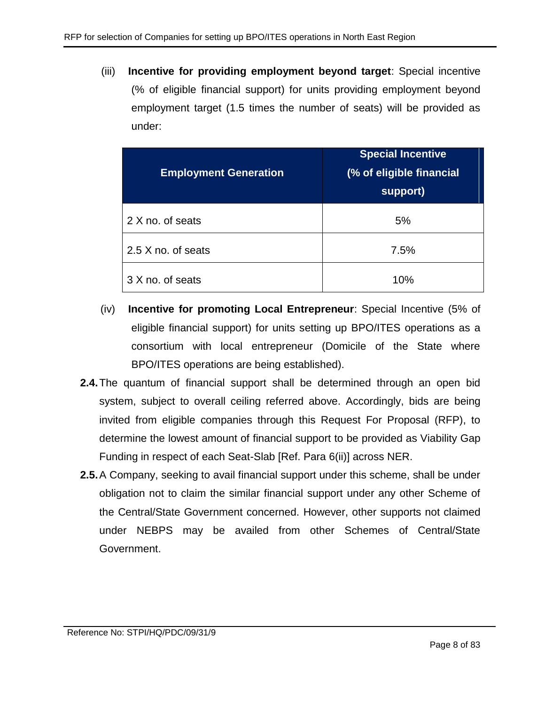(iii) **Incentive for providing employment beyond target**: Special incentive (% of eligible financial support) for units providing employment beyond employment target (1.5 times the number of seats) will be provided as under:

| <b>Employment Generation</b> | <b>Special Incentive</b><br>(% of eligible financial<br>support) |  |  |
|------------------------------|------------------------------------------------------------------|--|--|
| 2 X no. of seats             | 5%                                                               |  |  |
| 2.5 X no. of seats           | 7.5%                                                             |  |  |
| 3 X no. of seats             | 10%                                                              |  |  |

- (iv) **Incentive for promoting Local Entrepreneur**: Special Incentive (5% of eligible financial support) for units setting up BPO/ITES operations as a consortium with local entrepreneur (Domicile of the State where BPO/ITES operations are being established).
- **2.4.**The quantum of financial support shall be determined through an open bid system, subject to overall ceiling referred above. Accordingly, bids are being invited from eligible companies through this Request For Proposal (RFP), to determine the lowest amount of financial support to be provided as Viability Gap Funding in respect of each Seat-Slab [Ref. Para [6\(ii\)\]](#page-15-1) across NER.
- **2.5.**A Company, seeking to avail financial support under this scheme, shall be under obligation not to claim the similar financial support under any other Scheme of the Central/State Government concerned. However, other supports not claimed under NEBPS may be availed from other Schemes of Central/State Government.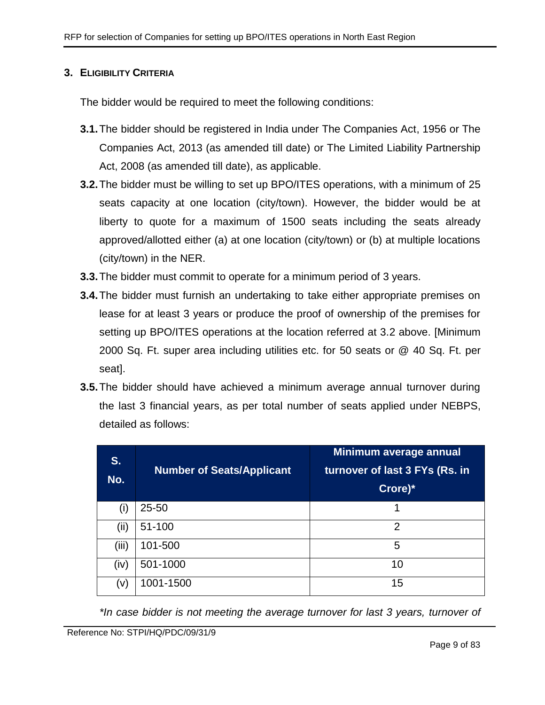#### <span id="page-8-0"></span>**3. ELIGIBILITY CRITERIA**

The bidder would be required to meet the following conditions:

- **3.1.**The bidder should be registered in India under The Companies Act, 1956 or The Companies Act, 2013 (as amended till date) or The Limited Liability Partnership Act, 2008 (as amended till date), as applicable.
- **3.2.**The bidder must be willing to set up BPO/ITES operations, with a minimum of 25 seats capacity at one location (city/town). However, the bidder would be at liberty to quote for a maximum of 1500 seats including the seats already approved/allotted either (a) at one location (city/town) or (b) at multiple locations (city/town) in the NER.
- **3.3.**The bidder must commit to operate for a minimum period of 3 years.
- **3.4.**The bidder must furnish an undertaking to take either appropriate premises on lease for at least 3 years or produce the proof of ownership of the premises for setting up BPO/ITES operations at the location referred at 3.2 above. [Minimum 2000 Sq. Ft. super area including utilities etc. for 50 seats or @ 40 Sq. Ft. per seat].
- **3.5.**The bidder should have achieved a minimum average annual turnover during the last 3 financial years, as per total number of seats applied under NEBPS, detailed as follows:

| S.<br>No. | <b>Number of Seats/Applicant</b> | Minimum average annual<br>turnover of last 3 FYs (Rs. in<br>Crore)* |
|-----------|----------------------------------|---------------------------------------------------------------------|
| (i)       | $25 - 50$                        | 1                                                                   |
| (ii)      | 51-100                           | $\overline{2}$                                                      |
| (iii)     | 101-500                          | 5                                                                   |
| (iv)      | 501-1000                         | 10                                                                  |
| (v)       | 1001-1500                        | 15                                                                  |

*\*In case bidder is not meeting the average turnover for last 3 years, turnover of*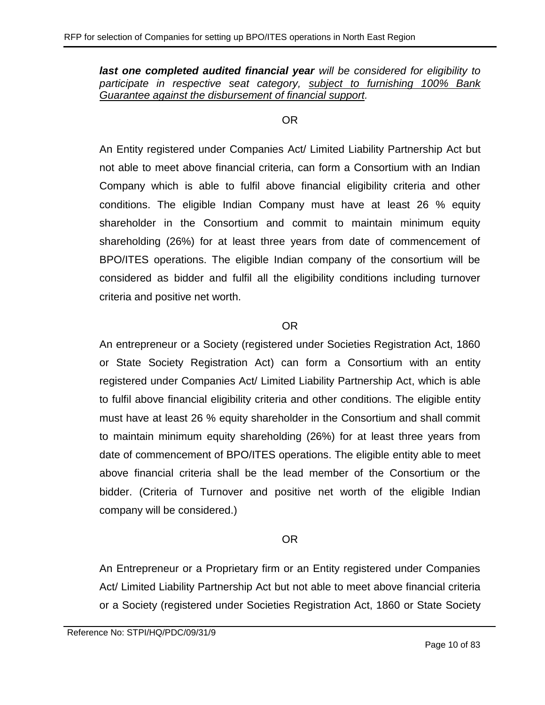*last one completed audited financial year will be considered for eligibility to participate in respective seat category, subject to furnishing 100% Bank Guarantee against the disbursement of financial support.*

#### OR

An Entity registered under Companies Act/ Limited Liability Partnership Act but not able to meet above financial criteria, can form a Consortium with an Indian Company which is able to fulfil above financial eligibility criteria and other conditions. The eligible Indian Company must have at least 26 % equity shareholder in the Consortium and commit to maintain minimum equity shareholding (26%) for at least three years from date of commencement of BPO/ITES operations. The eligible Indian company of the consortium will be considered as bidder and fulfil all the eligibility conditions including turnover criteria and positive net worth.

#### OR

An entrepreneur or a Society (registered under Societies Registration Act, 1860 or State Society Registration Act) can form a Consortium with an entity registered under Companies Act/ Limited Liability Partnership Act, which is able to fulfil above financial eligibility criteria and other conditions. The eligible entity must have at least 26 % equity shareholder in the Consortium and shall commit to maintain minimum equity shareholding (26%) for at least three years from date of commencement of BPO/ITES operations. The eligible entity able to meet above financial criteria shall be the lead member of the Consortium or the bidder. (Criteria of Turnover and positive net worth of the eligible Indian company will be considered.)

## OR

An Entrepreneur or a Proprietary firm or an Entity registered under Companies Act/ Limited Liability Partnership Act but not able to meet above financial criteria or a Society (registered under Societies Registration Act, 1860 or State Society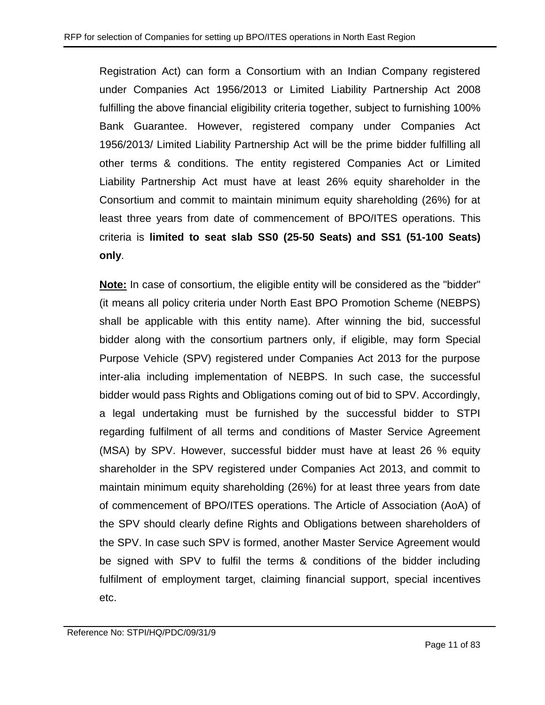Registration Act) can form a Consortium with an Indian Company registered under Companies Act 1956/2013 or Limited Liability Partnership Act 2008 fulfilling the above financial eligibility criteria together, subject to furnishing 100% Bank Guarantee. However, registered company under Companies Act 1956/2013/ Limited Liability Partnership Act will be the prime bidder fulfilling all other terms & conditions. The entity registered Companies Act or Limited Liability Partnership Act must have at least 26% equity shareholder in the Consortium and commit to maintain minimum equity shareholding (26%) for at least three years from date of commencement of BPO/ITES operations. This criteria is **limited to seat slab SS0 (25-50 Seats) and SS1 (51-100 Seats) only**.

**Note:** In case of consortium, the eligible entity will be considered as the "bidder" (it means all policy criteria under North East BPO Promotion Scheme (NEBPS) shall be applicable with this entity name). After winning the bid, successful bidder along with the consortium partners only, if eligible, may form Special Purpose Vehicle (SPV) registered under Companies Act 2013 for the purpose inter-alia including implementation of NEBPS. In such case, the successful bidder would pass Rights and Obligations coming out of bid to SPV. Accordingly, a legal undertaking must be furnished by the successful bidder to STPI regarding fulfilment of all terms and conditions of Master Service Agreement (MSA) by SPV. However, successful bidder must have at least 26 % equity shareholder in the SPV registered under Companies Act 2013, and commit to maintain minimum equity shareholding (26%) for at least three years from date of commencement of BPO/ITES operations. The Article of Association (AoA) of the SPV should clearly define Rights and Obligations between shareholders of the SPV. In case such SPV is formed, another Master Service Agreement would be signed with SPV to fulfil the terms & conditions of the bidder including fulfilment of employment target, claiming financial support, special incentives etc.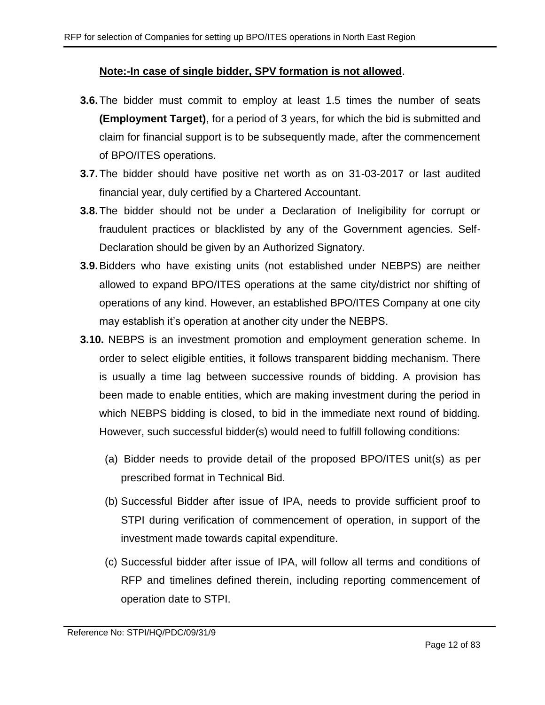#### **Note:-In case of single bidder, SPV formation is not allowed**.

- **3.6.**The bidder must commit to employ at least 1.5 times the number of seats **(Employment Target)**, for a period of 3 years, for which the bid is submitted and claim for financial support is to be subsequently made, after the commencement of BPO/ITES operations.
- **3.7.**The bidder should have positive net worth as on 31-03-2017 or last audited financial year, duly certified by a Chartered Accountant.
- **3.8.**The bidder should not be under a Declaration of Ineligibility for corrupt or fraudulent practices or blacklisted by any of the Government agencies. Self-Declaration should be given by an Authorized Signatory.
- **3.9.**Bidders who have existing units (not established under NEBPS) are neither allowed to expand BPO/ITES operations at the same city/district nor shifting of operations of any kind. However, an established BPO/ITES Company at one city may establish it's operation at another city under the NEBPS.
- <span id="page-11-0"></span>**3.10.** NEBPS is an investment promotion and employment generation scheme. In order to select eligible entities, it follows transparent bidding mechanism. There is usually a time lag between successive rounds of bidding. A provision has been made to enable entities, which are making investment during the period in which NEBPS bidding is closed, to bid in the immediate next round of bidding. However, such successful bidder(s) would need to fulfill following conditions:
	- (a) Bidder needs to provide detail of the proposed BPO/ITES unit(s) as per prescribed format in Technical Bid.
	- (b) Successful Bidder after issue of IPA, needs to provide sufficient proof to STPI during verification of commencement of operation, in support of the investment made towards capital expenditure.
	- (c) Successful bidder after issue of IPA, will follow all terms and conditions of RFP and timelines defined therein, including reporting commencement of operation date to STPI.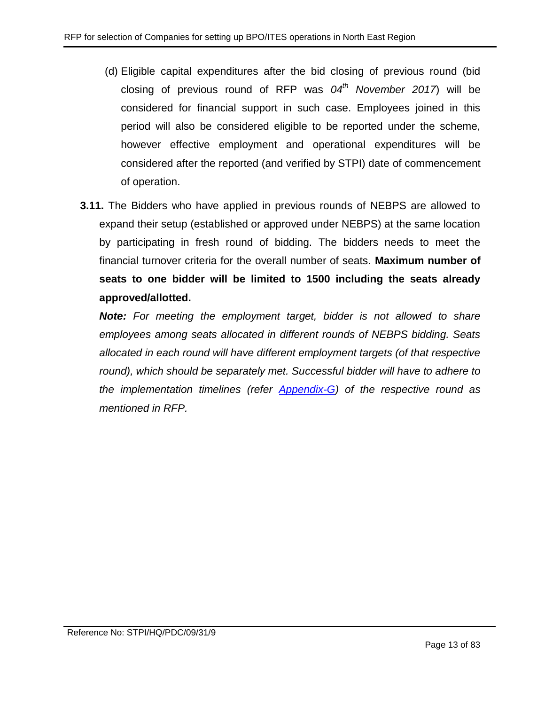- (d) Eligible capital expenditures after the bid closing of previous round (bid closing of previous round of RFP was *04th November 2017*) will be considered for financial support in such case. Employees joined in this period will also be considered eligible to be reported under the scheme, however effective employment and operational expenditures will be considered after the reported (and verified by STPI) date of commencement of operation.
- **3.11.** The Bidders who have applied in previous rounds of NEBPS are allowed to expand their setup (established or approved under NEBPS) at the same location by participating in fresh round of bidding. The bidders needs to meet the financial turnover criteria for the overall number of seats. **Maximum number of seats to one bidder will be limited to 1500 including the seats already approved/allotted.**

*Note: For meeting the employment target, bidder is not allowed to share employees among seats allocated in different rounds of NEBPS bidding. Seats allocated in each round will have different employment targets (of that respective*  round), which should be separately met. Successful bidder will have to adhere to *the implementation timelines (refer [Appendix-G\)](#page-56-0) of the respective round as mentioned in RFP.*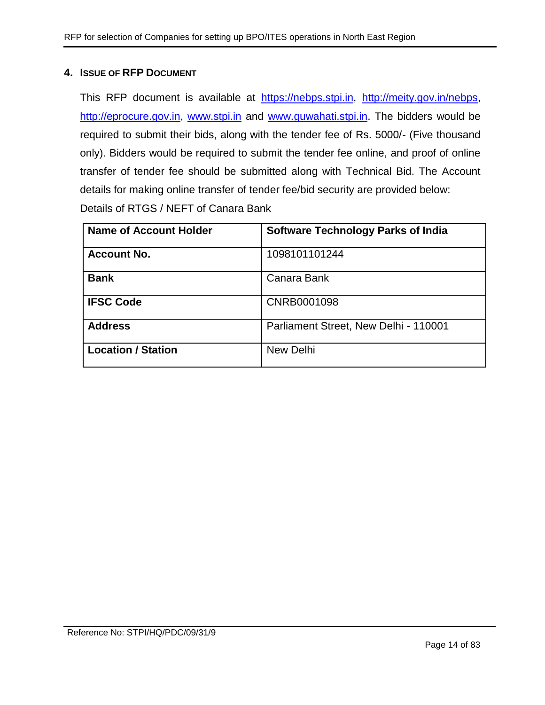#### <span id="page-13-0"></span>**4. ISSUE OF RFP DOCUMENT**

This RFP document is available at [https://nebps.stpi.in,](https://nebps.stpi.in/) [http://meity.gov.in/nebps,](http://meity.gov.in/nebps) [http://eprocure.gov.in,](http://eprocure.gov.in/) [www.stpi.in](http://www.stpi.in/) and [www.guwahati.stpi.in.](http://www.guwahati.stpi.in/) The bidders would be required to submit their bids, along with the tender fee of Rs. 5000/- (Five thousand only). Bidders would be required to submit the tender fee online, and proof of online transfer of tender fee should be submitted along with Technical Bid. The Account details for making online transfer of tender fee/bid security are provided below: Details of RTGS / NEFT of Canara Bank

| <b>Name of Account Holder</b> | <b>Software Technology Parks of India</b> |
|-------------------------------|-------------------------------------------|
| <b>Account No.</b>            | 1098101101244                             |
| <b>Bank</b>                   | Canara Bank                               |
| <b>IFSC Code</b>              | CNRB0001098                               |
| <b>Address</b>                | Parliament Street, New Delhi - 110001     |
| <b>Location / Station</b>     | New Delhi                                 |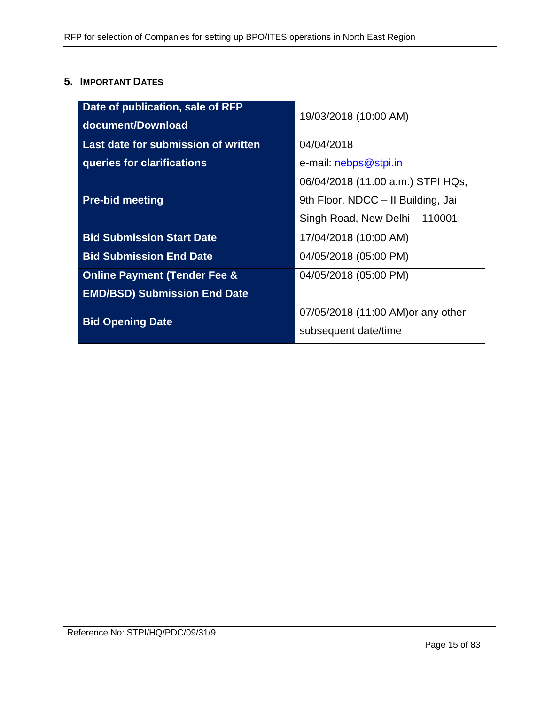## <span id="page-14-0"></span>**5. IMPORTANT DATES**

| Date of publication, sale of RFP        | 19/03/2018 (10:00 AM)              |  |
|-----------------------------------------|------------------------------------|--|
| document/Download                       |                                    |  |
| Last date for submission of written     | 04/04/2018                         |  |
| queries for clarifications              | e-mail: nebps@stpi.in              |  |
|                                         | 06/04/2018 (11.00 a.m.) STPI HQs,  |  |
| <b>Pre-bid meeting</b>                  | 9th Floor, NDCC - Il Building, Jai |  |
|                                         | Singh Road, New Delhi - 110001.    |  |
| <b>Bid Submission Start Date</b>        | 17/04/2018 (10:00 AM)              |  |
| <b>Bid Submission End Date</b>          | 04/05/2018 (05:00 PM)              |  |
| <b>Online Payment (Tender Fee &amp;</b> | 04/05/2018 (05:00 PM)              |  |
| <b>EMD/BSD) Submission End Date</b>     |                                    |  |
| <b>Bid Opening Date</b>                 | 07/05/2018 (11:00 AM) or any other |  |
|                                         | subsequent date/time               |  |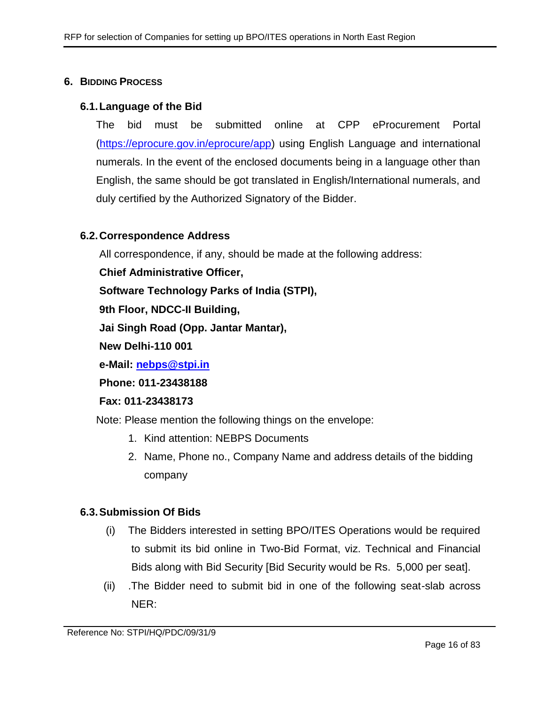#### <span id="page-15-0"></span>**6. BIDDING PROCESS**

#### **6.1.Language of the Bid**

The bid must be submitted online at CPP eProcurement Portal [\(https://eprocure.gov.in/eprocure/app\)](https://eprocure.gov.in/eprocure/app) using English Language and international numerals. In the event of the enclosed documents being in a language other than English, the same should be got translated in English/International numerals, and duly certified by the Authorized Signatory of the Bidder.

## **6.2.Correspondence Address**

All correspondence, if any, should be made at the following address:

**Chief Administrative Officer,**

**Software Technology Parks of India (STPI),**

**9th Floor, NDCC-II Building,** 

**Jai Singh Road (Opp. Jantar Mantar),**

**New Delhi-110 001**

**e-Mail: [nebps@stpi.in](mailto:nebps@stpi.in)**

**Phone: 011-23438188**

#### **Fax: 011-23438173**

Note: Please mention the following things on the envelope:

- 1. Kind attention: NEBPS Documents
- 2. Name, Phone no., Company Name and address details of the bidding company

#### **6.3.Submission Of Bids**

- (i) The Bidders interested in setting BPO/ITES Operations would be required to submit its bid online in Two-Bid Format, viz. Technical and Financial Bids along with Bid Security [Bid Security would be Rs. 5,000 per seat].
- <span id="page-15-1"></span>(ii) .The Bidder need to submit bid in one of the following seat-slab across NER: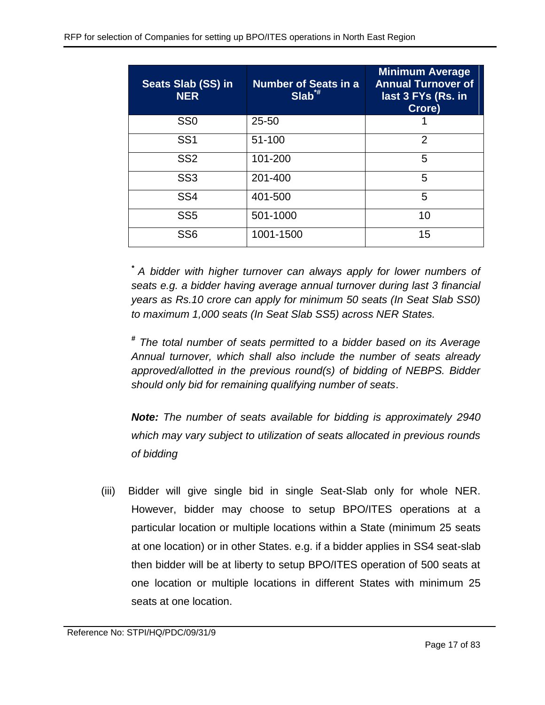| Seats Slab (SS) in<br><b>NER</b> | <b>Number of Seats in a</b><br>$ Slab^{*}  $ | <b>Minimum Average</b><br><b>Annual Turnover of</b><br>last 3 FYs (Rs. in<br>Crore) |
|----------------------------------|----------------------------------------------|-------------------------------------------------------------------------------------|
| SS <sub>0</sub>                  | $25 - 50$                                    |                                                                                     |
| SS <sub>1</sub>                  | 51-100                                       | $\overline{2}$                                                                      |
| SS <sub>2</sub>                  | 101-200                                      | 5                                                                                   |
| SS <sub>3</sub>                  | 201-400                                      | 5                                                                                   |
| SS <sub>4</sub>                  | 401-500                                      | 5                                                                                   |
| SS <sub>5</sub>                  | 501-1000                                     | 10                                                                                  |
| SS <sub>6</sub>                  | 1001-1500                                    | 15                                                                                  |

*\* A bidder with higher turnover can always apply for lower numbers of seats e.g. a bidder having average annual turnover during last 3 financial years as Rs.10 crore can apply for minimum 50 seats (In Seat Slab SS0) to maximum 1,000 seats (In Seat Slab SS5) across NER States.*

*# The total number of seats permitted to a bidder based on its Average Annual turnover, which shall also include the number of seats already approved/allotted in the previous round(s) of bidding of NEBPS. Bidder should only bid for remaining qualifying number of seats*.

*Note: The number of seats available for bidding is approximately 2940 which may vary subject to utilization of seats allocated in previous rounds of bidding*

(iii) Bidder will give single bid in single Seat-Slab only for whole NER. However, bidder may choose to setup BPO/ITES operations at a particular location or multiple locations within a State (minimum 25 seats at one location) or in other States. e.g. if a bidder applies in SS4 seat-slab then bidder will be at liberty to setup BPO/ITES operation of 500 seats at one location or multiple locations in different States with minimum 25 seats at one location.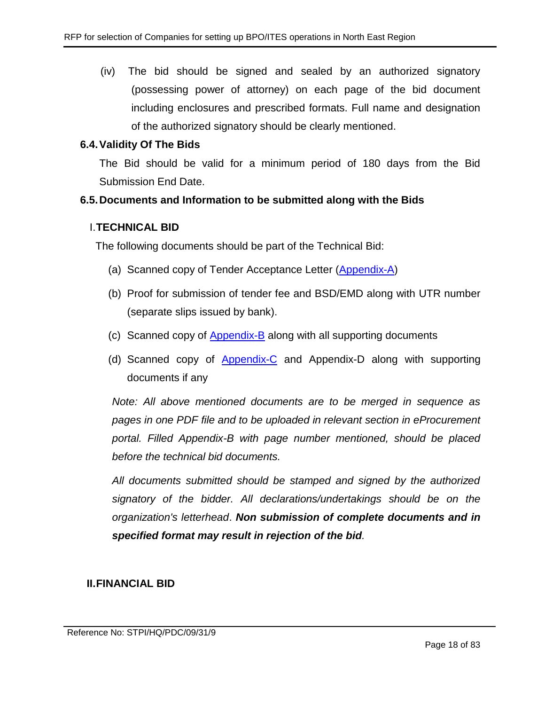(iv) The bid should be signed and sealed by an authorized signatory (possessing power of attorney) on each page of the bid document including enclosures and prescribed formats. Full name and designation of the authorized signatory should be clearly mentioned.

## **6.4.Validity Of The Bids**

The Bid should be valid for a minimum period of 180 days from the Bid Submission End Date.

## **6.5.Documents and Information to be submitted along with the Bids**

#### I.**TECHNICAL BID**

The following documents should be part of the Technical Bid:

- (a) Scanned copy of Tender Acceptance Letter [\(Appendix-A\)](#page-44-0)
- (b) Proof for submission of tender fee and BSD/EMD along with UTR number (separate slips issued by bank).
- (c) Scanned copy of [Appendix-B](#page-45-0) along with all supporting documents
- (d) Scanned copy of [Appendix-C](#page-52-0) and Appendix-D along with supporting documents if any

*Note: All above mentioned documents are to be merged in sequence as pages in one PDF file and to be uploaded in relevant section in eProcurement portal. Filled Appendix-B with page number mentioned, should be placed before the technical bid documents.* 

*All documents submitted should be stamped and signed by the authorized signatory of the bidder. All declarations/undertakings should be on the organization's letterhead*. *Non submission of complete documents and in specified format may result in rejection of the bid.*

#### **II.FINANCIAL BID**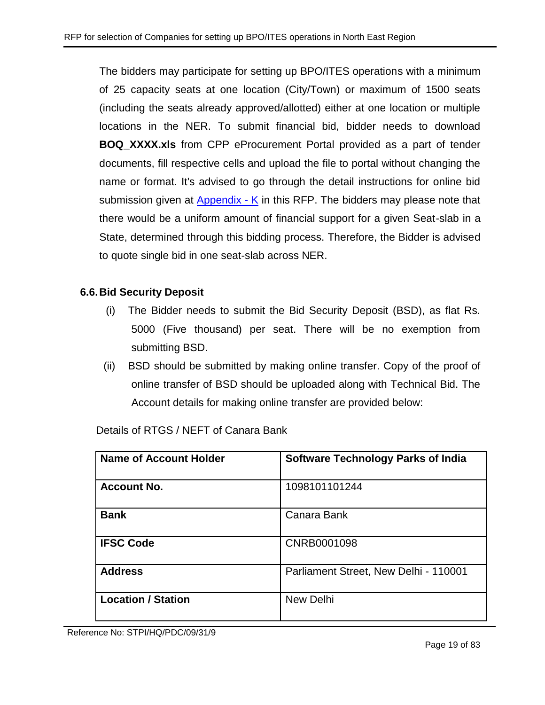The bidders may participate for setting up BPO/ITES operations with a minimum of 25 capacity seats at one location (City/Town) or maximum of 1500 seats (including the seats already approved/allotted) either at one location or multiple locations in the NER. To submit financial bid, bidder needs to download **BOQ\_XXXX.xls** from CPP eProcurement Portal provided as a part of tender documents, fill respective cells and upload the file to portal without changing the name or format. It's advised to go through the detail instructions for online bid submission given at [Appendix -](#page-78-0) K in this RFP. The bidders may please note that there would be a uniform amount of financial support for a given Seat-slab in a State, determined through this bidding process. Therefore, the Bidder is advised to quote single bid in one seat-slab across NER.

#### **6.6.Bid Security Deposit**

- (i) The Bidder needs to submit the Bid Security Deposit (BSD), as flat Rs. 5000 (Five thousand) per seat. There will be no exemption from submitting BSD.
- (ii) BSD should be submitted by making online transfer. Copy of the proof of online transfer of BSD should be uploaded along with Technical Bid. The Account details for making online transfer are provided below:

| Name of Account Holder    | <b>Software Technology Parks of India</b> |
|---------------------------|-------------------------------------------|
| <b>Account No.</b>        | 1098101101244                             |
| <b>Bank</b>               | Canara Bank                               |
| <b>IFSC Code</b>          | CNRB0001098                               |
| <b>Address</b>            | Parliament Street, New Delhi - 110001     |
| <b>Location / Station</b> | New Delhi                                 |

Details of RTGS / NEFT of Canara Bank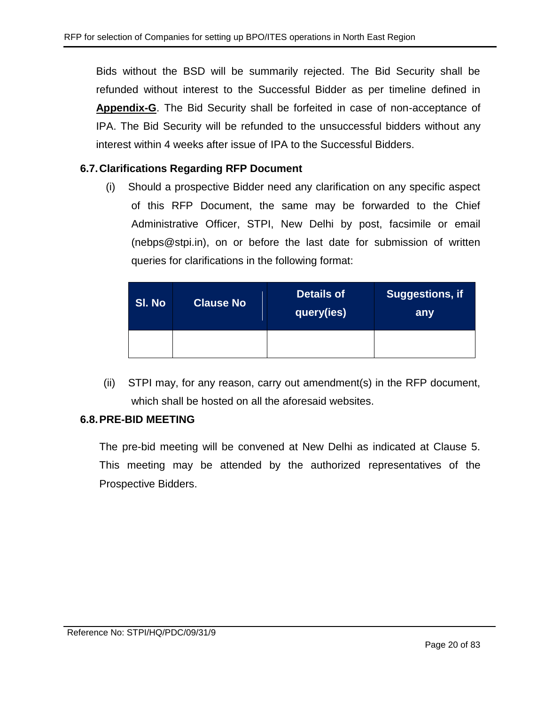Bids without the BSD will be summarily rejected. The Bid Security shall be refunded without interest to the Successful Bidder as per timeline defined in **Appendix-G**. The Bid Security shall be forfeited in case of non-acceptance of IPA. The Bid Security will be refunded to the unsuccessful bidders without any interest within 4 weeks after issue of IPA to the Successful Bidders.

## **6.7.Clarifications Regarding RFP Document**

(i) Should a prospective Bidder need any clarification on any specific aspect of this RFP Document, the same may be forwarded to the Chief Administrative Officer, STPI, New Delhi by post, facsimile or email (nebps@stpi.in), on or before the last date for submission of written queries for clarifications in the following format:

| SI. No | <b>Clause No</b> | <b>Details of</b><br> query(ies) <sup> </sup> | Suggestions, if<br>any |
|--------|------------------|-----------------------------------------------|------------------------|
|        |                  |                                               |                        |

(ii) STPI may, for any reason, carry out amendment(s) in the RFP document, which shall be hosted on all the aforesaid websites.

## **6.8.PRE-BID MEETING**

The pre-bid meeting will be convened at New Delhi as indicated at Clause 5. This meeting may be attended by the authorized representatives of the Prospective Bidders.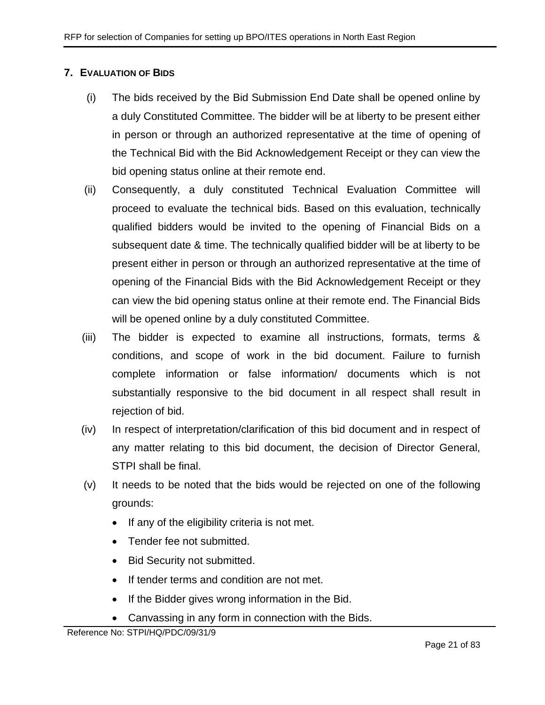## <span id="page-20-0"></span>**7. EVALUATION OF BIDS**

- (i) The bids received by the Bid Submission End Date shall be opened online by a duly Constituted Committee. The bidder will be at liberty to be present either in person or through an authorized representative at the time of opening of the Technical Bid with the Bid Acknowledgement Receipt or they can view the bid opening status online at their remote end.
- (ii) Consequently, a duly constituted Technical Evaluation Committee will proceed to evaluate the technical bids. Based on this evaluation, technically qualified bidders would be invited to the opening of Financial Bids on a subsequent date & time. The technically qualified bidder will be at liberty to be present either in person or through an authorized representative at the time of opening of the Financial Bids with the Bid Acknowledgement Receipt or they can view the bid opening status online at their remote end. The Financial Bids will be opened online by a duly constituted Committee.
- (iii) The bidder is expected to examine all instructions, formats, terms & conditions, and scope of work in the bid document. Failure to furnish complete information or false information/ documents which is not substantially responsive to the bid document in all respect shall result in rejection of bid.
- (iv) In respect of interpretation/clarification of this bid document and in respect of any matter relating to this bid document, the decision of Director General, STPI shall be final.
- (v) It needs to be noted that the bids would be rejected on one of the following grounds:
	- If any of the eligibility criteria is not met.
	- Tender fee not submitted.
	- Bid Security not submitted.
	- If tender terms and condition are not met.
	- If the Bidder gives wrong information in the Bid.
	- Canvassing in any form in connection with the Bids.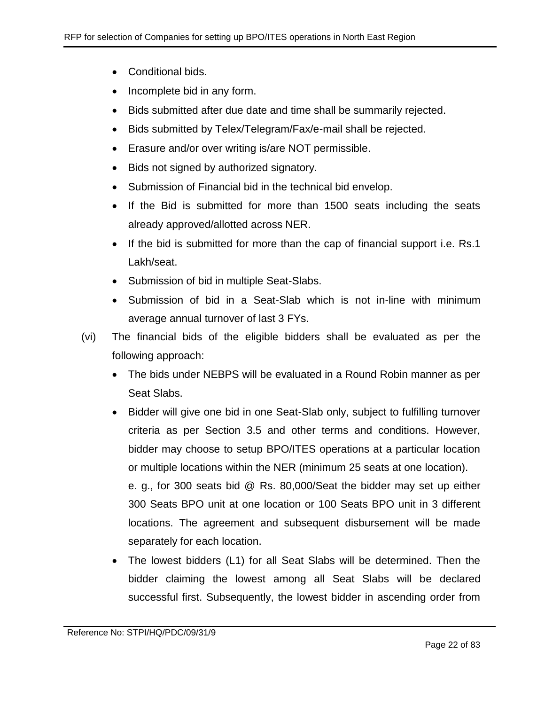- Conditional bids.
- Incomplete bid in any form.
- Bids submitted after due date and time shall be summarily rejected.
- Bids submitted by Telex/Telegram/Fax/e-mail shall be rejected.
- Erasure and/or over writing is/are NOT permissible.
- Bids not signed by authorized signatory.
- Submission of Financial bid in the technical bid envelop.
- If the Bid is submitted for more than 1500 seats including the seats already approved/allotted across NER.
- If the bid is submitted for more than the cap of financial support i.e. Rs.1 Lakh/seat.
- Submission of bid in multiple Seat-Slabs.
- Submission of bid in a Seat-Slab which is not in-line with minimum average annual turnover of last 3 FYs.
- (vi) The financial bids of the eligible bidders shall be evaluated as per the following approach:
	- The bids under NEBPS will be evaluated in a Round Robin manner as per Seat Slabs.
	- Bidder will give one bid in one Seat-Slab only, subject to fulfilling turnover criteria as per Section 3.5 and other terms and conditions. However, bidder may choose to setup BPO/ITES operations at a particular location or multiple locations within the NER (minimum 25 seats at one location). e. g., for 300 seats bid @ Rs. 80,000/Seat the bidder may set up either 300 Seats BPO unit at one location or 100 Seats BPO unit in 3 different locations. The agreement and subsequent disbursement will be made separately for each location.
	- The lowest bidders (L1) for all Seat Slabs will be determined. Then the bidder claiming the lowest among all Seat Slabs will be declared successful first. Subsequently, the lowest bidder in ascending order from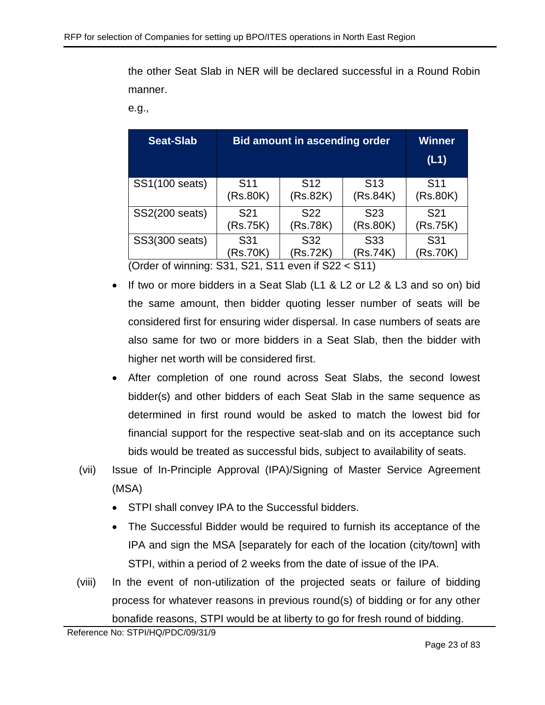the other Seat Slab in NER will be declared successful in a Round Robin manner.

e.g.,

| Seat-Slab                | <b>Bid amount in ascending order</b>                       | <b>Winner</b><br>(L1)       |                             |                             |
|--------------------------|------------------------------------------------------------|-----------------------------|-----------------------------|-----------------------------|
| SS1(100 seats)           | S <sub>11</sub><br>(Rs.80K)                                | S <sub>12</sub><br>(Rs.82K) | S <sub>13</sub><br>(Rs.84K) | S <sub>11</sub><br>(Rs.80K) |
| SS2(200 seats)           | S <sub>22</sub><br>S <sub>21</sub><br>(Rs.75K)<br>(Rs.78K) |                             | S <sub>23</sub><br>(Rs.80K) | S <sub>21</sub><br>(Rs.75K) |
| SS3(300 seats)<br>$\sim$ | S31<br>(Rs.70K)<br><u>. </u><br><b></b>                    | S <sub>31</sub><br>(Rs.70K) |                             |                             |

(Order of winning: S31, S21, S11 even if S22 < S11)

- If two or more bidders in a Seat Slab (L1 & L2 or L2 & L3 and so on) bid the same amount, then bidder quoting lesser number of seats will be considered first for ensuring wider dispersal. In case numbers of seats are also same for two or more bidders in a Seat Slab, then the bidder with higher net worth will be considered first.
- After completion of one round across Seat Slabs, the second lowest bidder(s) and other bidders of each Seat Slab in the same sequence as determined in first round would be asked to match the lowest bid for financial support for the respective seat-slab and on its acceptance such bids would be treated as successful bids, subject to availability of seats.
- (vii) Issue of In-Principle Approval (IPA)/Signing of Master Service Agreement (MSA)
	- STPI shall convey IPA to the Successful bidders.
	- The Successful Bidder would be required to furnish its acceptance of the IPA and sign the MSA [separately for each of the location (city/town] with STPI, within a period of 2 weeks from the date of issue of the IPA.
- (viii) In the event of non-utilization of the projected seats or failure of bidding process for whatever reasons in previous round(s) of bidding or for any other bonafide reasons, STPI would be at liberty to go for fresh round of bidding.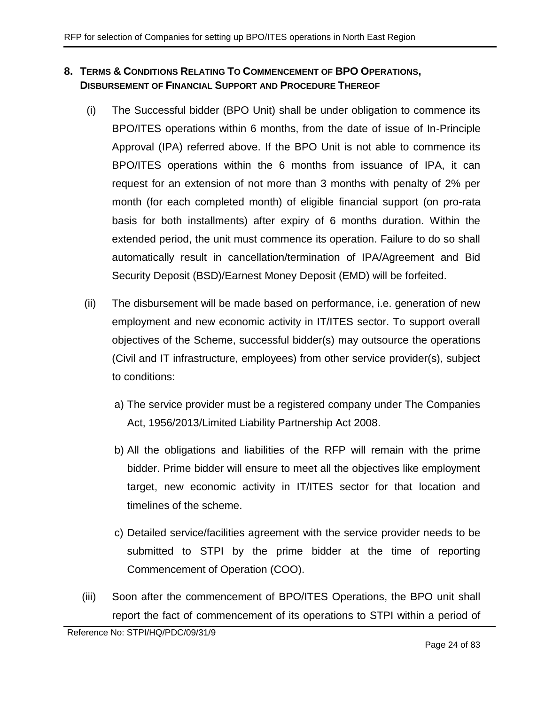## <span id="page-23-0"></span>**8. TERMS & CONDITIONS RELATING TO COMMENCEMENT OF BPO OPERATIONS, DISBURSEMENT OF FINANCIAL SUPPORT AND PROCEDURE THEREOF**

- <span id="page-23-2"></span>(i) The Successful bidder (BPO Unit) shall be under obligation to commence its BPO/ITES operations within 6 months, from the date of issue of In-Principle Approval (IPA) referred above. If the BPO Unit is not able to commence its BPO/ITES operations within the 6 months from issuance of IPA, it can request for an extension of not more than 3 months with penalty of 2% per month (for each completed month) of eligible financial support (on pro-rata basis for both installments) after expiry of 6 months duration. Within the extended period, the unit must commence its operation. Failure to do so shall automatically result in cancellation/termination of IPA/Agreement and Bid Security Deposit (BSD)/Earnest Money Deposit (EMD) will be forfeited.
- (ii) The disbursement will be made based on performance, i.e. generation of new employment and new economic activity in IT/ITES sector. To support overall objectives of the Scheme, successful bidder(s) may outsource the operations (Civil and IT infrastructure, employees) from other service provider(s), subject to conditions:
	- a) The service provider must be a registered company under The Companies Act, 1956/2013/Limited Liability Partnership Act 2008.
	- b) All the obligations and liabilities of the RFP will remain with the prime bidder. Prime bidder will ensure to meet all the objectives like employment target, new economic activity in IT/ITES sector for that location and timelines of the scheme.
	- c) Detailed service/facilities agreement with the service provider needs to be submitted to STPI by the prime bidder at the time of reporting Commencement of Operation (COO).
- <span id="page-23-1"></span>(iii) Soon after the commencement of BPO/ITES Operations, the BPO unit shall report the fact of commencement of its operations to STPI within a period of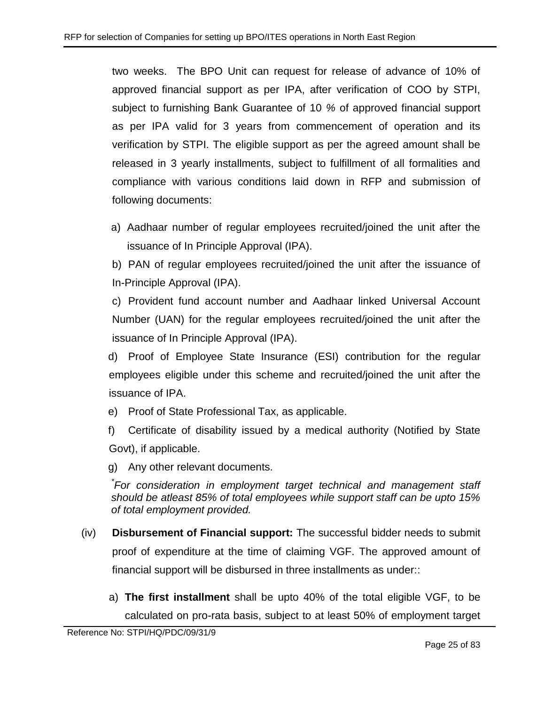two weeks. The BPO Unit can request for release of advance of 10% of approved financial support as per IPA, after verification of COO by STPI, subject to furnishing Bank Guarantee of 10 *%* of approved financial support as per IPA valid for 3 years from commencement of operation and its verification by STPI. The eligible support as per the agreed amount shall be released in 3 yearly installments, subject to fulfillment of all formalities and compliance with various conditions laid down in RFP and submission of following documents:

a) Aadhaar number of regular employees recruited/joined the unit after the issuance of In Principle Approval (IPA).

b) PAN of regular employees recruited/joined the unit after the issuance of In-Principle Approval (IPA).

c) Provident fund account number and Aadhaar linked Universal Account Number (UAN) for the regular employees recruited/joined the unit after the issuance of In Principle Approval (IPA).

d) Proof of Employee State Insurance (ESI) contribution for the regular employees eligible under this scheme and recruited/joined the unit after the issuance of IPA.

e) Proof of State Professional Tax, as applicable.

f) Certificate of disability issued by a medical authority (Notified by State Govt), if applicable.

g) Any other relevant documents.

*\* For consideration in employment target technical and management staff should be atleast 85% of total employees while support staff can be upto 15% of total employment provided.*

- (iv) **Disbursement of Financial support:** The successful bidder needs to submit proof of expenditure at the time of claiming VGF. The approved amount of financial support will be disbursed in three installments as under::
	- a) **The first installment** shall be upto 40% of the total eligible VGF, to be calculated on pro-rata basis, subject to at least 50% of employment target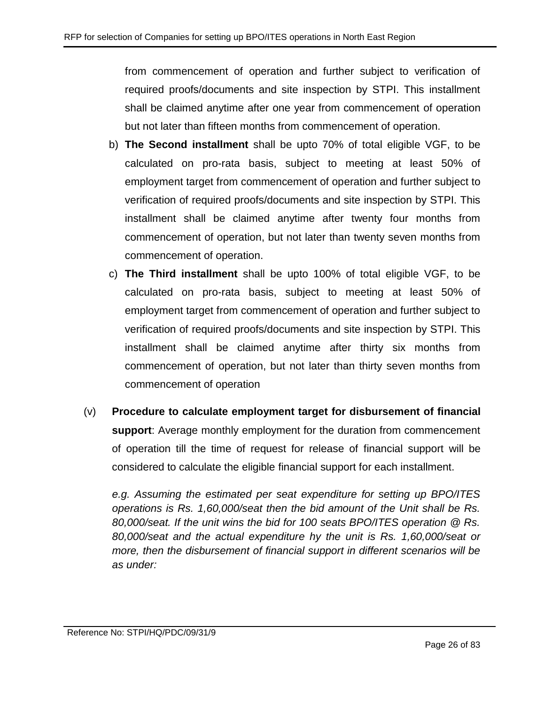from commencement of operation and further subject to verification of required proofs/documents and site inspection by STPI. This installment shall be claimed anytime after one year from commencement of operation but not later than fifteen months from commencement of operation.

- b) **The Second installment** shall be upto 70% of total eligible VGF, to be calculated on pro-rata basis, subject to meeting at least 50% of employment target from commencement of operation and further subject to verification of required proofs/documents and site inspection by STPI. This installment shall be claimed anytime after twenty four months from commencement of operation, but not later than twenty seven months from commencement of operation.
- c) **The Third installment** shall be upto 100% of total eligible VGF, to be calculated on pro-rata basis, subject to meeting at least 50% of employment target from commencement of operation and further subject to verification of required proofs/documents and site inspection by STPI. This installment shall be claimed anytime after thirty six months from commencement of operation, but not later than thirty seven months from commencement of operation
- (v) **Procedure to calculate employment target for disbursement of financial support**: Average monthly employment for the duration from commencement of operation till the time of request for release of financial support will be considered to calculate the eligible financial support for each installment.

*e.g. Assuming the estimated per seat expenditure for setting up BPO/ITES operations is Rs. 1,60,000/seat then the bid amount of the Unit shall be Rs. 80,000/seat. If the unit wins the bid for 100 seats BPO/ITES operation @ Rs. 80,000/seat and the actual expenditure hy the unit is Rs. 1,60,000/seat or more, then the disbursement of financial support in different scenarios will be as under:*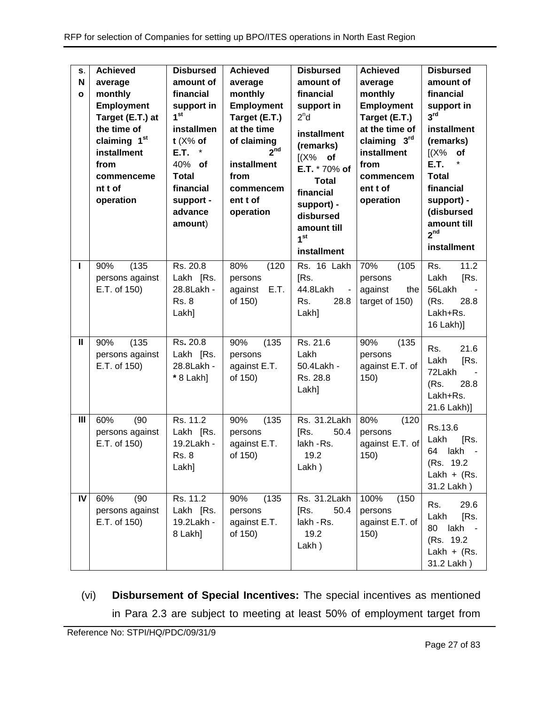| S.<br>N<br>$\mathbf{o}$ | <b>Achieved</b><br>average<br>monthly<br><b>Employment</b><br>Target (E.T.) at<br>the time of<br>claiming 1st<br>installment<br>from<br>commenceme<br>nt t of<br>operation | <b>Disbursed</b><br>amount of<br>financial<br>support in<br>1 <sup>st</sup><br>installmen<br>$t$ (X% of<br>E.T.<br>$\ast$<br>40% of<br><b>Total</b><br>financial<br>support -<br>advance<br>amount) | <b>Achieved</b><br>average<br>monthly<br><b>Employment</b><br>Target (E.T.)<br>at the time<br>of claiming<br>2 <sup>nd</sup><br>installment<br>from<br>commencem<br>ent t of<br>operation | <b>Disbursed</b><br>amount of<br>financial<br>support in<br>2 <sup>n</sup> d<br>installment<br>(remarks)<br>$[(X\%$ of<br>E.T. * 70% of<br><b>Total</b><br>financial<br>support) -<br>disbursed<br>amount till<br>1 <sup>st</sup><br>installment | <b>Achieved</b><br>average<br>monthly<br><b>Employment</b><br>Target (E.T.)<br>at the time of<br>claiming 3rd<br>installment<br>from<br>commencem<br>ent t of<br>operation | <b>Disbursed</b><br>amount of<br>financial<br>support in<br>3 <sup>rd</sup><br><b>installment</b><br>(remarks)<br>(X%<br>of<br>E.T.<br><b>Total</b><br>financial<br>support) -<br>(disbursed<br>amount till<br>2 <sup>nd</sup><br>installment |
|-------------------------|----------------------------------------------------------------------------------------------------------------------------------------------------------------------------|-----------------------------------------------------------------------------------------------------------------------------------------------------------------------------------------------------|-------------------------------------------------------------------------------------------------------------------------------------------------------------------------------------------|--------------------------------------------------------------------------------------------------------------------------------------------------------------------------------------------------------------------------------------------------|----------------------------------------------------------------------------------------------------------------------------------------------------------------------------|-----------------------------------------------------------------------------------------------------------------------------------------------------------------------------------------------------------------------------------------------|
| L                       | (135)<br>90%<br>persons against<br>E.T. of 150)                                                                                                                            | Rs. 20.8<br>Lakh [Rs.<br>28.8Lakh -<br><b>Rs. 8</b><br>Lakh]                                                                                                                                        | 80%<br>(120)<br>persons<br>E.T.<br>against<br>of 150)                                                                                                                                     | Rs. 16 Lakh<br>[Rs.<br>44.8Lakh<br>$\sim$<br>28.8<br>Rs.<br>Lakh]                                                                                                                                                                                | 70%<br>(105)<br>persons<br>against<br>the<br>target of 150)                                                                                                                | 11.2<br>Rs.<br>Lakh<br>[Rs.<br>56Lakh<br>(Rs.<br>28.8<br>Lakh+Rs.<br>16 Lakh)]                                                                                                                                                                |
| Ш                       | (135)<br>90%<br>persons against<br>E.T. of 150)                                                                                                                            | Rs. 20.8<br>Lakh [Rs.<br>28.8Lakh -<br>* 8 Lakh]                                                                                                                                                    | 90%<br>(135)<br>persons<br>against E.T.<br>of 150)                                                                                                                                        | Rs. 21.6<br>Lakh<br>50.4Lakh -<br>Rs. 28.8<br>Lakh]                                                                                                                                                                                              | 90%<br>(135)<br>persons<br>against E.T. of<br>150)                                                                                                                         | Rs.<br>21.6<br>Lakh<br>[Rs.<br>72Lakh<br>(Rs.<br>28.8<br>Lakh+Rs.<br>21.6 Lakh)]                                                                                                                                                              |
| III                     | 60%<br>(90)<br>persons against<br>E.T. of 150)                                                                                                                             | Rs. 11.2<br>Lakh [Rs.<br>19.2Lakh -<br>Rs. 8<br>Lakh]                                                                                                                                               | (135)<br>90%<br>persons<br>against E.T.<br>of 150)                                                                                                                                        | Rs. 31.2Lakh<br>[Rs.<br>50.4<br>lakh - Rs.<br>19.2<br>Lakh)                                                                                                                                                                                      | 80%<br>(120)<br>persons<br>against E.T. of<br>150)                                                                                                                         | Rs.13.6<br>Lakh<br>[Rs.<br>lakh<br>64<br>(Rs. 19.2)<br>Lakh + $(Rs.$<br>31.2 Lakh)                                                                                                                                                            |
| IV                      | 60%<br>(90)<br>persons against<br>E.T. of 150)                                                                                                                             | Rs. 11.2<br>Lakh [Rs.<br>19.2Lakh -<br>8 Lakh]                                                                                                                                                      | (135)<br>90%<br>persons<br>against E.T.<br>of 150)                                                                                                                                        | Rs. 31.2Lakh<br>[Rs.<br>50.4<br>lakh - Rs.<br>19.2<br>$Lakh$ )                                                                                                                                                                                   | 100%<br>(150)<br>persons<br>against E.T. of<br>150)                                                                                                                        | Rs.<br>29.6<br>Lakh<br>[Rs.<br>80<br>lakh -<br>(Rs. 19.2)<br>Lakh + $(Rs.$<br>31.2 Lakh)                                                                                                                                                      |

(vi) **Disbursement of Special Incentives:** The special incentives as mentioned in Para [2.3](#page-6-1) are subject to meeting at least 50% of employment target from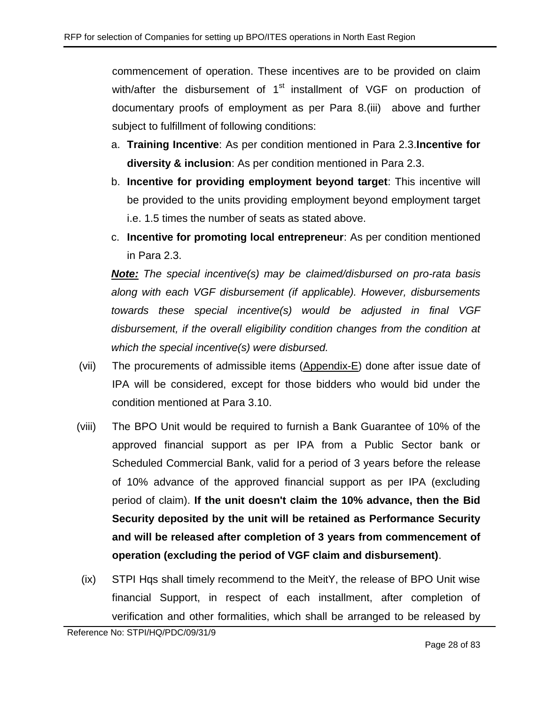commencement of operation. These incentives are to be provided on claim with/after the disbursement of 1<sup>st</sup> installment of VGF on production of documentary proofs of employment as per Para 8[.\(iii\)](#page-23-1) above and further subject to fulfillment of following conditions:

- a. **Training Incentive**: As per condition mentioned in Para [2.3.](#page-6-1)**Incentive for diversity & inclusion**: As per condition mentioned in Para [2.3.](#page-6-1)
- b. **Incentive for providing employment beyond target**: This incentive will be provided to the units providing employment beyond employment target i.e. 1.5 times the number of seats as stated above.
- c. **Incentive for promoting local entrepreneur**: As per condition mentioned in Para [2.3.](#page-6-1)

*Note: The special incentive(s) may be claimed/disbursed on pro-rata basis along with each VGF disbursement (if applicable). However, disbursements towards these special incentive(s) would be adjusted in final VGF disbursement, if the overall eligibility condition changes from the condition at which the special incentive(s) were disbursed.*

- (vii) The procurements of admissible items [\(Appendix-E\)](#page-54-0) done after issue date of IPA will be considered, except for those bidders who would bid under the condition mentioned at Para [3.10.](#page-11-0)
- (viii) The BPO Unit would be required to furnish a Bank Guarantee of 10% of the approved financial support as per IPA from a Public Sector bank or Scheduled Commercial Bank, valid for a period of 3 years before the release of 10% advance of the approved financial support as per IPA (excluding period of claim). **If the unit doesn't claim the 10% advance, then the Bid Security deposited by the unit will be retained as Performance Security and will be released after completion of 3 years from commencement of operation (excluding the period of VGF claim and disbursement)**.
- (ix) STPI Hqs shall timely recommend to the MeitY, the release of BPO Unit wise financial Support, in respect of each installment, after completion of verification and other formalities, which shall be arranged to be released by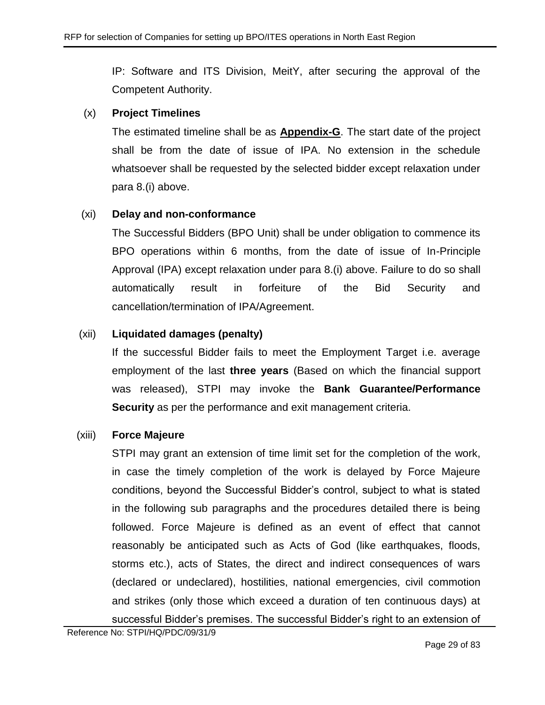IP: Software and ITS Division, MeitY, after securing the approval of the Competent Authority.

## (x) **Project Timelines**

The estimated timeline shall be as **[Appendix-G](#page-56-0)**. The start date of the project shall be from the date of issue of IPA. No extension in the schedule whatsoever shall be requested by the selected bidder except relaxation under para 8[.\(i\)](#page-23-2) above.

## (xi) **Delay and non-conformance**

The Successful Bidders (BPO Unit) shall be under obligation to commence its BPO operations within 6 months, from the date of issue of In-Principle Approval (IPA) except relaxation under para 8[.\(i\)](#page-23-2) above. Failure to do so shall automatically result in forfeiture of the Bid Security and cancellation/termination of IPA/Agreement.

## (xii) **Liquidated damages (penalty)**

If the successful Bidder fails to meet the Employment Target i.e. average employment of the last **three years** (Based on which the financial support was released), STPI may invoke the **Bank Guarantee/Performance Security** as per the performance and exit management criteria.

## (xiii) **Force Majeure**

STPI may grant an extension of time limit set for the completion of the work, in case the timely completion of the work is delayed by Force Majeure conditions, beyond the Successful Bidder's control, subject to what is stated in the following sub paragraphs and the procedures detailed there is being followed. Force Majeure is defined as an event of effect that cannot reasonably be anticipated such as Acts of God (like earthquakes, floods, storms etc.), acts of States, the direct and indirect consequences of wars (declared or undeclared), hostilities, national emergencies, civil commotion and strikes (only those which exceed a duration of ten continuous days) at successful Bidder's premises. The successful Bidder's right to an extension of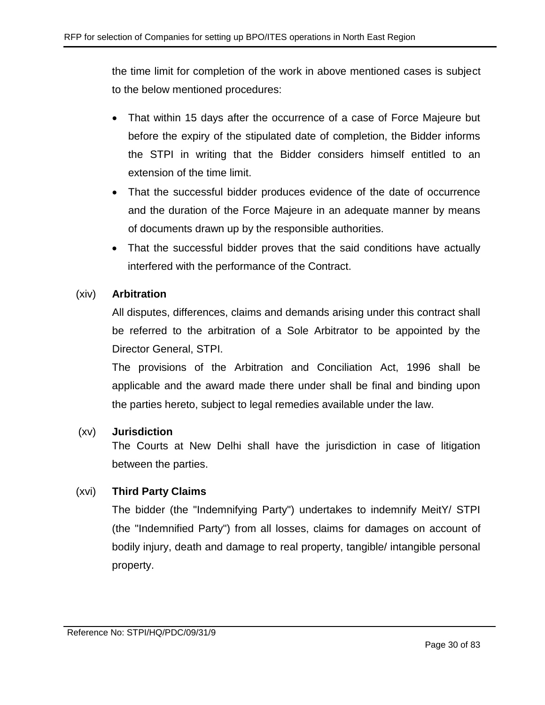the time limit for completion of the work in above mentioned cases is subject to the below mentioned procedures:

- That within 15 days after the occurrence of a case of Force Majeure but before the expiry of the stipulated date of completion, the Bidder informs the STPI in writing that the Bidder considers himself entitled to an extension of the time limit.
- That the successful bidder produces evidence of the date of occurrence and the duration of the Force Majeure in an adequate manner by means of documents drawn up by the responsible authorities.
- That the successful bidder proves that the said conditions have actually interfered with the performance of the Contract.

## (xiv) **Arbitration**

All disputes, differences, claims and demands arising under this contract shall be referred to the arbitration of a Sole Arbitrator to be appointed by the Director General, STPI.

The provisions of the Arbitration and Conciliation Act, 1996 shall be applicable and the award made there under shall be final and binding upon the parties hereto, subject to legal remedies available under the law.

## (xv) **Jurisdiction**

The Courts at New Delhi shall have the jurisdiction in case of litigation between the parties.

## (xvi) **Third Party Claims**

The bidder (the "Indemnifying Party") undertakes to indemnify MeitY/ STPI (the "Indemnified Party") from all losses, claims for damages on account of bodily injury, death and damage to real property, tangible/ intangible personal property.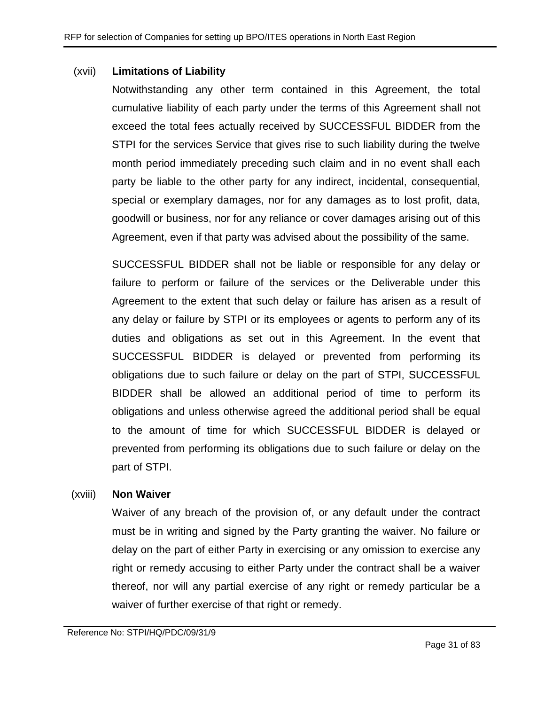#### (xvii) **Limitations of Liability**

Notwithstanding any other term contained in this Agreement, the total cumulative liability of each party under the terms of this Agreement shall not exceed the total fees actually received by SUCCESSFUL BIDDER from the STPI for the services Service that gives rise to such liability during the twelve month period immediately preceding such claim and in no event shall each party be liable to the other party for any indirect, incidental, consequential, special or exemplary damages, nor for any damages as to lost profit, data, goodwill or business, nor for any reliance or cover damages arising out of this Agreement, even if that party was advised about the possibility of the same.

SUCCESSFUL BIDDER shall not be liable or responsible for any delay or failure to perform or failure of the services or the Deliverable under this Agreement to the extent that such delay or failure has arisen as a result of any delay or failure by STPI or its employees or agents to perform any of its duties and obligations as set out in this Agreement. In the event that SUCCESSFUL BIDDER is delayed or prevented from performing its obligations due to such failure or delay on the part of STPI, SUCCESSFUL BIDDER shall be allowed an additional period of time to perform its obligations and unless otherwise agreed the additional period shall be equal to the amount of time for which SUCCESSFUL BIDDER is delayed or prevented from performing its obligations due to such failure or delay on the part of STPI.

#### (xviii) **Non Waiver**

Waiver of any breach of the provision of, or any default under the contract must be in writing and signed by the Party granting the waiver. No failure or delay on the part of either Party in exercising or any omission to exercise any right or remedy accusing to either Party under the contract shall be a waiver thereof, nor will any partial exercise of any right or remedy particular be a waiver of further exercise of that right or remedy.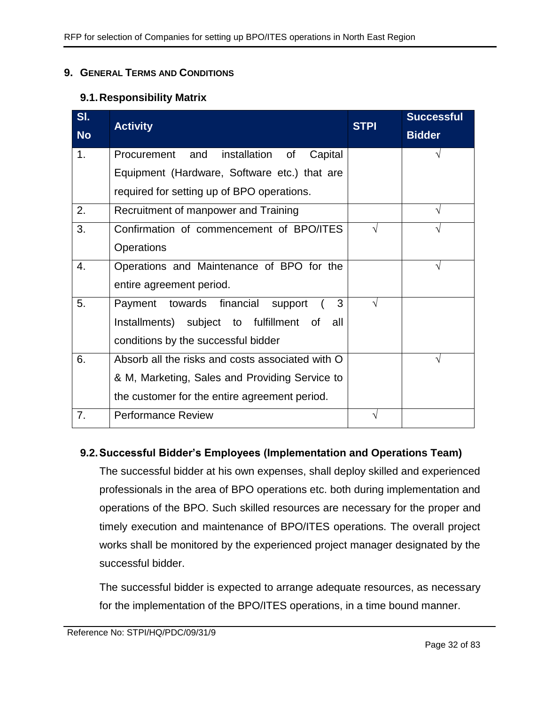#### <span id="page-31-0"></span>**9. GENERAL TERMS AND CONDITIONS**

## **9.1.Responsibility Matrix**

| SI.            |                                                  | <b>STPI</b> | <b>Successful</b> |
|----------------|--------------------------------------------------|-------------|-------------------|
| <b>No</b>      | <b>Activity</b>                                  |             | <b>Bidder</b>     |
| 1 <sub>1</sub> | Procurement and<br>installation of<br>Capital    |             |                   |
|                | Equipment (Hardware, Software etc.) that are     |             |                   |
|                | required for setting up of BPO operations.       |             |                   |
| 2.             | Recruitment of manpower and Training             |             |                   |
| 3.             | Confirmation of commencement of BPO/ITES         |             |                   |
|                | Operations                                       |             |                   |
| 4.             | Operations and Maintenance of BPO for the        |             | V                 |
|                | entire agreement period.                         |             |                   |
| 5.             | 3<br>towards financial<br>Payment<br>support     | V           |                   |
|                | Installments) subject to fulfillment of<br>all   |             |                   |
|                | conditions by the successful bidder              |             |                   |
| 6.             | Absorb all the risks and costs associated with O |             |                   |
|                | & M, Marketing, Sales and Providing Service to   |             |                   |
|                | the customer for the entire agreement period.    |             |                   |
| 7.             | <b>Performance Review</b>                        | V           |                   |

## **9.2.Successful Bidder's Employees (Implementation and Operations Team)**

The successful bidder at his own expenses, shall deploy skilled and experienced professionals in the area of BPO operations etc. both during implementation and operations of the BPO. Such skilled resources are necessary for the proper and timely execution and maintenance of BPO/ITES operations. The overall project works shall be monitored by the experienced project manager designated by the successful bidder.

The successful bidder is expected to arrange adequate resources, as necessary for the implementation of the BPO/ITES operations, in a time bound manner.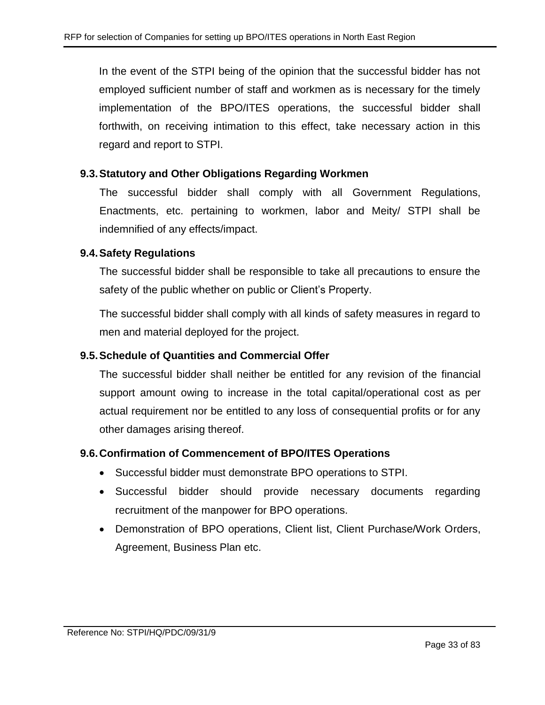In the event of the STPI being of the opinion that the successful bidder has not employed sufficient number of staff and workmen as is necessary for the timely implementation of the BPO/ITES operations, the successful bidder shall forthwith, on receiving intimation to this effect, take necessary action in this regard and report to STPI.

## **9.3.Statutory and Other Obligations Regarding Workmen**

The successful bidder shall comply with all Government Regulations, Enactments, etc. pertaining to workmen, labor and Meity/ STPI shall be indemnified of any effects/impact.

## **9.4.Safety Regulations**

The successful bidder shall be responsible to take all precautions to ensure the safety of the public whether on public or Client's Property.

The successful bidder shall comply with all kinds of safety measures in regard to men and material deployed for the project.

## **9.5.Schedule of Quantities and Commercial Offer**

The successful bidder shall neither be entitled for any revision of the financial support amount owing to increase in the total capital/operational cost as per actual requirement nor be entitled to any loss of consequential profits or for any other damages arising thereof.

#### **9.6.Confirmation of Commencement of BPO/ITES Operations**

- Successful bidder must demonstrate BPO operations to STPI.
- Successful bidder should provide necessary documents regarding recruitment of the manpower for BPO operations.
- Demonstration of BPO operations, Client list, Client Purchase/Work Orders, Agreement, Business Plan etc.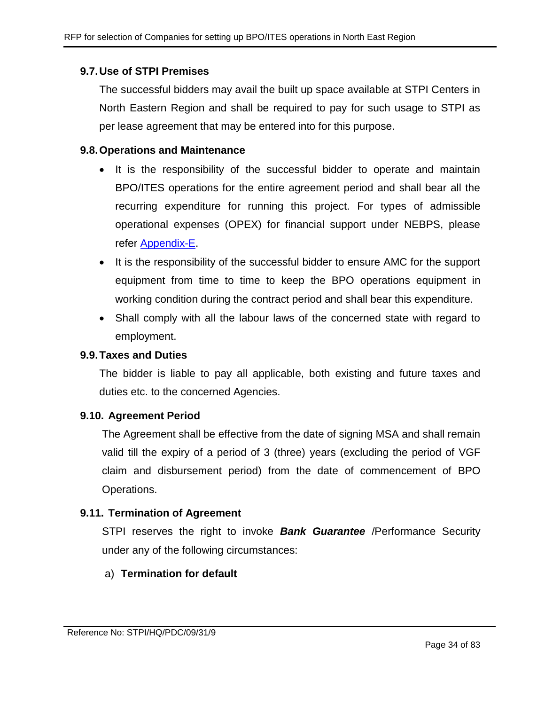## **9.7.Use of STPI Premises**

The successful bidders may avail the built up space available at STPI Centers in North Eastern Region and shall be required to pay for such usage to STPI as per lease agreement that may be entered into for this purpose.

#### **9.8.Operations and Maintenance**

- It is the responsibility of the successful bidder to operate and maintain BPO/ITES operations for the entire agreement period and shall bear all the recurring expenditure for running this project. For types of admissible operational expenses (OPEX) for financial support under NEBPS, please refer [Appendix-E.](#page-54-0)
- It is the responsibility of the successful bidder to ensure AMC for the support equipment from time to time to keep the BPO operations equipment in working condition during the contract period and shall bear this expenditure.
- Shall comply with all the labour laws of the concerned state with regard to employment.

#### **9.9.Taxes and Duties**

The bidder is liable to pay all applicable, both existing and future taxes and duties etc. to the concerned Agencies.

#### **9.10. Agreement Period**

The Agreement shall be effective from the date of signing MSA and shall remain valid till the expiry of a period of 3 (three) years (excluding the period of VGF claim and disbursement period) from the date of commencement of BPO Operations.

## **9.11. Termination of Agreement**

STPI reserves the right to invoke *Bank Guarantee* /Performance Security under any of the following circumstances:

## a) **Termination for default**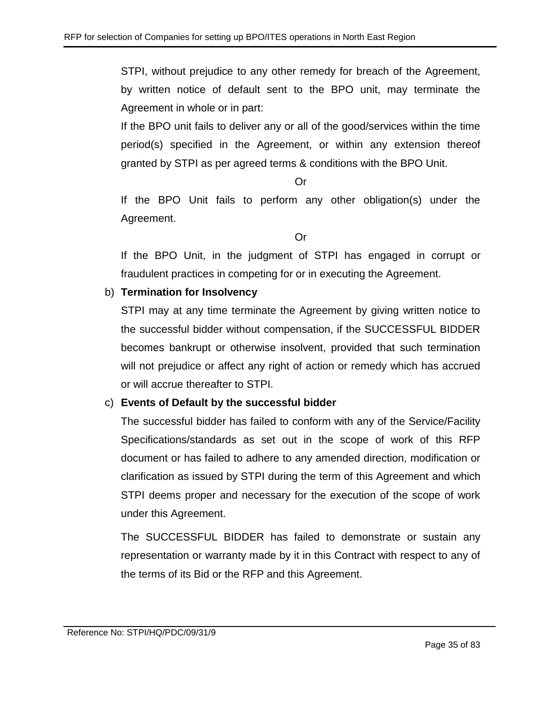STPI, without prejudice to any other remedy for breach of the Agreement, by written notice of default sent to the BPO unit, may terminate the Agreement in whole or in part:

If the BPO unit fails to deliver any or all of the good/services within the time period(s) specified in the Agreement, or within any extension thereof granted by STPI as per agreed terms & conditions with the BPO Unit.

Or

If the BPO Unit fails to perform any other obligation(s) under the Agreement.

Or

If the BPO Unit, in the judgment of STPI has engaged in corrupt or fraudulent practices in competing for or in executing the Agreement.

## b) **Termination for Insolvency**

STPI may at any time terminate the Agreement by giving written notice to the successful bidder without compensation, if the SUCCESSFUL BIDDER becomes bankrupt or otherwise insolvent, provided that such termination will not prejudice or affect any right of action or remedy which has accrued or will accrue thereafter to STPI.

## c) **Events of Default by the successful bidder**

The successful bidder has failed to conform with any of the Service/Facility Specifications/standards as set out in the scope of work of this RFP document or has failed to adhere to any amended direction, modification or clarification as issued by STPI during the term of this Agreement and which STPI deems proper and necessary for the execution of the scope of work under this Agreement.

The SUCCESSFUL BIDDER has failed to demonstrate or sustain any representation or warranty made by it in this Contract with respect to any of the terms of its Bid or the RFP and this Agreement.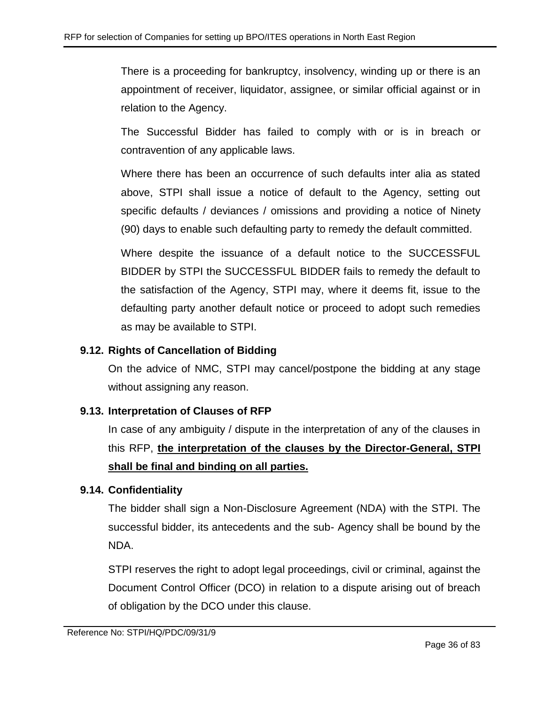There is a proceeding for bankruptcy, insolvency, winding up or there is an appointment of receiver, liquidator, assignee, or similar official against or in relation to the Agency.

The Successful Bidder has failed to comply with or is in breach or contravention of any applicable laws.

Where there has been an occurrence of such defaults inter alia as stated above, STPI shall issue a notice of default to the Agency, setting out specific defaults / deviances / omissions and providing a notice of Ninety (90) days to enable such defaulting party to remedy the default committed.

Where despite the issuance of a default notice to the SUCCESSFUL BIDDER by STPI the SUCCESSFUL BIDDER fails to remedy the default to the satisfaction of the Agency, STPI may, where it deems fit, issue to the defaulting party another default notice or proceed to adopt such remedies as may be available to STPI.

## **9.12. Rights of Cancellation of Bidding**

On the advice of NMC, STPI may cancel/postpone the bidding at any stage without assigning any reason.

## **9.13. Interpretation of Clauses of RFP**

In case of any ambiguity / dispute in the interpretation of any of the clauses in this RFP, **the interpretation of the clauses by the Director-General, STPI shall be final and binding on all parties.**

## **9.14. Confidentiality**

The bidder shall sign a Non-Disclosure Agreement (NDA) with the STPI. The successful bidder, its antecedents and the sub- Agency shall be bound by the NDA.

STPI reserves the right to adopt legal proceedings, civil or criminal, against the Document Control Officer (DCO) in relation to a dispute arising out of breach of obligation by the DCO under this clause.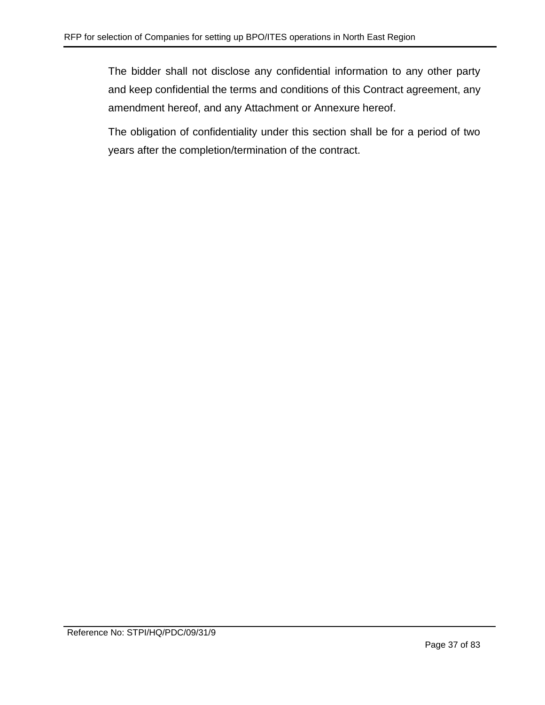The bidder shall not disclose any confidential information to any other party and keep confidential the terms and conditions of this Contract agreement, any amendment hereof, and any Attachment or Annexure hereof.

The obligation of confidentiality under this section shall be for a period of two years after the completion/termination of the contract.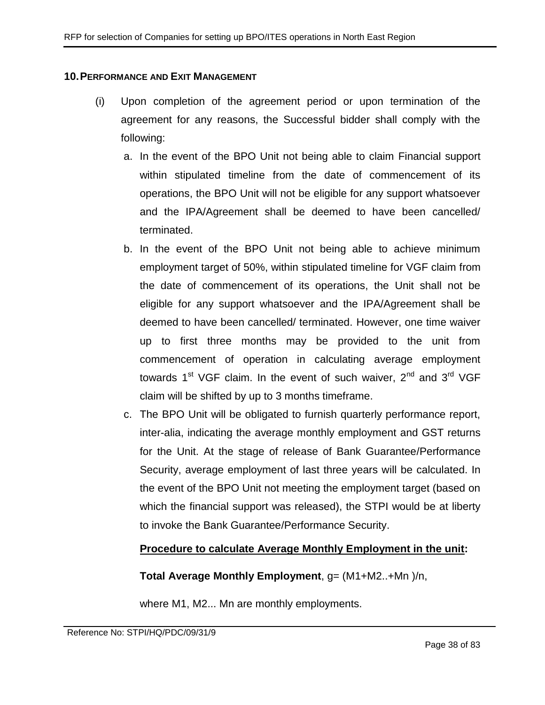#### **10.PERFORMANCE AND EXIT MANAGEMENT**

- (i) Upon completion of the agreement period or upon termination of the agreement for any reasons, the Successful bidder shall comply with the following:
	- a. In the event of the BPO Unit not being able to claim Financial support within stipulated timeline from the date of commencement of its operations, the BPO Unit will not be eligible for any support whatsoever and the IPA/Agreement shall be deemed to have been cancelled/ terminated.
	- b. In the event of the BPO Unit not being able to achieve minimum employment target of 50%, within stipulated timeline for VGF claim from the date of commencement of its operations, the Unit shall not be eligible for any support whatsoever and the IPA/Agreement shall be deemed to have been cancelled/ terminated. However, one time waiver up to first three months may be provided to the unit from commencement of operation in calculating average employment towards  $1<sup>st</sup> VGF claim. In the event of such wavier,  $2<sup>nd</sup>$  and  $3<sup>rd</sup> VGF$$ claim will be shifted by up to 3 months timeframe.
	- c. The BPO Unit will be obligated to furnish quarterly performance report, inter-alia, indicating the average monthly employment and GST returns for the Unit. At the stage of release of Bank Guarantee/Performance Security, average employment of last three years will be calculated. In the event of the BPO Unit not meeting the employment target (based on which the financial support was released), the STPI would be at liberty to invoke the Bank Guarantee/Performance Security.

### **Procedure to calculate Average Monthly Employment in the unit:**

### **Total Average Monthly Employment**, g= (M1+M2..+Mn )/n,

where M1, M2... Mn are monthly employments.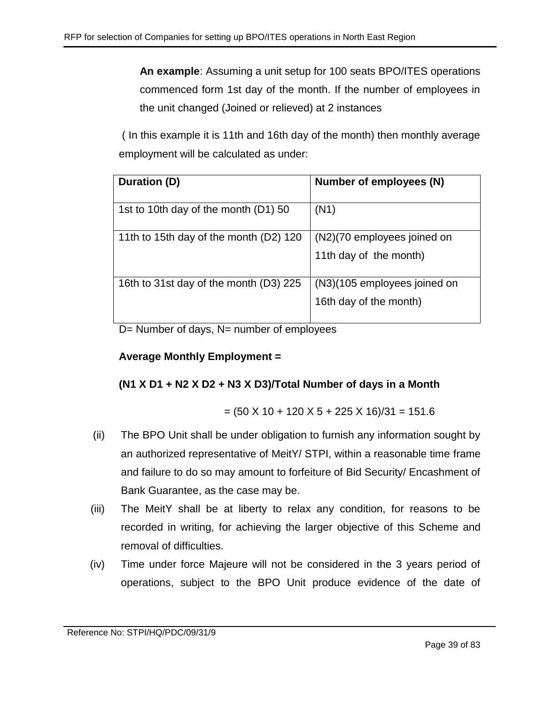**An example**: Assuming a unit setup for 100 seats BPO/ITES operations commenced form 1st day of the month. If the number of employees in the unit changed (Joined or relieved) at 2 instances

( In this example it is 11th and 16th day of the month) then monthly average employment will be calculated as under:

| Duration (D)                           | Number of employees (N)      |
|----------------------------------------|------------------------------|
| 1st to 10th day of the month (D1) 50   | (N1)                         |
| 11th to 15th day of the month (D2) 120 | (N2)(70 employees joined on  |
|                                        | 11th day of the month)       |
| 16th to 31st day of the month (D3) 225 | (N3)(105 employees joined on |
|                                        | 16th day of the month)       |

D= Number of days, N= number of employees

# **Average Monthly Employment =**

# **(N1 X D1 + N2 X D2 + N3 X D3)/Total Number of days in a Month**

$$
= (50 \times 10 + 120 \times 5 + 225 \times 16)/31 = 151.6
$$

- (ii) The BPO Unit shall be under obligation to furnish any information sought by an authorized representative of MeitY/ STPI, within a reasonable time frame and failure to do so may amount to forfeiture of Bid Security/ Encashment of Bank Guarantee, as the case may be.
- (iii) The MeitY shall be at liberty to relax any condition, for reasons to be recorded in writing, for achieving the larger objective of this Scheme and removal of difficulties.
- (iv) Time under force Majeure will not be considered in the 3 years period of operations, subject to the BPO Unit produce evidence of the date of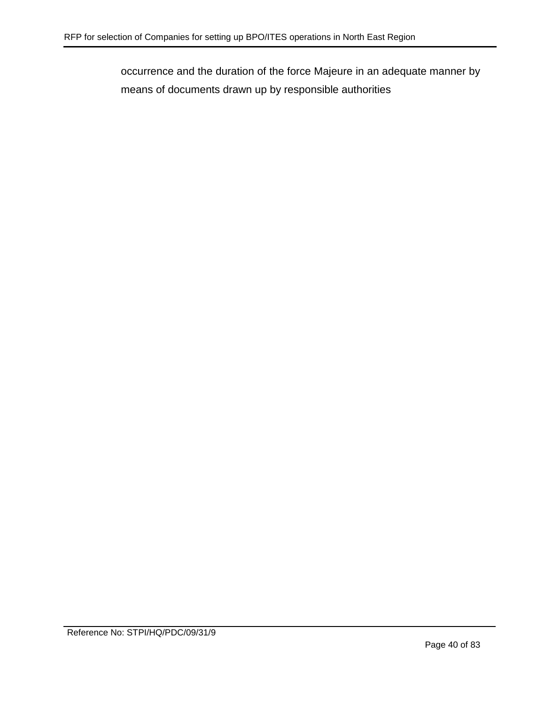occurrence and the duration of the force Majeure in an adequate manner by means of documents drawn up by responsible authorities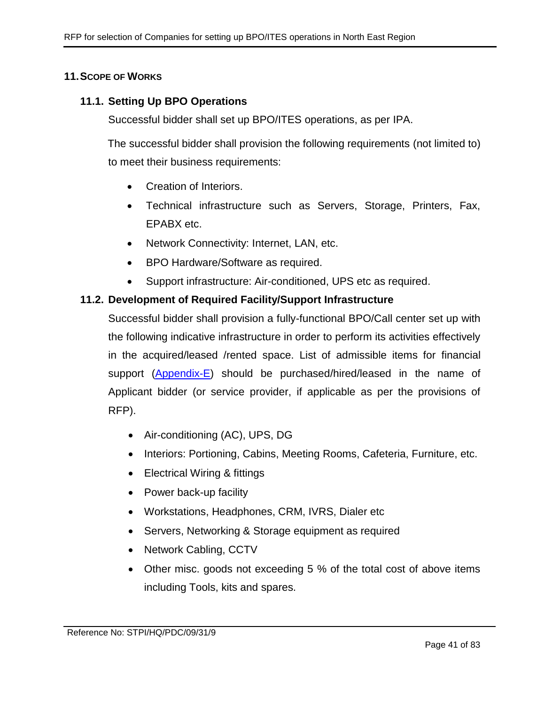### **11.SCOPE OF WORKS**

### **11.1. Setting Up BPO Operations**

Successful bidder shall set up BPO/ITES operations, as per IPA.

The successful bidder shall provision the following requirements (not limited to) to meet their business requirements:

- Creation of Interiors.
- Technical infrastructure such as Servers, Storage, Printers, Fax, EPABX etc.
- Network Connectivity: Internet, LAN, etc.
- BPO Hardware/Software as required.
- Support infrastructure: Air-conditioned, UPS etc as required.

### **11.2. Development of Required Facility/Support Infrastructure**

Successful bidder shall provision a fully-functional BPO/Call center set up with the following indicative infrastructure in order to perform its activities effectively in the acquired/leased /rented space. List of admissible items for financial support [\(Appendix-E\)](#page-54-0) should be purchased/hired/leased in the name of Applicant bidder (or service provider, if applicable as per the provisions of RFP).

- Air-conditioning (AC), UPS, DG
- Interiors: Portioning, Cabins, Meeting Rooms, Cafeteria, Furniture, etc.
- Electrical Wiring & fittings
- Power back-up facility
- Workstations, Headphones, CRM, IVRS, Dialer etc
- Servers, Networking & Storage equipment as required
- Network Cabling, CCTV
- Other misc. goods not exceeding 5 % of the total cost of above items including Tools, kits and spares.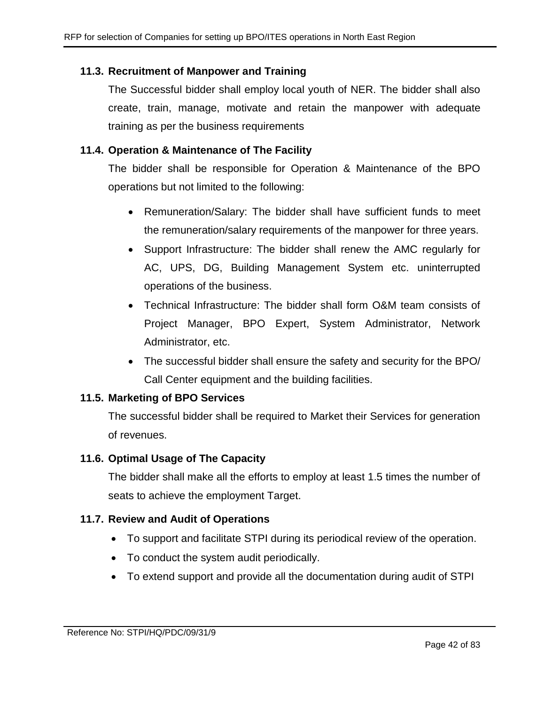# **11.3. Recruitment of Manpower and Training**

The Successful bidder shall employ local youth of NER. The bidder shall also create, train, manage, motivate and retain the manpower with adequate training as per the business requirements

# **11.4. Operation & Maintenance of The Facility**

The bidder shall be responsible for Operation & Maintenance of the BPO operations but not limited to the following:

- Remuneration/Salary: The bidder shall have sufficient funds to meet the remuneration/salary requirements of the manpower for three years.
- Support Infrastructure: The bidder shall renew the AMC regularly for AC, UPS, DG, Building Management System etc. uninterrupted operations of the business.
- Technical Infrastructure: The bidder shall form O&M team consists of Project Manager, BPO Expert, System Administrator, Network Administrator, etc.
- The successful bidder shall ensure the safety and security for the BPO/ Call Center equipment and the building facilities.

### **11.5. Marketing of BPO Services**

The successful bidder shall be required to Market their Services for generation of revenues.

### **11.6. Optimal Usage of The Capacity**

The bidder shall make all the efforts to employ at least 1.5 times the number of seats to achieve the employment Target.

### **11.7. Review and Audit of Operations**

- To support and facilitate STPI during its periodical review of the operation.
- To conduct the system audit periodically.
- To extend support and provide all the documentation during audit of STPI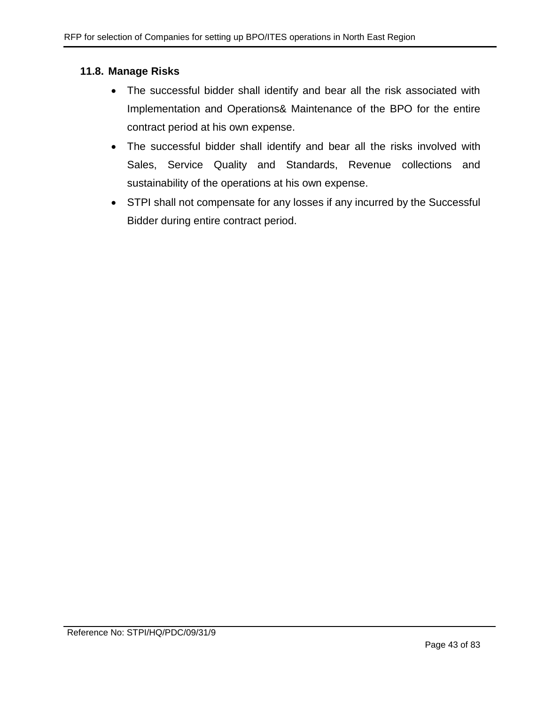## **11.8. Manage Risks**

- The successful bidder shall identify and bear all the risk associated with Implementation and Operations& Maintenance of the BPO for the entire contract period at his own expense.
- The successful bidder shall identify and bear all the risks involved with Sales, Service Quality and Standards, Revenue collections and sustainability of the operations at his own expense.
- STPI shall not compensate for any losses if any incurred by the Successful Bidder during entire contract period.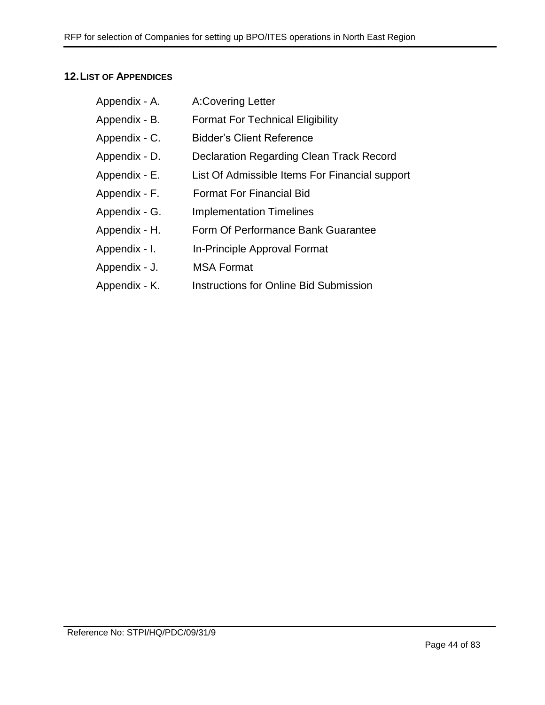# **12.LIST OF APPENDICES**

| Appendix - A. | <b>A:Covering Letter</b>                       |
|---------------|------------------------------------------------|
| Appendix - B. | <b>Format For Technical Eligibility</b>        |
| Appendix - C. | <b>Bidder's Client Reference</b>               |
| Appendix - D. | Declaration Regarding Clean Track Record       |
| Appendix - E. | List Of Admissible Items For Financial support |
| Appendix - F. | <b>Format For Financial Bid</b>                |
| Appendix - G. | <b>Implementation Timelines</b>                |
| Appendix - H. | Form Of Performance Bank Guarantee             |
| Appendix - I. | In-Principle Approval Format                   |
| Appendix - J. | <b>MSA Format</b>                              |
| Appendix - K. | <b>Instructions for Online Bid Submission</b>  |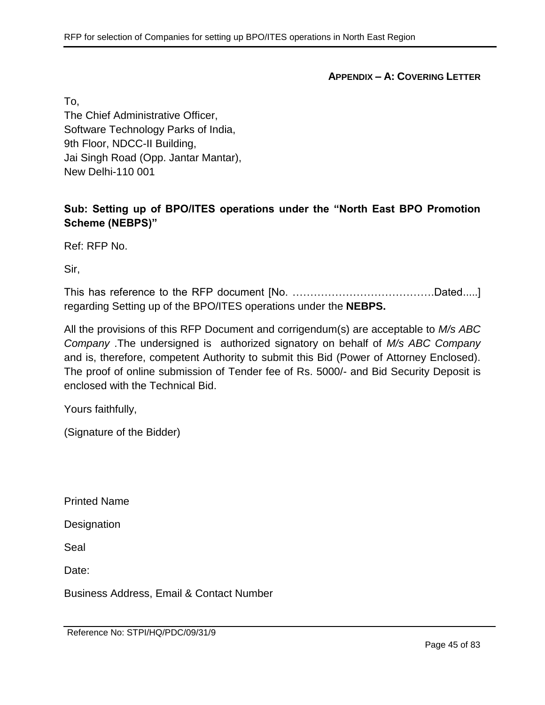**APPENDIX – A: COVERING LETTER**

To,

The Chief Administrative Officer, Software Technology Parks of India, 9th Floor, NDCC-II Building, Jai Singh Road (Opp. Jantar Mantar), New Delhi-110 001

# **Sub: Setting up of BPO/ITES operations under the "North East BPO Promotion Scheme (NEBPS)"**

Ref: RFP No.

Sir,

This has reference to the RFP document [No. ………………………………….Dated.....] regarding Setting up of the BPO/ITES operations under the **NEBPS.**

All the provisions of this RFP Document and corrigendum(s) are acceptable to *M/s ABC Company* .The undersigned is authorized signatory on behalf of *M/s ABC Company* and is, therefore, competent Authority to submit this Bid (Power of Attorney Enclosed). The proof of online submission of Tender fee of Rs. 5000/- and Bid Security Deposit is enclosed with the Technical Bid.

Yours faithfully,

(Signature of the Bidder)

Printed Name

**Designation** 

Seal

Date:

Business Address, Email & Contact Number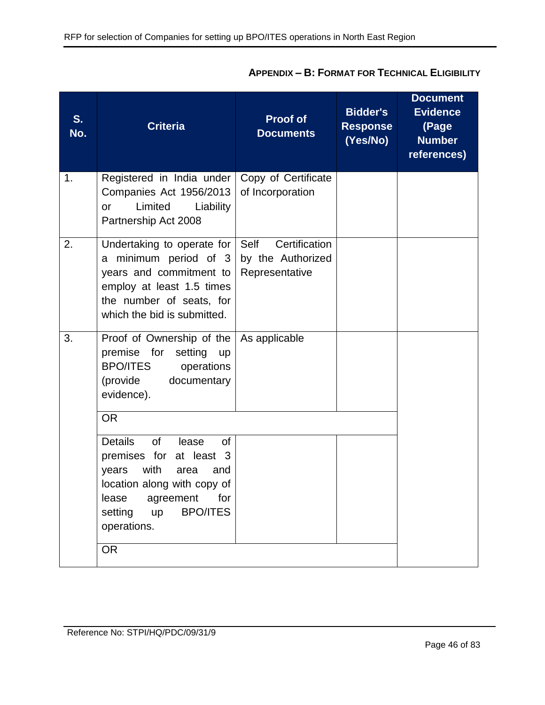| S.<br>No. | <b>Criteria</b>                                                                                                                                                                                                                              | <b>Proof of</b><br><b>Documents</b>                          | <b>Bidder's</b><br><b>Response</b><br>(Yes/No) | <b>Document</b><br><b>Evidence</b><br>(Page<br><b>Number</b><br>references) |
|-----------|----------------------------------------------------------------------------------------------------------------------------------------------------------------------------------------------------------------------------------------------|--------------------------------------------------------------|------------------------------------------------|-----------------------------------------------------------------------------|
| 1.        | Registered in India under<br>Companies Act 1956/2013<br>Limited<br>Liability<br><b>or</b><br>Partnership Act 2008                                                                                                                            | Copy of Certificate<br>of Incorporation                      |                                                |                                                                             |
| 2.        | Undertaking to operate for<br>a minimum period of 3<br>years and commitment to<br>employ at least 1.5 times<br>the number of seats, for<br>which the bid is submitted.                                                                       | Certification<br>Self<br>by the Authorized<br>Representative |                                                |                                                                             |
| 3.        | Proof of Ownership of the<br>premise for<br>setting<br><b>up</b><br><b>BPO/ITES</b><br>operations<br>(provide<br>documentary<br>evidence).                                                                                                   | As applicable                                                |                                                |                                                                             |
|           | <b>OR</b><br><b>Details</b><br><b>of</b><br>lease<br><b>of</b><br>premises for at least 3<br>with<br>years<br>area<br>and<br>location along with copy of<br>lease agreement for<br><b>BPO/ITES</b><br>setting up<br>operations.<br><b>OR</b> |                                                              |                                                |                                                                             |

# **APPENDIX – B: FORMAT FOR TECHNICAL ELIGIBILITY**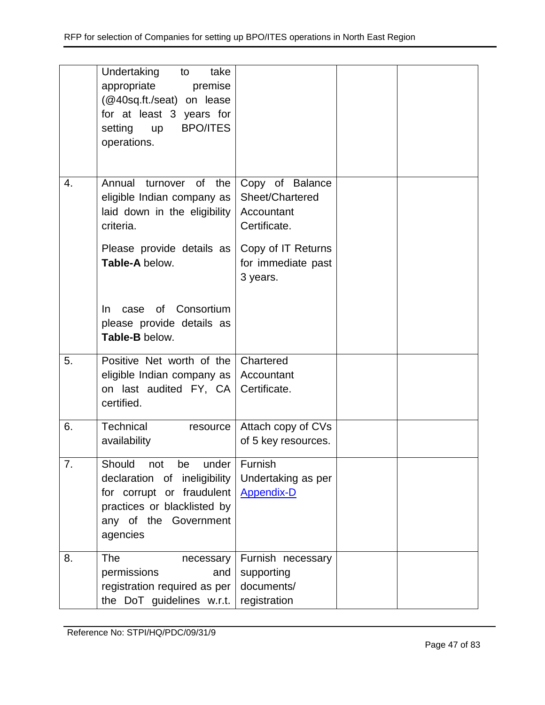|    | Undertaking<br>take<br>to<br>appropriate<br>premise<br>(@40sq.ft./seat) on lease<br>for at least 3 years for<br><b>BPO/ITES</b><br>setting<br><b>up</b><br>operations. |                                                                                                                          |  |
|----|------------------------------------------------------------------------------------------------------------------------------------------------------------------------|--------------------------------------------------------------------------------------------------------------------------|--|
| 4. | Annual turnover of the<br>eligible Indian company as<br>laid down in the eligibility<br>criteria.<br>Please provide details as<br>Table-A below.                       | Copy of Balance<br>Sheet/Chartered<br>Accountant<br>Certificate.<br>Copy of IT Returns<br>for immediate past<br>3 years. |  |
|    | of Consortium<br>In.<br>case<br>please provide details as<br>Table-B below.                                                                                            |                                                                                                                          |  |
| 5. | Positive Net worth of the<br>eligible Indian company as<br>on last audited FY, CA<br>certified.                                                                        | Chartered<br>Accountant<br>Certificate.                                                                                  |  |
| 6. | Technical<br>resource<br>availability                                                                                                                                  | Attach copy of CVs<br>of 5 key resources.                                                                                |  |
| 7. | Should<br>under<br>not<br>be<br>declaration of ineligibility<br>for corrupt or fraudulent<br>practices or blacklisted by<br>any of the Government<br>agencies          | Furnish<br>Undertaking as per<br><b>Appendix-D</b>                                                                       |  |
| 8. | <b>The</b><br>necessary<br>permissions<br>and<br>registration required as per<br>the DoT guidelines w.r.t.                                                             | Furnish necessary<br>supporting<br>documents/<br>registration                                                            |  |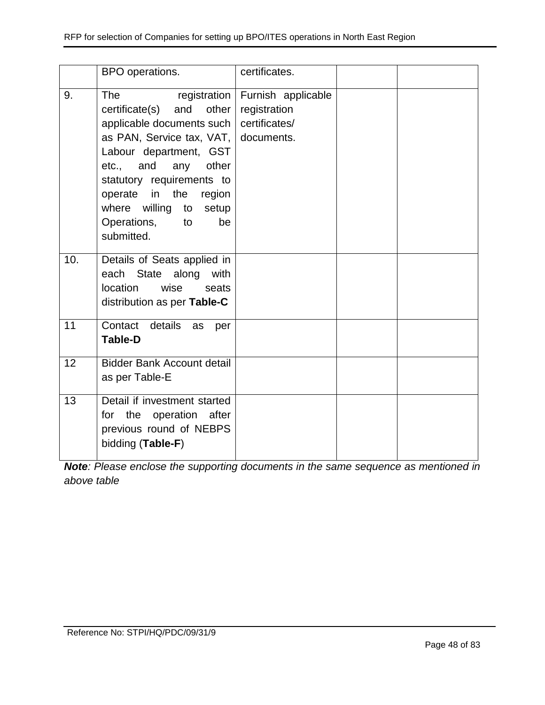|     | BPO operations.                                                                                                                                                                                                                                                                       | certificates.                                                      |  |
|-----|---------------------------------------------------------------------------------------------------------------------------------------------------------------------------------------------------------------------------------------------------------------------------------------|--------------------------------------------------------------------|--|
| 9.  | <b>The</b><br>and other<br>certificate(s)<br>applicable documents such<br>as PAN, Service tax, VAT, documents.<br>Labour department, GST<br>etc., and any other<br>statutory requirements to<br>operate in the region<br>where willing to setup<br>Operations, to<br>be<br>submitted. | registration   Furnish applicable<br>registration<br>certificates/ |  |
| 10. | Details of Seats applied in<br>each State along with<br>location<br>wise<br>seats<br>distribution as per Table-C                                                                                                                                                                      |                                                                    |  |
| 11  | Contact details<br>as<br>per<br><b>Table-D</b>                                                                                                                                                                                                                                        |                                                                    |  |
| 12  | <b>Bidder Bank Account detail</b><br>as per Table-E                                                                                                                                                                                                                                   |                                                                    |  |
| 13  | Detail if investment started<br>for the operation after<br>previous round of NEBPS<br>bidding (Table-F)                                                                                                                                                                               |                                                                    |  |

*Note: Please enclose the supporting documents in the same sequence as mentioned in above table*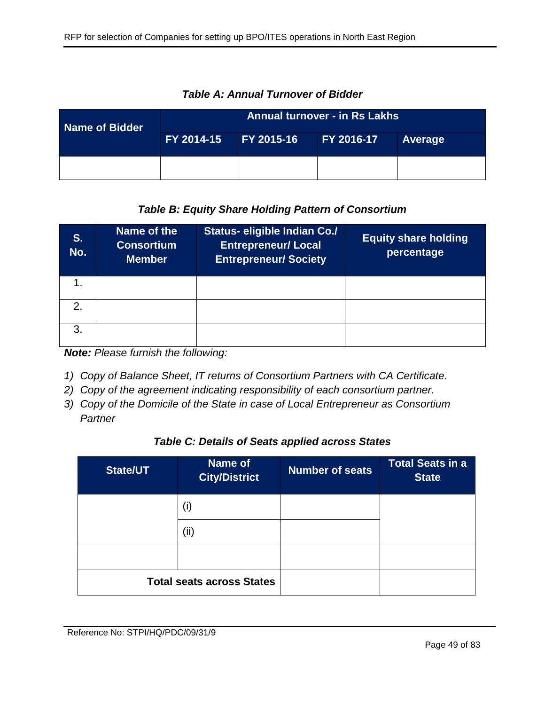| Name of Bidder | <b>Annual turnover - in Rs Lakhs</b> |                   |            |                |  |
|----------------|--------------------------------------|-------------------|------------|----------------|--|
|                | FY 2014-15                           | <b>FY 2015-16</b> | FY 2016-17 | <b>Average</b> |  |
|                |                                      |                   |            |                |  |

*Table A: Annual Turnover of Bidder*

# *Table B: Equity Share Holding Pattern of Consortium*

| S.<br>No.     | Name of the<br><b>Consortium</b><br><b>Member</b> | <b>Status- eligible Indian Co./</b><br><b>Entrepreneur/ Local</b><br><b>Entrepreneur/Society</b> | <b>Equity share holding</b><br>percentage |
|---------------|---------------------------------------------------|--------------------------------------------------------------------------------------------------|-------------------------------------------|
|               |                                                   |                                                                                                  |                                           |
| $\mathcal{P}$ |                                                   |                                                                                                  |                                           |
| 3             |                                                   |                                                                                                  |                                           |

*Note: Please furnish the following:*

- *1) Copy of Balance Sheet, IT returns of Consortium Partners with CA Certificate.*
- *2) Copy of the agreement indicating responsibility of each consortium partner.*
- *3) Copy of the Domicile of the State in case of Local Entrepreneur as Consortium Partner*

### *Table C: Details of Seats applied across States*

| <b>State/UT</b>                  | Name of<br><b>City/District</b> | <b>Number of seats</b> | <b>Total Seats in a</b><br><b>State</b> |
|----------------------------------|---------------------------------|------------------------|-----------------------------------------|
|                                  | (i)                             |                        |                                         |
|                                  | (ii)                            |                        |                                         |
|                                  |                                 |                        |                                         |
| <b>Total seats across States</b> |                                 |                        |                                         |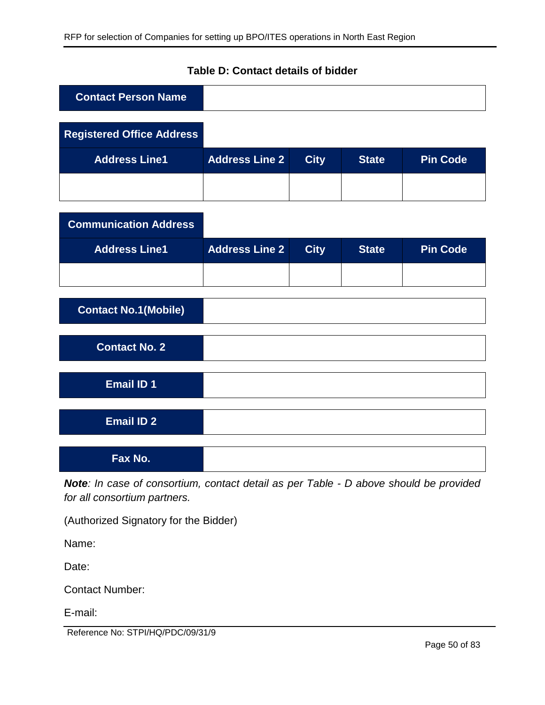| <b>Contact Person Name</b>       |                       |             |              |                 |
|----------------------------------|-----------------------|-------------|--------------|-----------------|
| <b>Registered Office Address</b> |                       |             |              |                 |
| <b>Address Line1</b>             | <b>Address Line 2</b> | <b>City</b> | <b>State</b> | <b>Pin Code</b> |
|                                  |                       |             |              |                 |
| <b>Communication Address</b>     |                       |             |              |                 |
| <b>Address Line1</b>             | <b>Address Line 2</b> | <b>City</b> | <b>State</b> | <b>Pin Code</b> |
|                                  |                       |             |              |                 |
| <b>Contact No.1(Mobile)</b>      |                       |             |              |                 |
| <b>Contact No. 2</b>             |                       |             |              |                 |
| <b>Email ID 1</b>                |                       |             |              |                 |
| <b>Email ID 2</b>                |                       |             |              |                 |
| Fax No.                          |                       |             |              |                 |

# **Table D: Contact details of bidder**

*Note: In case of consortium, contact detail as per Table - D above should be provided for all consortium partners.*

(Authorized Signatory for the Bidder)

Name:

Date:

Contact Number:

E-mail:

Reference No: STPI/HQ/PDC/09/31/9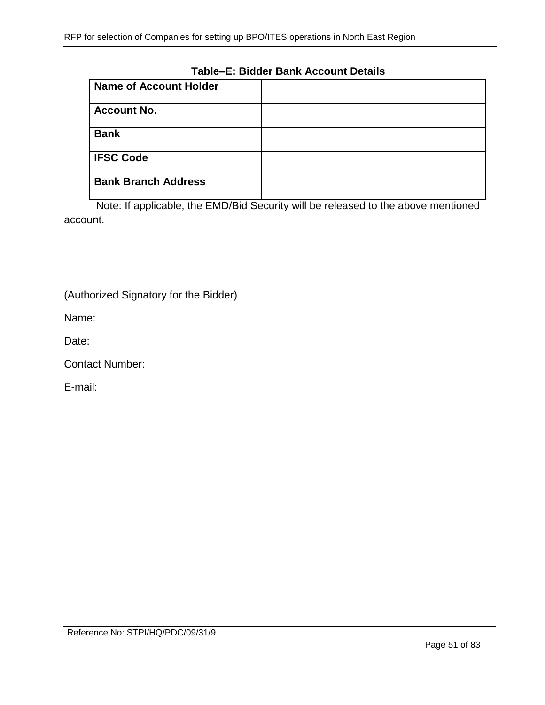#### **Table–E: Bidder Bank Account Details**

| <b>Name of Account Holder</b> |  |
|-------------------------------|--|
| <b>Account No.</b>            |  |
| <b>Bank</b>                   |  |
| <b>IFSC Code</b>              |  |
| <b>Bank Branch Address</b>    |  |

Note: If applicable, the EMD/Bid Security will be released to the above mentioned account.

(Authorized Signatory for the Bidder)

Name:

Date:

Contact Number:

E-mail: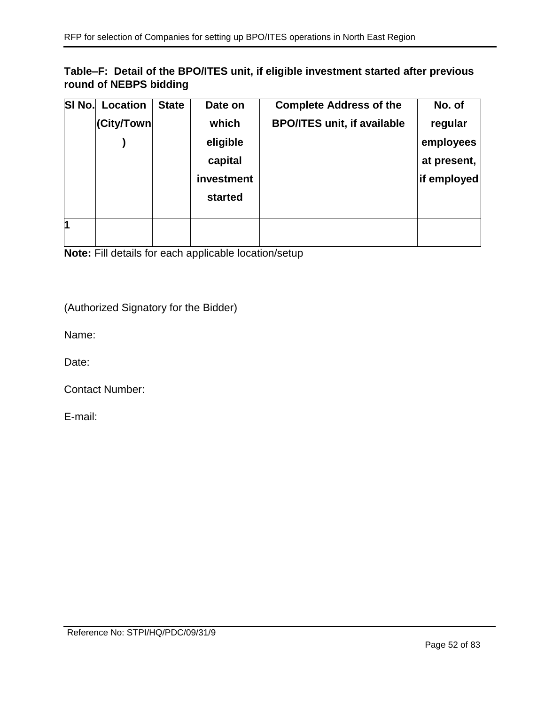# **Table–F: Detail of the BPO/ITES unit, if eligible investment started after previous round of NEBPS bidding**

| SI No. | Location   | <b>State</b> | Date on    | <b>Complete Address of the</b>     | No. of      |
|--------|------------|--------------|------------|------------------------------------|-------------|
|        | (City/Town |              | which      | <b>BPO/ITES unit, if available</b> | regular     |
|        |            |              | eligible   |                                    | employees   |
|        |            |              | capital    |                                    | at present, |
|        |            |              | investment |                                    | if employed |
|        |            |              | started    |                                    |             |
|        |            |              |            |                                    |             |
| 1      |            |              |            |                                    |             |
|        |            |              |            |                                    |             |

**Note:** Fill details for each applicable location/setup

(Authorized Signatory for the Bidder)

Name:

Date:

Contact Number:

E-mail: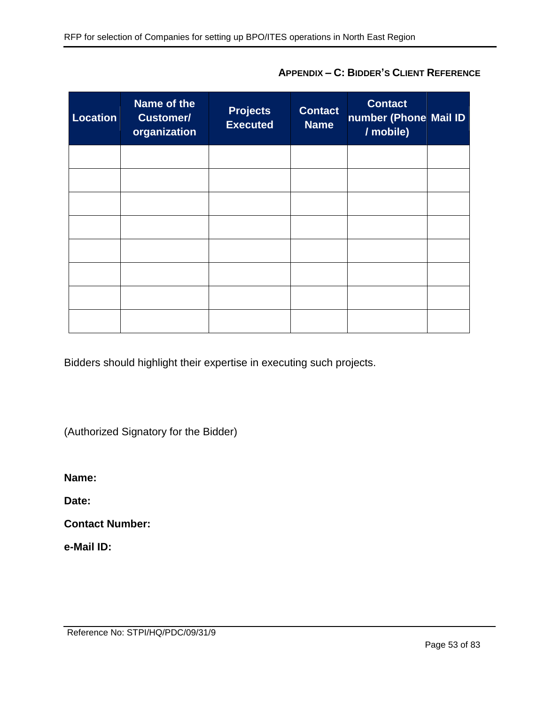| <b>Location</b> | Name of the<br><b>Customer/</b><br>organization | <b>Projects</b><br><b>Executed</b> | <b>Contact</b><br><b>Name</b> | <b>Contact</b><br>number (Phone Mail ID<br>/ mobile) |  |
|-----------------|-------------------------------------------------|------------------------------------|-------------------------------|------------------------------------------------------|--|
|                 |                                                 |                                    |                               |                                                      |  |
|                 |                                                 |                                    |                               |                                                      |  |
|                 |                                                 |                                    |                               |                                                      |  |
|                 |                                                 |                                    |                               |                                                      |  |
|                 |                                                 |                                    |                               |                                                      |  |
|                 |                                                 |                                    |                               |                                                      |  |
|                 |                                                 |                                    |                               |                                                      |  |
|                 |                                                 |                                    |                               |                                                      |  |

**APPENDIX – C: BIDDER'S CLIENT REFERENCE**

Bidders should highlight their expertise in executing such projects.

(Authorized Signatory for the Bidder)

**Name:** 

**Date:** 

**Contact Number:** 

**e-Mail ID:**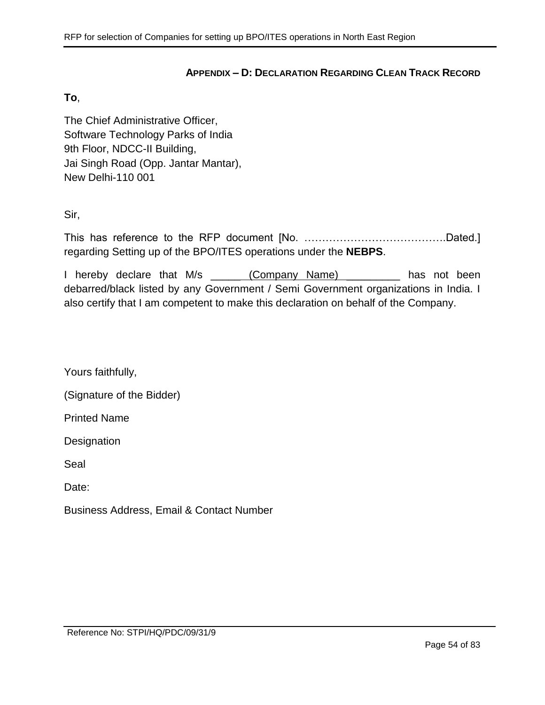#### **APPENDIX – D: DECLARATION REGARDING CLEAN TRACK RECORD**

#### <span id="page-53-0"></span>**To**,

The Chief Administrative Officer, Software Technology Parks of India 9th Floor, NDCC-II Building, Jai Singh Road (Opp. Jantar Mantar), New Delhi-110 001

Sir,

This has reference to the RFP document [No. ………………………………….Dated.] regarding Setting up of the BPO/ITES operations under the **NEBPS**.

I hereby declare that M/s (Company Name) and has not been debarred/black listed by any Government / Semi Government organizations in India. I also certify that I am competent to make this declaration on behalf of the Company.

Yours faithfully,

(Signature of the Bidder)

Printed Name

**Designation** 

Seal

Date:

Business Address, Email & Contact Number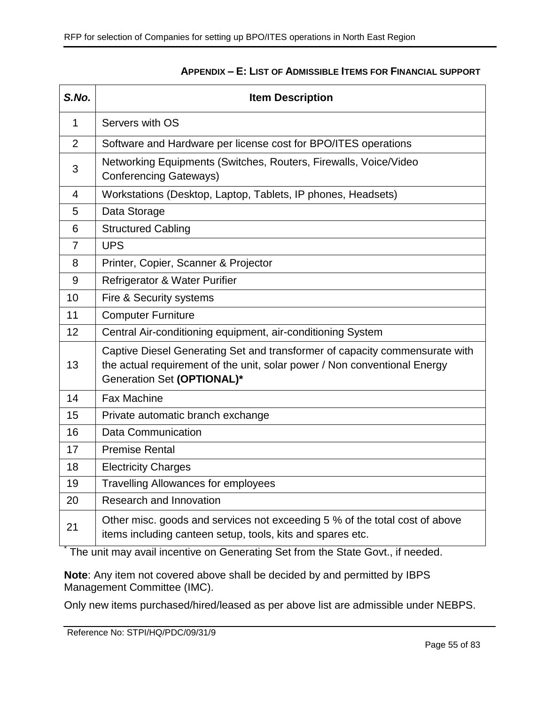<span id="page-54-0"></span>

| S.No.          | <b>Item Description</b>                                                                                                                                                                |  |  |
|----------------|----------------------------------------------------------------------------------------------------------------------------------------------------------------------------------------|--|--|
| 1              | Servers with OS                                                                                                                                                                        |  |  |
| 2              | Software and Hardware per license cost for BPO/ITES operations                                                                                                                         |  |  |
| 3              | Networking Equipments (Switches, Routers, Firewalls, Voice/Video<br><b>Conferencing Gateways)</b>                                                                                      |  |  |
| $\overline{4}$ | Workstations (Desktop, Laptop, Tablets, IP phones, Headsets)                                                                                                                           |  |  |
| 5              | Data Storage                                                                                                                                                                           |  |  |
| 6              | <b>Structured Cabling</b>                                                                                                                                                              |  |  |
| $\overline{7}$ | <b>UPS</b>                                                                                                                                                                             |  |  |
| 8              | Printer, Copier, Scanner & Projector                                                                                                                                                   |  |  |
| 9              | Refrigerator & Water Purifier                                                                                                                                                          |  |  |
| 10             | Fire & Security systems                                                                                                                                                                |  |  |
| 11             | <b>Computer Furniture</b>                                                                                                                                                              |  |  |
| 12             | Central Air-conditioning equipment, air-conditioning System                                                                                                                            |  |  |
| 13             | Captive Diesel Generating Set and transformer of capacity commensurate with<br>the actual requirement of the unit, solar power / Non conventional Energy<br>Generation Set (OPTIONAL)* |  |  |
| 14             | <b>Fax Machine</b>                                                                                                                                                                     |  |  |
| 15             | Private automatic branch exchange                                                                                                                                                      |  |  |
| 16             | <b>Data Communication</b>                                                                                                                                                              |  |  |
| 17             | <b>Premise Rental</b>                                                                                                                                                                  |  |  |
| 18             | <b>Electricity Charges</b>                                                                                                                                                             |  |  |
| 19             | <b>Travelling Allowances for employees</b>                                                                                                                                             |  |  |
| 20             | Research and Innovation                                                                                                                                                                |  |  |
| 21             | Other misc. goods and services not exceeding 5 % of the total cost of above<br>items including canteen setup, tools, kits and spares etc.                                              |  |  |

### **APPENDIX – E: LIST OF ADMISSIBLE ITEMS FOR FINANCIAL SUPPORT**

<sup>\*</sup> The unit may avail incentive on Generating Set from the State Govt., if needed.

**Note**: Any item not covered above shall be decided by and permitted by IBPS Management Committee (IMC).

Only new items purchased/hired/leased as per above list are admissible under NEBPS.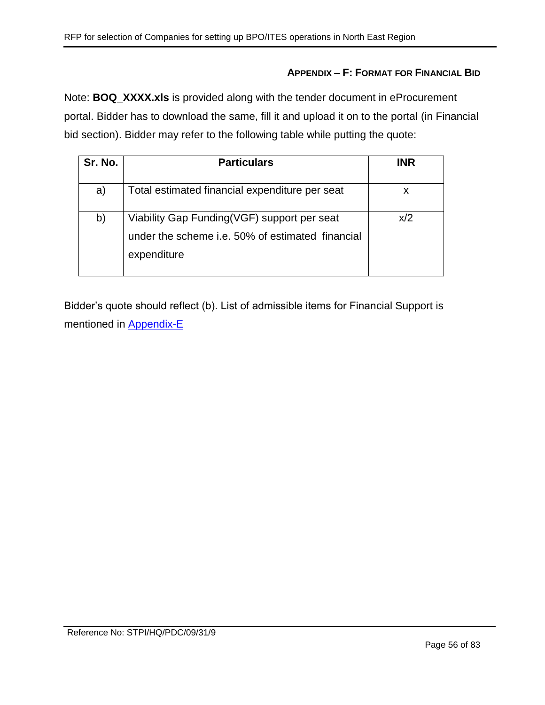## **APPENDIX – F: FORMAT FOR FINANCIAL BID**

Note: **BOQ\_XXXX.xls** is provided along with the tender document in eProcurement portal. Bidder has to download the same, fill it and upload it on to the portal (in Financial bid section). Bidder may refer to the following table while putting the quote:

| Sr. No. | <b>Particulars</b>                                                                                             | <b>INR</b> |
|---------|----------------------------------------------------------------------------------------------------------------|------------|
| a)      | Total estimated financial expenditure per seat                                                                 | x          |
| b)      | Viability Gap Funding(VGF) support per seat<br>under the scheme i.e. 50% of estimated financial<br>expenditure | x/2        |

Bidder's quote should reflect (b). List of admissible items for Financial Support is mentioned in [Appendix-E](#page-54-0)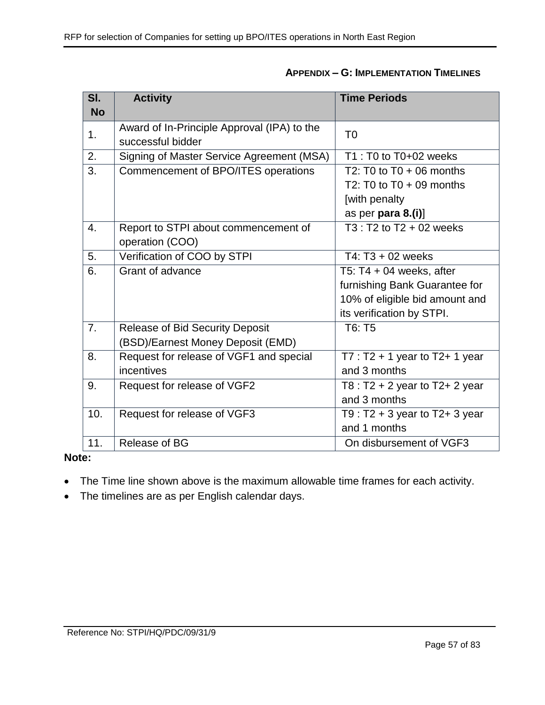| SI.       | <b>Activity</b>                             | <b>Time Periods</b>                 |  |
|-----------|---------------------------------------------|-------------------------------------|--|
| <b>No</b> |                                             |                                     |  |
| 1.        | Award of In-Principle Approval (IPA) to the | T <sub>0</sub>                      |  |
|           | successful bidder                           |                                     |  |
| 2.        | Signing of Master Service Agreement (MSA)   | T1 : T0 to T0+02 weeks              |  |
| 3.        | Commencement of BPO/ITES operations         | T2: T0 to $T0 + 06$ months          |  |
|           |                                             | T2: T0 to $T0 + 09$ months          |  |
|           |                                             | [with penalty                       |  |
|           |                                             | as per para 8.(i)]                  |  |
| 4.        | Report to STPI about commencement of        | $T3: T2$ to $T2 + 02$ weeks         |  |
|           | operation (COO)                             |                                     |  |
| 5.        | Verification of COO by STPI                 | T4: $T3 + 02$ weeks                 |  |
| 6.        | Grant of advance                            | T5: $T4 + 04$ weeks, after          |  |
|           |                                             | furnishing Bank Guarantee for       |  |
|           |                                             | 10% of eligible bid amount and      |  |
|           |                                             | its verification by STPI.           |  |
| 7.        | <b>Release of Bid Security Deposit</b>      | T6: T5                              |  |
|           | (BSD)/Earnest Money Deposit (EMD)           |                                     |  |
| 8.        | Request for release of VGF1 and special     | $T7: T2 + 1$ year to T2+ 1 year     |  |
|           | incentives                                  | and 3 months                        |  |
| 9.        | Request for release of VGF2                 | T8 : T2 + 2 year to T2+ 2 year      |  |
|           |                                             | and 3 months                        |  |
| 10.       | Request for release of VGF3                 | T9 : $T2 + 3$ year to $T2 + 3$ year |  |
|           |                                             | and 1 months                        |  |
| 11.       | Release of BG                               | On disbursement of VGF3             |  |

## **Note:**

- The Time line shown above is the maximum allowable time frames for each activity.
- The timelines are as per English calendar days.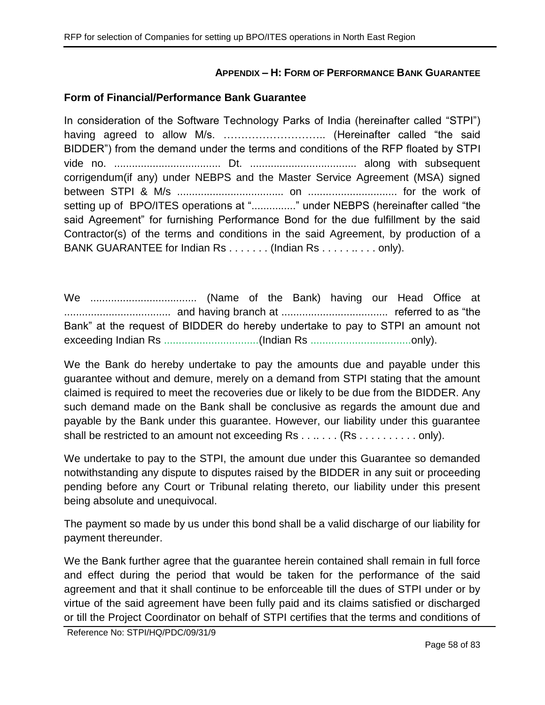### **APPENDIX – H: FORM OF PERFORMANCE BANK GUARANTEE**

#### **Form of Financial/Performance Bank Guarantee**

In consideration of the Software Technology Parks of India (hereinafter called "STPI") having agreed to allow M/s. ……………………….. (Hereinafter called "the said BIDDER") from the demand under the terms and conditions of the RFP floated by STPI vide no. .................................... Dt. .................................... along with subsequent corrigendum(if any) under NEBPS and the Master Service Agreement (MSA) signed between STPI & M/s .................................... on .............................. for the work of setting up of BPO/ITES operations at "................" under NEBPS (hereinafter called "the said Agreement" for furnishing Performance Bond for the due fulfillment by the said Contractor(s) of the terms and conditions in the said Agreement, by production of a BANK GUARANTEE for Indian Rs . . . . . . . (Indian Rs . . . . . . . . . . only).

We .................................... (Name of the Bank) having our Head Office at .................................... and having branch at .................................... referred to as "the Bank" at the request of BIDDER do hereby undertake to pay to STPI an amount not exceeding Indian Rs ................................(Indian Rs ..................................only).

We the Bank do hereby undertake to pay the amounts due and payable under this guarantee without and demure, merely on a demand from STPI stating that the amount claimed is required to meet the recoveries due or likely to be due from the BIDDER. Any such demand made on the Bank shall be conclusive as regards the amount due and payable by the Bank under this guarantee. However, our liability under this guarantee shall be restricted to an amount not exceeding Rs . . . . . . . (Rs . . . . . . . . . . only).

We undertake to pay to the STPI, the amount due under this Guarantee so demanded notwithstanding any dispute to disputes raised by the BIDDER in any suit or proceeding pending before any Court or Tribunal relating thereto, our liability under this present being absolute and unequivocal.

The payment so made by us under this bond shall be a valid discharge of our liability for payment thereunder.

We the Bank further agree that the guarantee herein contained shall remain in full force and effect during the period that would be taken for the performance of the said agreement and that it shall continue to be enforceable till the dues of STPI under or by virtue of the said agreement have been fully paid and its claims satisfied or discharged or till the Project Coordinator on behalf of STPI certifies that the terms and conditions of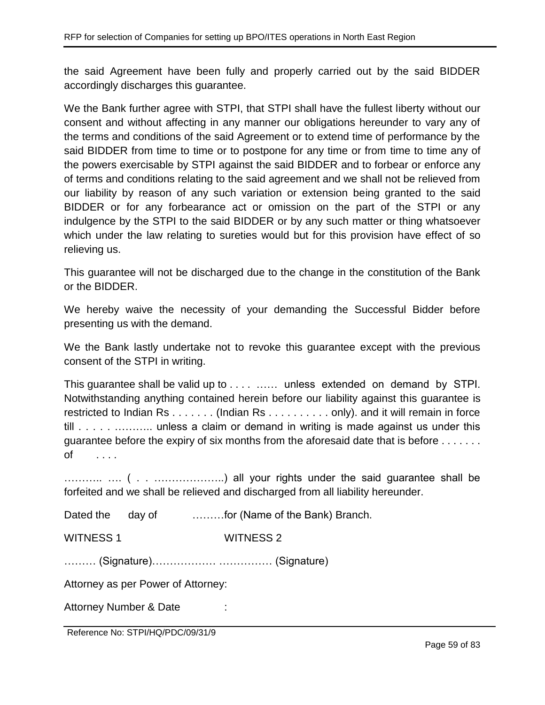the said Agreement have been fully and properly carried out by the said BIDDER accordingly discharges this guarantee.

We the Bank further agree with STPI, that STPI shall have the fullest liberty without our consent and without affecting in any manner our obligations hereunder to vary any of the terms and conditions of the said Agreement or to extend time of performance by the said BIDDER from time to time or to postpone for any time or from time to time any of the powers exercisable by STPI against the said BIDDER and to forbear or enforce any of terms and conditions relating to the said agreement and we shall not be relieved from our liability by reason of any such variation or extension being granted to the said BIDDER or for any forbearance act or omission on the part of the STPI or any indulgence by the STPI to the said BIDDER or by any such matter or thing whatsoever which under the law relating to sureties would but for this provision have effect of so relieving us.

This guarantee will not be discharged due to the change in the constitution of the Bank or the BIDDER.

We hereby waive the necessity of your demanding the Successful Bidder before presenting us with the demand.

We the Bank lastly undertake not to revoke this guarantee except with the previous consent of the STPI in writing.

This guarantee shall be valid up to . . . . …… unless extended on demand by STPI. Notwithstanding anything contained herein before our liability against this guarantee is restricted to Indian Rs . . . . . . . (Indian Rs . . . . . . . . . . only). and it will remain in force till . . . . . . . . . . . . . . . . unless a claim or demand in writing is made against us under this guarantee before the expiry of six months from the aforesaid date that is before . . . . . . . of . . . .

……….. …. ( . . ………………..) all your rights under the said guarantee shall be forfeited and we shall be relieved and discharged from all liability hereunder.

Dated the day of ...........for (Name of the Bank) Branch.

WITNESS 1 WITNESS 2

……… (Signature)……………… …………… (Signature)

Attorney as per Power of Attorney:

Attorney Number & Date :

Reference No: STPI/HQ/PDC/09/31/9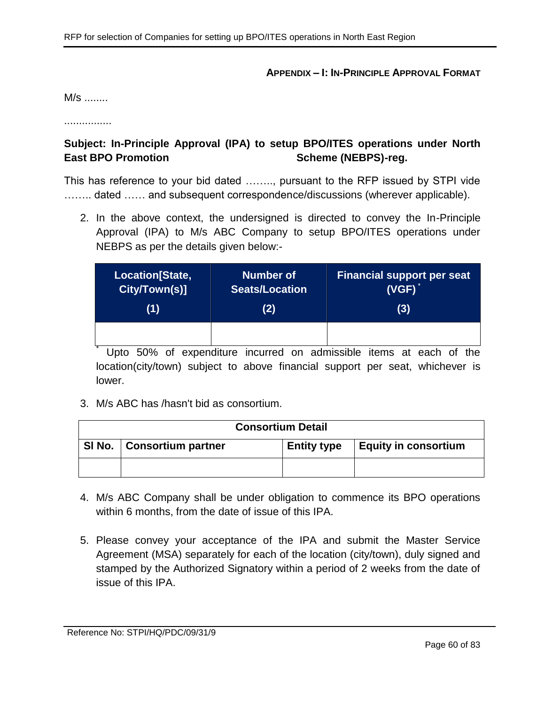#### **APPENDIX – I: IN-PRINCIPLE APPROVAL FORMAT**

M/s ........

................

# **Subject: In-Principle Approval (IPA) to setup BPO/ITES operations under North East BPO Promotion Scheme (NEBPS)-reg.**

This has reference to your bid dated …….., pursuant to the RFP issued by STPI vide ........ dated ...... and subsequent correspondence/discussions (wherever applicable).

2. In the above context, the undersigned is directed to convey the In-Principle Approval (IPA) to M/s ABC Company to setup BPO/ITES operations under NEBPS as per the details given below:-

| Location[State, | <b>Number of</b>      | <b>Financial support per seat</b> |
|-----------------|-----------------------|-----------------------------------|
| City/Town(s)]   | <b>Seats/Location</b> | $(VGF)^*$                         |
| (1)             | (2)                   | (3)                               |
|                 |                       |                                   |

Upto 50% of expenditure incurred on admissible items at each of the location(city/town) subject to above financial support per seat, whichever is lower.

3. M/s ABC has /hasn't bid as consortium.

| <b>Consortium Detail</b> |                             |                    |                             |  |
|--------------------------|-----------------------------|--------------------|-----------------------------|--|
|                          | SI No.   Consortium partner | <b>Entity type</b> | <b>Equity in consortium</b> |  |
|                          |                             |                    |                             |  |

- 4. M/s ABC Company shall be under obligation to commence its BPO operations within 6 months, from the date of issue of this IPA.
- 5. Please convey your acceptance of the IPA and submit the Master Service Agreement (MSA) separately for each of the location (city/town), duly signed and stamped by the Authorized Signatory within a period of 2 weeks from the date of issue of this IPA.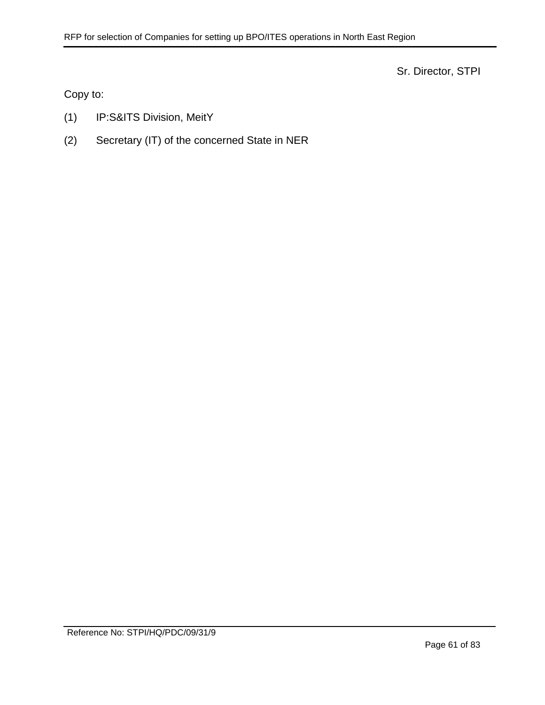Sr. Director, STPI

Copy to:

- (1) IP:S&ITS Division, MeitY
- (2) Secretary (IT) of the concerned State in NER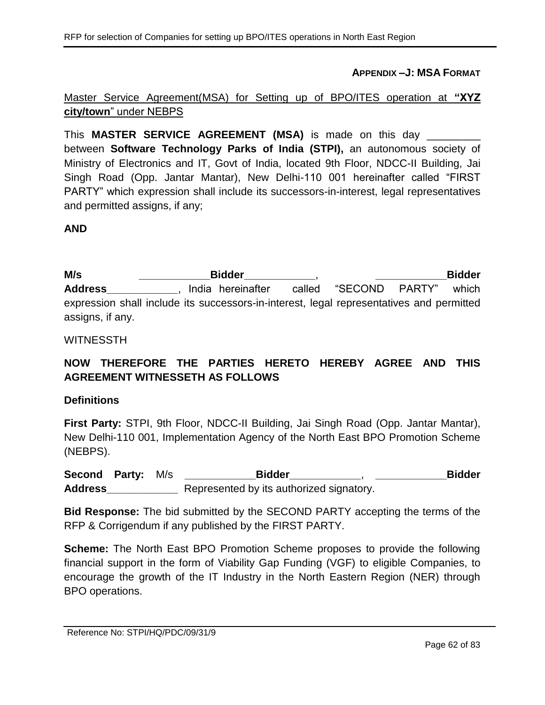**APPENDIX –J: MSA FORMAT**

# Master Service Agreement(MSA) for Setting up of BPO/ITES operation at **"XYZ city/town**" under NEBPS

This **MASTER SERVICE AGREEMENT (MSA)** is made on this day \_\_\_\_\_\_\_\_\_ between **Software Technology Parks of India (STPI),** an autonomous society of Ministry of Electronics and IT, Govt of India, located 9th Floor, NDCC-II Building, Jai Singh Road (Opp. Jantar Mantar), New Delhi-110 001 hereinafter called "FIRST PARTY" which expression shall include its successors-in-interest, legal representatives and permitted assigns, if any;

### **AND**

**M/s \_\_\_\_\_\_\_\_\_\_\_\_Bidder\_\_\_\_\_\_\_\_\_\_\_\_**, **\_\_\_\_\_\_\_\_\_\_\_\_Bidder**  Address **Address** , India hereinafter called "SECOND PARTY" which expression shall include its successors-in-interest, legal representatives and permitted assigns, if any.

#### WITNESSTH

# **NOW THEREFORE THE PARTIES HERETO HEREBY AGREE AND THIS AGREEMENT WITNESSETH AS FOLLOWS**

#### **Definitions**

**First Party:** STPI, 9th Floor, NDCC-II Building, Jai Singh Road (Opp. Jantar Mantar), New Delhi-110 001, Implementation Agency of the North East BPO Promotion Scheme (NEBPS).

**Second Party:** M/s **\_\_\_\_\_\_\_\_\_\_\_\_Bidder\_\_\_\_\_\_\_\_\_\_\_\_**, **\_\_\_\_\_\_\_\_\_\_\_\_Bidder Address\_\_\_\_\_\_\_\_\_\_\_\_** Represented by its authorized signatory.

**Bid Response:** The bid submitted by the SECOND PARTY accepting the terms of the RFP & Corrigendum if any published by the FIRST PARTY.

**Scheme:** The North East BPO Promotion Scheme proposes to provide the following financial support in the form of Viability Gap Funding (VGF) to eligible Companies, to encourage the growth of the IT Industry in the North Eastern Region (NER) through BPO operations.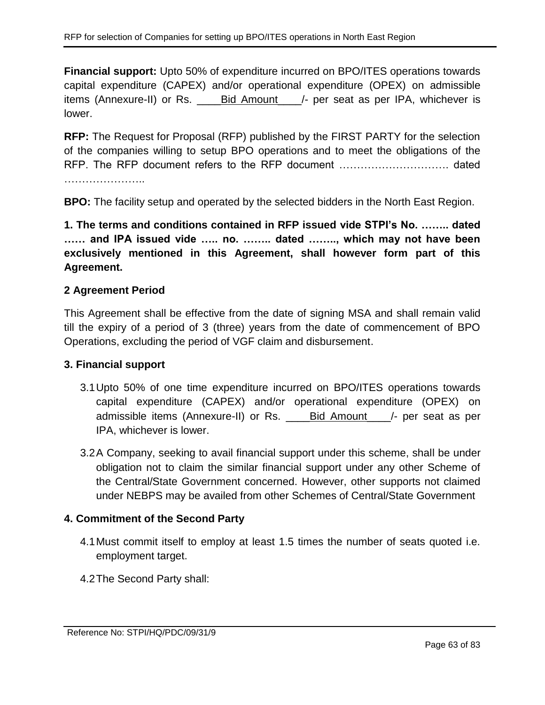**Financial support:** Upto 50% of expenditure incurred on BPO/ITES operations towards capital expenditure (CAPEX) and/or operational expenditure (OPEX) on admissible items (Annexure-II) or Rs. \_\_\_\_Bid Amount\_\_\_\_/- per seat as per IPA, whichever is lower.

**RFP:** The Request for Proposal (RFP) published by the FIRST PARTY for the selection of the companies willing to setup BPO operations and to meet the obligations of the RFP. The RFP document refers to the RFP document …………………………. dated

**BPO:** The facility setup and operated by the selected bidders in the North East Region.

**1. The terms and conditions contained in RFP issued vide STPI's No. …….. dated …… and IPA issued vide ….. no. …….. dated …….., which may not have been exclusively mentioned in this Agreement, shall however form part of this Agreement.**

## **2 Agreement Period**

This Agreement shall be effective from the date of signing MSA and shall remain valid till the expiry of a period of 3 (three) years from the date of commencement of BPO Operations, excluding the period of VGF claim and disbursement.

### **3. Financial support**

- 3.1Upto 50% of one time expenditure incurred on BPO/ITES operations towards capital expenditure (CAPEX) and/or operational expenditure (OPEX) on admissible items (Annexure-II) or Rs. \_\_\_\_\_Bid Amount\_\_\_\_/- per seat as per IPA, whichever is lower.
- 3.2A Company, seeking to avail financial support under this scheme, shall be under obligation not to claim the similar financial support under any other Scheme of the Central/State Government concerned. However, other supports not claimed under NEBPS may be availed from other Schemes of Central/State Government

# **4. Commitment of the Second Party**

- 4.1Must commit itself to employ at least 1.5 times the number of seats quoted i.e. employment target.
- 4.2The Second Party shall: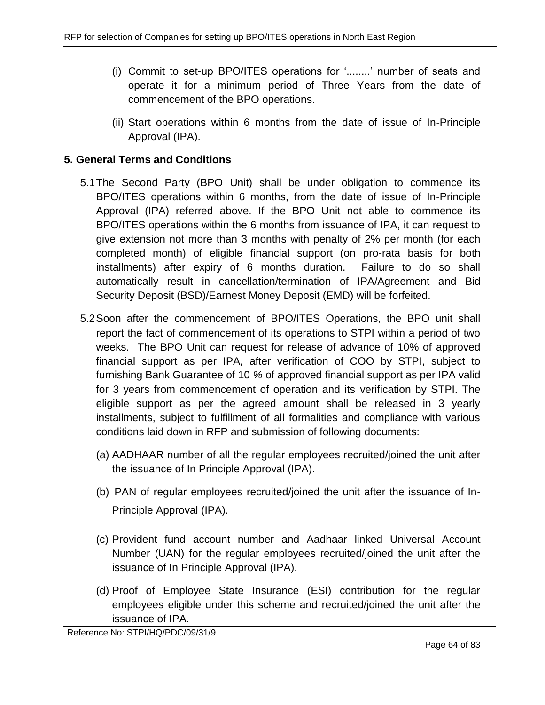- (i) Commit to set-up BPO/ITES operations for '........' number of seats and operate it for a minimum period of Three Years from the date of commencement of the BPO operations.
- (ii) Start operations within 6 months from the date of issue of In-Principle Approval (IPA).

# **5. General Terms and Conditions**

- 5.1The Second Party (BPO Unit) shall be under obligation to commence its BPO/ITES operations within 6 months, from the date of issue of In-Principle Approval (IPA) referred above. If the BPO Unit not able to commence its BPO/ITES operations within the 6 months from issuance of IPA, it can request to give extension not more than 3 months with penalty of 2% per month (for each completed month) of eligible financial support (on pro-rata basis for both installments) after expiry of 6 months duration. Failure to do so shall automatically result in cancellation/termination of IPA/Agreement and Bid Security Deposit (BSD)/Earnest Money Deposit (EMD) will be forfeited.
- <span id="page-63-0"></span>5.2Soon after the commencement of BPO/ITES Operations, the BPO unit shall report the fact of commencement of its operations to STPI within a period of two weeks. The BPO Unit can request for release of advance of 10% of approved financial support as per IPA, after verification of COO by STPI, subject to furnishing Bank Guarantee of 10 *%* of approved financial support as per IPA valid for 3 years from commencement of operation and its verification by STPI. The eligible support as per the agreed amount shall be released in 3 yearly installments, subject to fulfillment of all formalities and compliance with various conditions laid down in RFP and submission of following documents:
	- (a) AADHAAR number of all the regular employees recruited/joined the unit after the issuance of In Principle Approval (IPA).
	- (b) PAN of regular employees recruited/joined the unit after the issuance of In-Principle Approval (IPA).
	- (c) Provident fund account number and Aadhaar linked Universal Account Number (UAN) for the regular employees recruited/joined the unit after the issuance of In Principle Approval (IPA).
	- (d) Proof of Employee State Insurance (ESI) contribution for the regular employees eligible under this scheme and recruited/joined the unit after the issuance of IPA.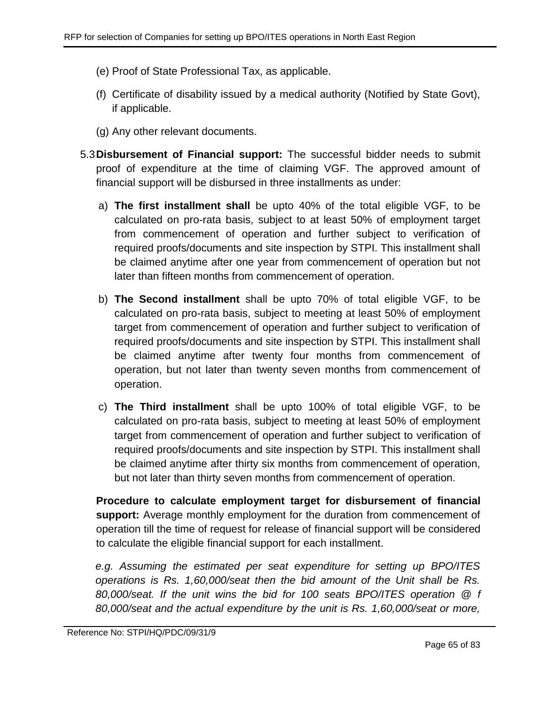- (e) Proof of State Professional Tax, as applicable.
- (f) Certificate of disability issued by a medical authority (Notified by State Govt), if applicable.
- (g) Any other relevant documents.
- 5.3**Disbursement of Financial support:** The successful bidder needs to submit proof of expenditure at the time of claiming VGF. The approved amount of financial support will be disbursed in three installments as under:
	- a) **The first installment shall** be upto 40% of the total eligible VGF, to be calculated on pro-rata basis, subject to at least 50% of employment target from commencement of operation and further subject to verification of required proofs/documents and site inspection by STPI. This installment shall be claimed anytime after one year from commencement of operation but not later than fifteen months from commencement of operation.
	- b) **The Second installment** shall be upto 70% of total eligible VGF, to be calculated on pro-rata basis, subject to meeting at least 50% of employment target from commencement of operation and further subject to verification of required proofs/documents and site inspection by STPI. This installment shall be claimed anytime after twenty four months from commencement of operation, but not later than twenty seven months from commencement of operation.
	- c) **The Third installment** shall be upto 100% of total eligible VGF, to be calculated on pro-rata basis, subject to meeting at least 50% of employment target from commencement of operation and further subject to verification of required proofs/documents and site inspection by STPI. This installment shall be claimed anytime after thirty six months from commencement of operation, but not later than thirty seven months from commencement of operation.

**Procedure to calculate employment target for disbursement of financial support:** Average monthly employment for the duration from commencement of operation till the time of request for release of financial support will be considered to calculate the eligible financial support for each installment.

*e.g. Assuming the estimated per seat expenditure for setting up BPO/ITES operations is Rs. 1,60,000/seat then the bid amount of the Unit shall be Rs. 80,000/seat. If the unit wins the bid for 100 seats BPO/ITES operation @ f 80,000/seat and the actual expenditure by the unit is Rs. 1,60,000/seat or more,*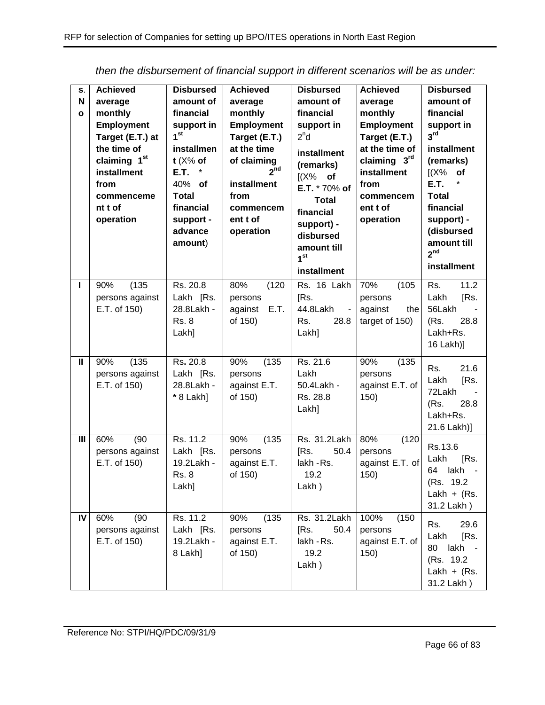| S.<br>N<br>$\mathbf{o}$ | <b>Achieved</b><br>average<br>monthly<br><b>Employment</b><br>Target (E.T.) at<br>the time of<br>claiming 1 <sup>st</sup><br>installment<br>from<br>commenceme<br>nt t of<br>operation | <b>Disbursed</b><br>amount of<br>financial<br>support in<br>1 <sup>st</sup><br>installmen<br>$t$ (X% of<br>E.T.<br>40% of<br><b>Total</b><br>financial<br>support -<br>advance<br>amount) | <b>Achieved</b><br>average<br>monthly<br><b>Employment</b><br>Target (E.T.)<br>at the time<br>of claiming<br>2 <sup>nd</sup><br>installment<br>from<br>commencem<br>ent t of<br>operation | <b>Disbursed</b><br>amount of<br>financial<br>support in<br>2 <sup>n</sup> d<br>installment<br>(remarks)<br>$[(X\%$ of<br>E.T. * 70% of<br><b>Total</b><br>financial<br>support) -<br>disbursed<br>amount till<br>1 <sup>st</sup><br>installment | <b>Achieved</b><br>average<br>monthly<br><b>Employment</b><br>Target (E.T.)<br>at the time of<br>claiming 3rd<br>installment<br>from<br>commencem<br>ent t of<br>operation | <b>Disbursed</b><br>amount of<br>financial<br>support in<br>3 <sup>rd</sup><br>installment<br>(remarks)<br>$[(X\%$ of<br>*<br>E.T.<br><b>Total</b><br>financial<br>support) -<br>(disbursed<br>amount till<br>2 <sup>nd</sup><br>installment |
|-------------------------|----------------------------------------------------------------------------------------------------------------------------------------------------------------------------------------|-------------------------------------------------------------------------------------------------------------------------------------------------------------------------------------------|-------------------------------------------------------------------------------------------------------------------------------------------------------------------------------------------|--------------------------------------------------------------------------------------------------------------------------------------------------------------------------------------------------------------------------------------------------|----------------------------------------------------------------------------------------------------------------------------------------------------------------------------|----------------------------------------------------------------------------------------------------------------------------------------------------------------------------------------------------------------------------------------------|
| L                       | (135)<br>90%<br>persons against<br>E.T. of 150)                                                                                                                                        | Rs. 20.8<br>Lakh [Rs.<br>28.8Lakh -<br><b>Rs. 8</b><br>Lakh]                                                                                                                              | 80%<br>(120)<br>persons<br>against<br>E.T.<br>of 150)                                                                                                                                     | Rs. 16 Lakh<br>[Rs.<br>44.8Lakh<br>$\blacksquare$<br>28.8<br>Rs.<br>Lakh]                                                                                                                                                                        | 70%<br>(105)<br>persons<br>against<br>the<br>target of 150)                                                                                                                | 11.2<br>Rs.<br>Lakh<br>[Rs.<br>56Lakh<br>(Rs.<br>28.8<br>Lakh+Rs.<br>16 Lakh)]                                                                                                                                                               |
| Ш                       | (135)<br>90%<br>persons against<br>E.T. of 150)                                                                                                                                        | Rs. 20.8<br>Lakh [Rs.<br>28.8Lakh -<br>* 8 Lakh]                                                                                                                                          | 90%<br>(135)<br>persons<br>against E.T.<br>of 150)                                                                                                                                        | Rs. 21.6<br>Lakh<br>50.4Lakh -<br>Rs. 28.8<br>Lakh]                                                                                                                                                                                              | 90%<br>(135)<br>persons<br>against E.T. of<br>150)                                                                                                                         | 21.6<br>Rs.<br>Lakh<br>[Rs.<br>72Lakh<br>28.8<br>(Rs.<br>Lakh+Rs.<br>21.6 Lakh)]                                                                                                                                                             |
| III                     | (90)<br>60%<br>persons against<br>E.T. of 150)                                                                                                                                         | Rs. 11.2<br>Lakh [Rs.<br>19.2Lakh -<br><b>Rs. 8</b><br>Lakh]                                                                                                                              | 90%<br>(135)<br>persons<br>against E.T.<br>of 150)                                                                                                                                        | Rs. 31.2Lakh<br>[Rs.<br>50.4<br>lakh - Rs.<br>19.2<br>Lakh)                                                                                                                                                                                      | 80%<br>(120)<br>persons<br>against E.T. of<br>150)                                                                                                                         | Rs.13.6<br>Lakh<br>[Rs.<br>lakh<br>64<br>(Rs. 19.2)<br>Lakh + $(Rs.$<br>31.2 Lakh)                                                                                                                                                           |
| IV                      | 60%<br>(90)<br>persons against<br>E.T. of 150)                                                                                                                                         | Rs. 11.2<br>Lakh [Rs.<br>19.2Lakh -<br>8 Lakh]                                                                                                                                            | (135)<br>90%<br>persons<br>against E.T.<br>of 150)                                                                                                                                        | Rs. 31.2Lakh<br>50.4<br>[Rs.<br>lakh - Rs.<br>19.2<br>Lakh)                                                                                                                                                                                      | 100%<br>(150)<br>persons<br>against E.T. of<br>150)                                                                                                                        | 29.6<br>Rs.<br>Lakh<br>[Rs.<br>80<br>lakh<br>(Rs. 19.2)<br>Lakh + $(Rs.$<br>31.2 Lakh)                                                                                                                                                       |

*then the disbursement of financial support in different scenarios will be as under:*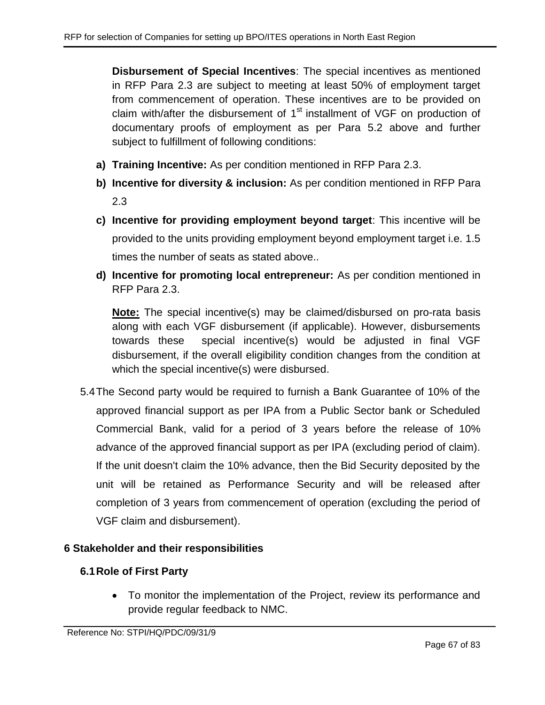**Disbursement of Special Incentives**: The special incentives as mentioned in RFP Para [2.3](#page-6-0) are subject to meeting at least 50% of employment target from commencement of operation. These incentives are to be provided on claim with/after the disbursement of  $1<sup>st</sup>$  installment of VGF on production of documentary proofs of employment as per Para [5.2](#page-63-0) above and further subject to fulfillment of following conditions:

- **a) Training Incentive:** As per condition mentioned in RFP Para [2.3.](#page-6-0)
- **b) Incentive for diversity & inclusion:** As per condition mentioned in RFP Para [2.3](#page-6-0)
- **c) Incentive for providing employment beyond target**: This incentive will be provided to the units providing employment beyond employment target i.e. 1.5 times the number of seats as stated above..
- **d) Incentive for promoting local entrepreneur:** As per condition mentioned in RFP Para [2.3.](#page-6-0)

**Note:** The special incentive(s) may be claimed/disbursed on pro-rata basis along with each VGF disbursement (if applicable). However, disbursements towards these special incentive(s) would be adjusted in final VGF disbursement, if the overall eligibility condition changes from the condition at which the special incentive(s) were disbursed.

5.4The Second party would be required to furnish a Bank Guarantee of 10% of the approved financial support as per IPA from a Public Sector bank or Scheduled Commercial Bank, valid for a period of 3 years before the release of 10% advance of the approved financial support as per IPA (excluding period of claim). If the unit doesn't claim the 10% advance, then the Bid Security deposited by the unit will be retained as Performance Security and will be released after completion of 3 years from commencement of operation (excluding the period of VGF claim and disbursement).

# **6 Stakeholder and their responsibilities**

# **6.1Role of First Party**

 To monitor the implementation of the Project, review its performance and provide regular feedback to NMC.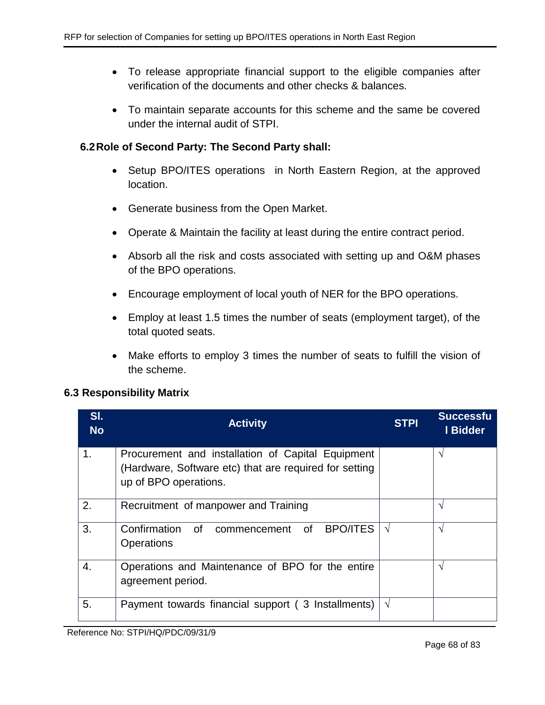- To release appropriate financial support to the eligible companies after verification of the documents and other checks & balances.
- To maintain separate accounts for this scheme and the same be covered under the internal audit of STPI.

## **6.2Role of Second Party: The Second Party shall:**

- Setup BPO/ITES operations in North Eastern Region, at the approved location.
- Generate business from the Open Market.
- Operate & Maintain the facility at least during the entire contract period.
- Absorb all the risk and costs associated with setting up and O&M phases of the BPO operations.
- Encourage employment of local youth of NER for the BPO operations.
- Employ at least 1.5 times the number of seats (employment target), of the total quoted seats.
- Make efforts to employ 3 times the number of seats to fulfill the vision of the scheme.

### **6.3 Responsibility Matrix**

| SI.<br><b>No</b> | <b>Activity</b>                                        | <b>STPI</b> | <b>Successfu</b><br>I Bidder |
|------------------|--------------------------------------------------------|-------------|------------------------------|
| 1.               | Procurement and installation of Capital Equipment      |             | ٦                            |
|                  | (Hardware, Software etc) that are required for setting |             |                              |
|                  | up of BPO operations.                                  |             |                              |
| 2.               | Recruitment of manpower and Training                   |             | انه                          |
| 3.               | Confirmation of commencement of<br><b>BPO/ITES</b>     |             | ٦                            |
|                  |                                                        | $\sqrt{ }$  |                              |
|                  | <b>Operations</b>                                      |             |                              |
| 4.               | Operations and Maintenance of BPO for the entire       |             | $\mathcal{N}$                |
|                  | agreement period.                                      |             |                              |
|                  |                                                        |             |                              |
| 5.               | Payment towards financial support (3 Installments)     | V           |                              |
|                  |                                                        |             |                              |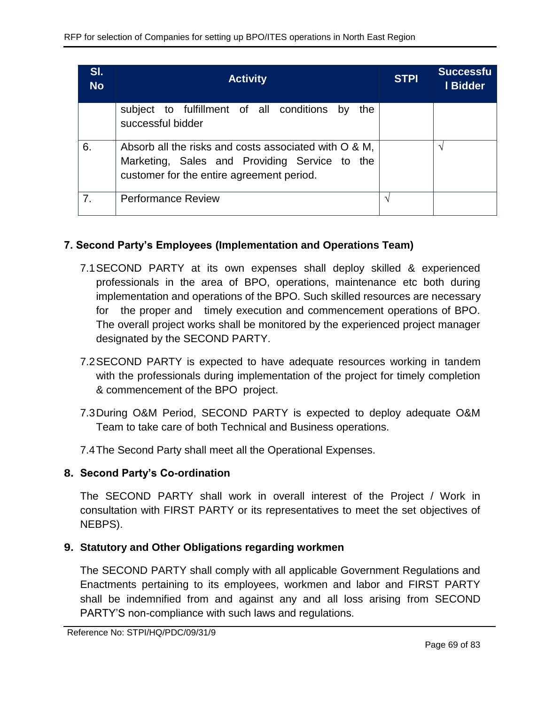| SI.<br><b>No</b> | <b>Activity</b>                                                                                                                                     | <b>STPI</b> | <b>Successfu</b><br>I Bidder |
|------------------|-----------------------------------------------------------------------------------------------------------------------------------------------------|-------------|------------------------------|
|                  | subject to fulfillment of all conditions by<br>the<br>successful bidder                                                                             |             |                              |
| 6.               | Absorb all the risks and costs associated with O & M,<br>Marketing, Sales and Providing Service to the<br>customer for the entire agreement period. |             | ٦                            |
| 7.               | <b>Performance Review</b>                                                                                                                           |             |                              |

# **7. Second Party's Employees (Implementation and Operations Team)**

- 7.1SECOND PARTY at its own expenses shall deploy skilled & experienced professionals in the area of BPO, operations, maintenance etc both during implementation and operations of the BPO. Such skilled resources are necessary for the proper and timely execution and commencement operations of BPO. The overall project works shall be monitored by the experienced project manager designated by the SECOND PARTY.
- 7.2SECOND PARTY is expected to have adequate resources working in tandem with the professionals during implementation of the project for timely completion & commencement of the BPO project.
- 7.3During O&M Period, SECOND PARTY is expected to deploy adequate O&M Team to take care of both Technical and Business operations.
- 7.4The Second Party shall meet all the Operational Expenses.

# **8. Second Party's Co-ordination**

The SECOND PARTY shall work in overall interest of the Project / Work in consultation with FIRST PARTY or its representatives to meet the set objectives of NEBPS).

# **9. Statutory and Other Obligations regarding workmen**

The SECOND PARTY shall comply with all applicable Government Regulations and Enactments pertaining to its employees, workmen and labor and FIRST PARTY shall be indemnified from and against any and all loss arising from SECOND PARTY'S non-compliance with such laws and regulations.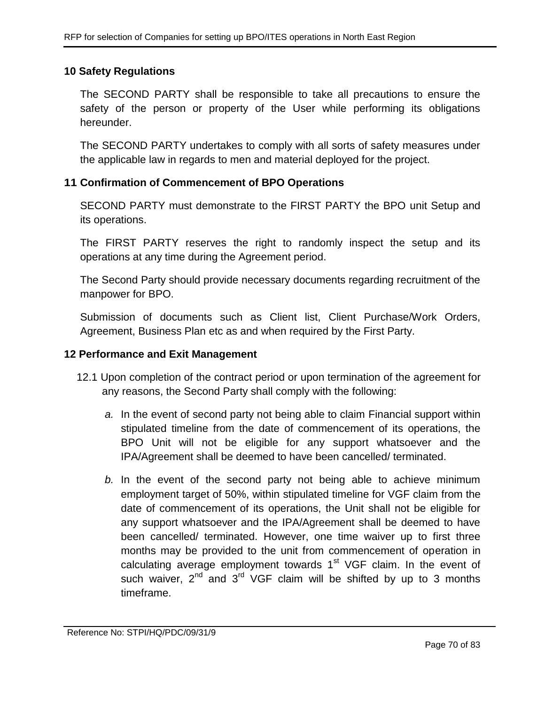### **10 Safety Regulations**

The SECOND PARTY shall be responsible to take all precautions to ensure the safety of the person or property of the User while performing its obligations hereunder.

The SECOND PARTY undertakes to comply with all sorts of safety measures under the applicable law in regards to men and material deployed for the project.

### **11 Confirmation of Commencement of BPO Operations**

SECOND PARTY must demonstrate to the FIRST PARTY the BPO unit Setup and its operations.

The FIRST PARTY reserves the right to randomly inspect the setup and its operations at any time during the Agreement period.

The Second Party should provide necessary documents regarding recruitment of the manpower for BPO.

Submission of documents such as Client list, Client Purchase/Work Orders, Agreement, Business Plan etc as and when required by the First Party.

### **12 Performance and Exit Management**

- 12.1 Upon completion of the contract period or upon termination of the agreement for any reasons, the Second Party shall comply with the following:
	- *a.* In the event of second party not being able to claim Financial support within stipulated timeline from the date of commencement of its operations, the BPO Unit will not be eligible for any support whatsoever and the IPA/Agreement shall be deemed to have been cancelled/ terminated.
	- *b.* In the event of the second party not being able to achieve minimum employment target of 50%, within stipulated timeline for VGF claim from the date of commencement of its operations, the Unit shall not be eligible for any support whatsoever and the IPA/Agreement shall be deemed to have been cancelled/ terminated. However, one time waiver up to first three months may be provided to the unit from commencement of operation in calculating average employment towards  $1<sup>st</sup> VGF$  claim. In the event of such waiver,  $2^{nd}$  and  $3^{rd}$  VGF claim will be shifted by up to 3 months timeframe.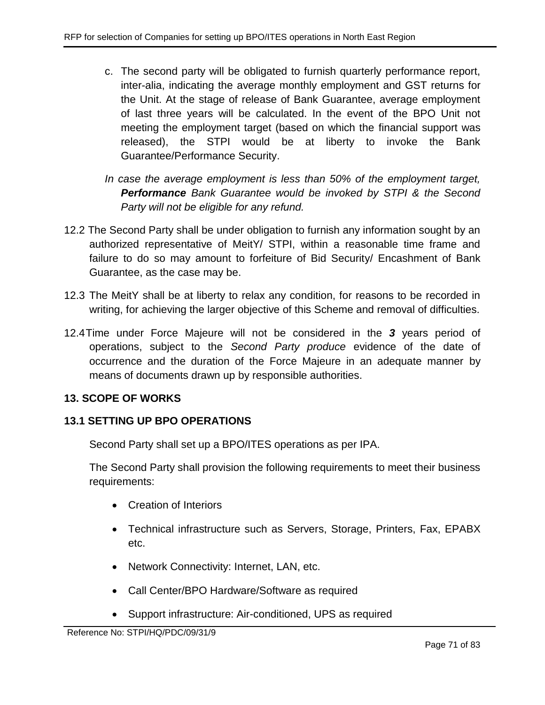- c. The second party will be obligated to furnish quarterly performance report, inter-alia, indicating the average monthly employment and GST returns for the Unit. At the stage of release of Bank Guarantee, average employment of last three years will be calculated. In the event of the BPO Unit not meeting the employment target (based on which the financial support was released), the STPI would be at liberty to invoke the Bank Guarantee/Performance Security.
- *In case the average employment is less than 50% of the employment target, Performance Bank Guarantee would be invoked by STPI & the Second Party will not be eligible for any refund.*
- 12.2 The Second Party shall be under obligation to furnish any information sought by an authorized representative of MeitY/ STPI, within a reasonable time frame and failure to do so may amount to forfeiture of Bid Security/ Encashment of Bank Guarantee, as the case may be.
- 12.3 The MeitY shall be at liberty to relax any condition, for reasons to be recorded in writing, for achieving the larger objective of this Scheme and removal of difficulties.
- 12.4Time under Force Majeure will not be considered in the *3* years period of operations, subject to the *Second Party produce* evidence of the date of occurrence and the duration of the Force Majeure in an adequate manner by means of documents drawn up by responsible authorities.

# **13. SCOPE OF WORKS**

# **13.1 SETTING UP BPO OPERATIONS**

Second Party shall set up a BPO/ITES operations as per IPA.

The Second Party shall provision the following requirements to meet their business requirements:

- Creation of Interiors
- Technical infrastructure such as Servers, Storage, Printers, Fax, EPABX etc.
- Network Connectivity: Internet, LAN, etc.
- Call Center/BPO Hardware/Software as required
- Support infrastructure: Air-conditioned, UPS as required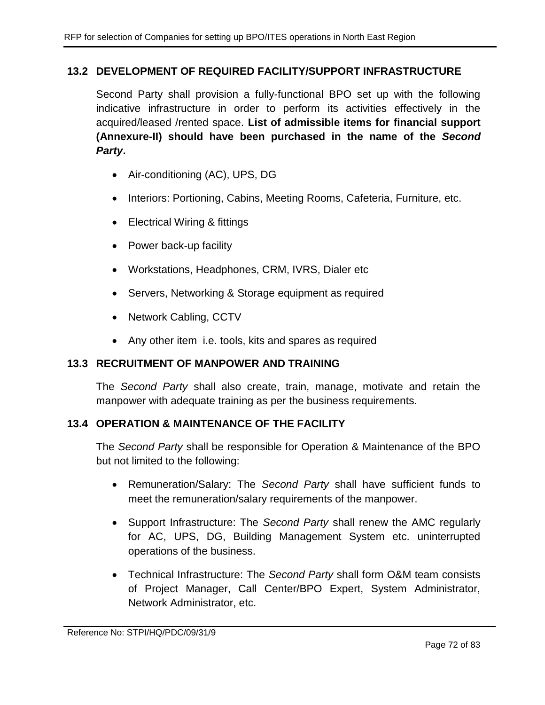# **13.2 DEVELOPMENT OF REQUIRED FACILITY/SUPPORT INFRASTRUCTURE**

Second Party shall provision a fully-functional BPO set up with the following indicative infrastructure in order to perform its activities effectively in the acquired/leased /rented space. **List of admissible items for financial support (Annexure-II) should have been purchased in the name of the** *Second Party***.**

- Air-conditioning (AC), UPS, DG
- Interiors: Portioning, Cabins, Meeting Rooms, Cafeteria, Furniture, etc.
- Electrical Wiring & fittings
- Power back-up facility
- Workstations, Headphones, CRM, IVRS, Dialer etc
- Servers, Networking & Storage equipment as required
- Network Cabling, CCTV
- Any other item i.e. tools, kits and spares as required

### **13.3 RECRUITMENT OF MANPOWER AND TRAINING**

The *Second Party* shall also create, train, manage, motivate and retain the manpower with adequate training as per the business requirements.

# **13.4 OPERATION & MAINTENANCE OF THE FACILITY**

The *Second Party* shall be responsible for Operation & Maintenance of the BPO but not limited to the following:

- Remuneration/Salary: The *Second Party* shall have sufficient funds to meet the remuneration/salary requirements of the manpower.
- Support Infrastructure: The *Second Party* shall renew the AMC regularly for AC, UPS, DG, Building Management System etc. uninterrupted operations of the business.
- Technical Infrastructure: The *Second Party* shall form O&M team consists of Project Manager, Call Center/BPO Expert, System Administrator, Network Administrator, etc.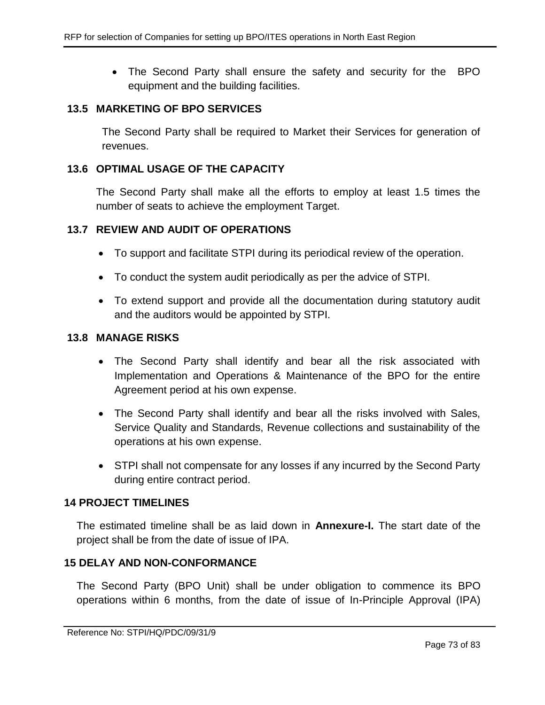The Second Party shall ensure the safety and security for the BPO equipment and the building facilities.

#### **13.5 MARKETING OF BPO SERVICES**

The Second Party shall be required to Market their Services for generation of revenues.

#### **13.6 OPTIMAL USAGE OF THE CAPACITY**

The Second Party shall make all the efforts to employ at least 1.5 times the number of seats to achieve the employment Target.

#### **13.7 REVIEW AND AUDIT OF OPERATIONS**

- To support and facilitate STPI during its periodical review of the operation.
- To conduct the system audit periodically as per the advice of STPI.
- To extend support and provide all the documentation during statutory audit and the auditors would be appointed by STPI.

#### **13.8 MANAGE RISKS**

- The Second Party shall identify and bear all the risk associated with Implementation and Operations & Maintenance of the BPO for the entire Agreement period at his own expense.
- The Second Party shall identify and bear all the risks involved with Sales, Service Quality and Standards, Revenue collections and sustainability of the operations at his own expense.
- STPI shall not compensate for any losses if any incurred by the Second Party during entire contract period.

#### **14 PROJECT TIMELINES**

The estimated timeline shall be as laid down in **Annexure-I.** The start date of the project shall be from the date of issue of IPA.

### **15 DELAY AND NON-CONFORMANCE**

The Second Party (BPO Unit) shall be under obligation to commence its BPO operations within 6 months, from the date of issue of In-Principle Approval (IPA)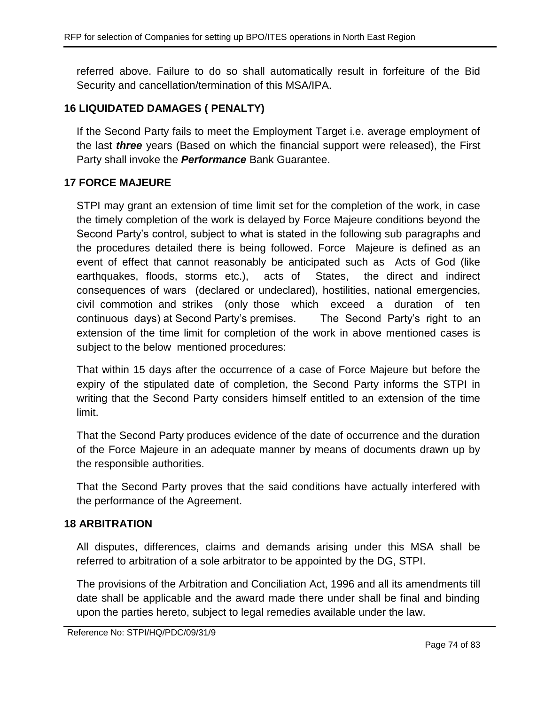referred above. Failure to do so shall automatically result in forfeiture of the Bid Security and cancellation/termination of this MSA/IPA.

# **16 LIQUIDATED DAMAGES ( PENALTY)**

If the Second Party fails to meet the Employment Target i.e. average employment of the last *three* years (Based on which the financial support were released), the First Party shall invoke the *Performance* Bank Guarantee.

# **17 FORCE MAJEURE**

STPI may grant an extension of time limit set for the completion of the work, in case the timely completion of the work is delayed by Force Majeure conditions beyond the Second Party's control, subject to what is stated in the following sub paragraphs and the procedures detailed there is being followed. Force Majeure is defined as an event of effect that cannot reasonably be anticipated such as Acts of God (like earthquakes, floods, storms etc.), acts of States, the direct and indirect consequences of wars (declared or undeclared), hostilities, national emergencies, civil commotion and strikes (only those which exceed a duration of ten continuous days) at Second Party's premises. The Second Party's right to an extension of the time limit for completion of the work in above mentioned cases is subject to the below mentioned procedures:

That within 15 days after the occurrence of a case of Force Majeure but before the expiry of the stipulated date of completion, the Second Party informs the STPI in writing that the Second Party considers himself entitled to an extension of the time limit.

That the Second Party produces evidence of the date of occurrence and the duration of the Force Majeure in an adequate manner by means of documents drawn up by the responsible authorities.

That the Second Party proves that the said conditions have actually interfered with the performance of the Agreement.

# **18 ARBITRATION**

All disputes, differences, claims and demands arising under this MSA shall be referred to arbitration of a sole arbitrator to be appointed by the DG, STPI.

The provisions of the Arbitration and Conciliation Act, 1996 and all its amendments till date shall be applicable and the award made there under shall be final and binding upon the parties hereto, subject to legal remedies available under the law.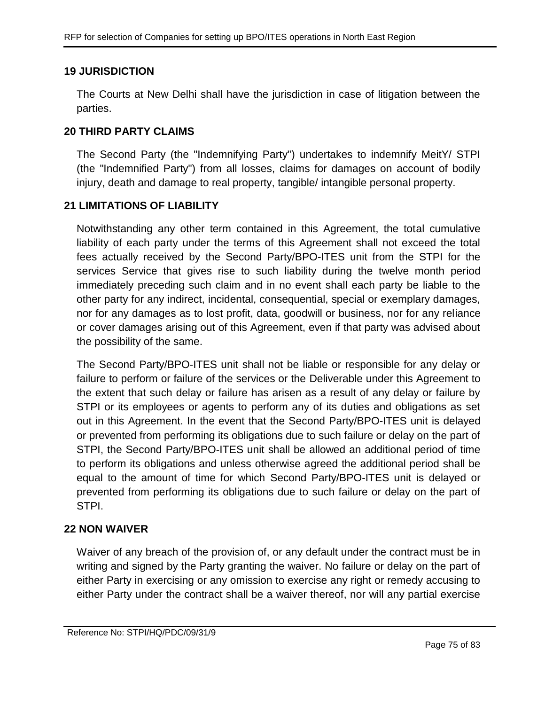# **19 JURISDICTION**

The Courts at New Delhi shall have the jurisdiction in case of litigation between the parties.

## **20 THIRD PARTY CLAIMS**

The Second Party (the "Indemnifying Party") undertakes to indemnify MeitY/ STPI (the "Indemnified Party") from all losses, claims for damages on account of bodily injury, death and damage to real property, tangible/ intangible personal property.

## **21 LIMITATIONS OF LIABILITY**

Notwithstanding any other term contained in this Agreement, the total cumulative liability of each party under the terms of this Agreement shall not exceed the total fees actually received by the Second Party/BPO-ITES unit from the STPI for the services Service that gives rise to such liability during the twelve month period immediately preceding such claim and in no event shall each party be liable to the other party for any indirect, incidental, consequential, special or exemplary damages, nor for any damages as to lost profit, data, goodwill or business, nor for any reliance or cover damages arising out of this Agreement, even if that party was advised about the possibility of the same.

The Second Party/BPO-ITES unit shall not be liable or responsible for any delay or failure to perform or failure of the services or the Deliverable under this Agreement to the extent that such delay or failure has arisen as a result of any delay or failure by STPI or its employees or agents to perform any of its duties and obligations as set out in this Agreement. In the event that the Second Party/BPO-ITES unit is delayed or prevented from performing its obligations due to such failure or delay on the part of STPI, the Second Party/BPO-ITES unit shall be allowed an additional period of time to perform its obligations and unless otherwise agreed the additional period shall be equal to the amount of time for which Second Party/BPO-ITES unit is delayed or prevented from performing its obligations due to such failure or delay on the part of STPI.

# **22 NON WAIVER**

Waiver of any breach of the provision of, or any default under the contract must be in writing and signed by the Party granting the waiver. No failure or delay on the part of either Party in exercising or any omission to exercise any right or remedy accusing to either Party under the contract shall be a waiver thereof, nor will any partial exercise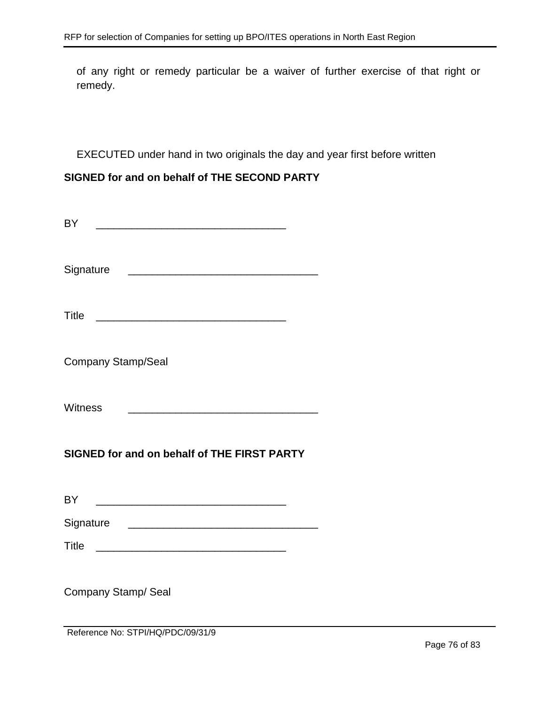of any right or remedy particular be a waiver of further exercise of that right or remedy.

EXECUTED under hand in two originals the day and year first before written

# **SIGNED for and on behalf of THE SECOND PARTY**

| <b>BY</b><br><u> 1989 - Jan James James Barbara, martxa a shekara 1980 - 1981 - 1982 - 1983 - 1984 - 1986 - 1986 - 1986 - 198</u>       |  |  |  |
|-----------------------------------------------------------------------------------------------------------------------------------------|--|--|--|
| Signature                                                                                                                               |  |  |  |
| <b>Title</b><br><u> 1980 - Johann Barn, fransk politik fotograf (d. 1980)</u>                                                           |  |  |  |
| <b>Company Stamp/Seal</b>                                                                                                               |  |  |  |
| <b>Witness</b><br><u> 1989 - Johann Barn, mars ann an t-Amhain Aonaich an t-Aonaich an t-Aonaich an t-Aonaich an t-Aonaich an t-Aon</u> |  |  |  |
| SIGNED for and on behalf of THE FIRST PARTY                                                                                             |  |  |  |
| <b>BY</b>                                                                                                                               |  |  |  |
|                                                                                                                                         |  |  |  |
| Signature <b>Example 2018</b> Signature <b>Contract Contract 2018</b>                                                                   |  |  |  |
|                                                                                                                                         |  |  |  |
| Company Stamp/ Seal<br>Reference No: STPI/HQ/PDC/09/31/9                                                                                |  |  |  |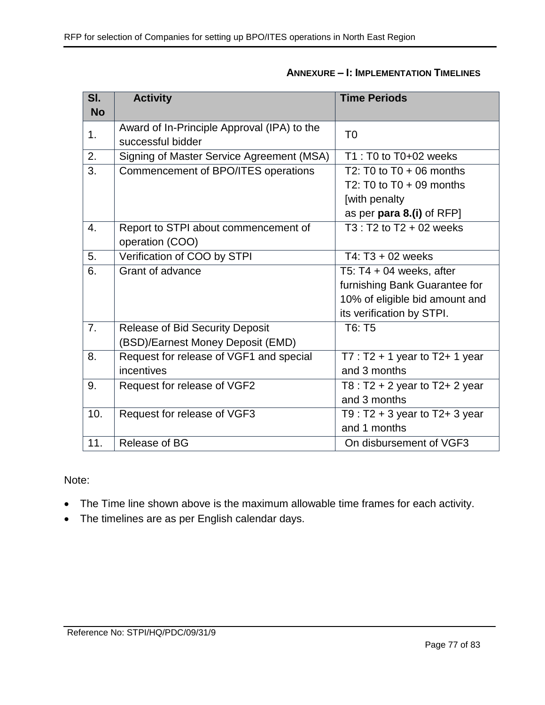| $\overline{\mathsf{SI}.}$ | <b>Activity</b>                             | <b>Time Periods</b>                 |
|---------------------------|---------------------------------------------|-------------------------------------|
| <b>No</b>                 |                                             |                                     |
| 1.                        | Award of In-Principle Approval (IPA) to the | T <sub>0</sub>                      |
|                           | successful bidder                           |                                     |
| 2.                        | Signing of Master Service Agreement (MSA)   | $T1: T0 to T0+02$ weeks             |
| $\overline{3}$ .          | Commencement of BPO/ITES operations         | T2: T0 to T0 + 06 months            |
|                           |                                             | T2: T0 to $T0 + 09$ months          |
|                           |                                             | [with penalty                       |
|                           |                                             | as per para 8.(i) of RFP]           |
| 4.                        | Report to STPI about commencement of        | $T3: T2$ to $T2 + 02$ weeks         |
|                           | operation (COO)                             |                                     |
| $\overline{5}$ .          | Verification of COO by STPI                 | T4: T3 + 02 weeks                   |
| 6.                        | Grant of advance                            | T5: T4 + 04 weeks, after            |
|                           |                                             | furnishing Bank Guarantee for       |
|                           |                                             | 10% of eligible bid amount and      |
|                           |                                             | its verification by STPI.           |
| $\overline{7}$ .          | <b>Release of Bid Security Deposit</b>      | T6: T5                              |
|                           | (BSD)/Earnest Money Deposit (EMD)           |                                     |
| 8.                        | Request for release of VGF1 and special     | $T7: T2 + 1$ year to T2+ 1 year     |
|                           | incentives                                  | and 3 months                        |
| 9.                        | Request for release of VGF2                 | T8 : $T2 + 2$ year to $T2 + 2$ year |
|                           |                                             | and 3 months                        |
| 10.                       | Request for release of VGF3                 | T9 : $T2 + 3$ year to $T2 + 3$ year |
|                           |                                             | and 1 months                        |
| 11.                       | Release of BG                               | On disbursement of VGF3             |

# **ANNEXURE – I: IMPLEMENTATION TIMELINES**

Note:

- The Time line shown above is the maximum allowable time frames for each activity.
- The timelines are as per English calendar days.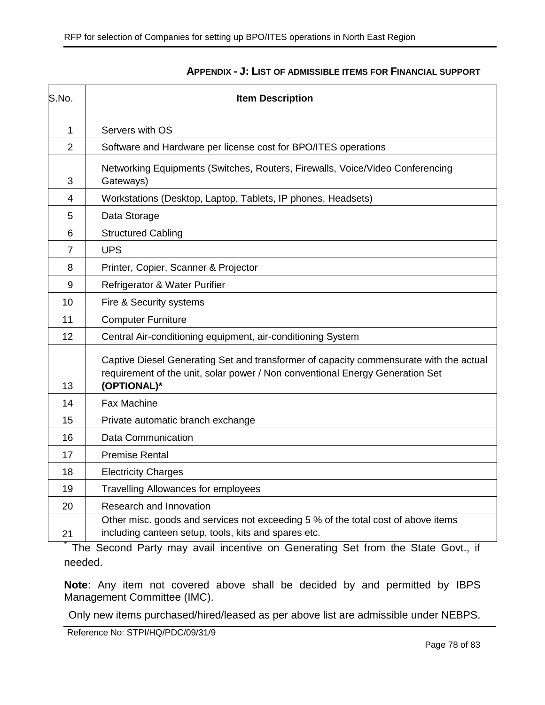| S.No.          | <b>Item Description</b>                                                                                                                                                                |  |
|----------------|----------------------------------------------------------------------------------------------------------------------------------------------------------------------------------------|--|
| 1              | Servers with OS                                                                                                                                                                        |  |
| $\overline{2}$ | Software and Hardware per license cost for BPO/ITES operations                                                                                                                         |  |
| 3              | Networking Equipments (Switches, Routers, Firewalls, Voice/Video Conferencing<br>Gateways)                                                                                             |  |
| 4              | Workstations (Desktop, Laptop, Tablets, IP phones, Headsets)                                                                                                                           |  |
| 5              | Data Storage                                                                                                                                                                           |  |
| 6              | <b>Structured Cabling</b>                                                                                                                                                              |  |
| $\overline{7}$ | <b>UPS</b>                                                                                                                                                                             |  |
| 8              | Printer, Copier, Scanner & Projector                                                                                                                                                   |  |
| 9              | Refrigerator & Water Purifier                                                                                                                                                          |  |
| 10             | Fire & Security systems                                                                                                                                                                |  |
| 11             | <b>Computer Furniture</b>                                                                                                                                                              |  |
| 12             | Central Air-conditioning equipment, air-conditioning System                                                                                                                            |  |
| 13             | Captive Diesel Generating Set and transformer of capacity commensurate with the actual<br>requirement of the unit, solar power / Non conventional Energy Generation Set<br>(OPTIONAL)* |  |
| 14             | <b>Fax Machine</b>                                                                                                                                                                     |  |
| 15             | Private automatic branch exchange                                                                                                                                                      |  |
| 16             | <b>Data Communication</b>                                                                                                                                                              |  |
| 17             | <b>Premise Rental</b>                                                                                                                                                                  |  |
| 18             | <b>Electricity Charges</b>                                                                                                                                                             |  |
| 19             | <b>Travelling Allowances for employees</b>                                                                                                                                             |  |
| 20             | Research and Innovation                                                                                                                                                                |  |
| 21             | Other misc. goods and services not exceeding 5 % of the total cost of above items<br>including canteen setup, tools, kits and spares etc.                                              |  |

#### **APPENDIX - J: LIST OF ADMISSIBLE ITEMS FOR FINANCIAL SUPPORT**

\* The Second Party may avail incentive on Generating Set from the State Govt., if needed.

**Note**: Any item not covered above shall be decided by and permitted by IBPS Management Committee (IMC).

Only new items purchased/hired/leased as per above list are admissible under NEBPS.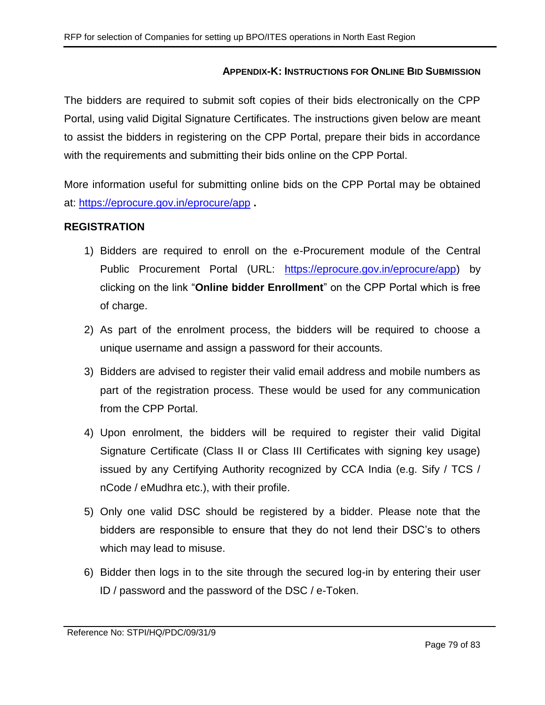### **APPENDIX-K: INSTRUCTIONS FOR ONLINE BID SUBMISSION**

The bidders are required to submit soft copies of their bids electronically on the CPP Portal, using valid Digital Signature Certificates. The instructions given below are meant to assist the bidders in registering on the CPP Portal, prepare their bids in accordance with the requirements and submitting their bids online on the CPP Portal.

More information useful for submitting online bids on the CPP Portal may be obtained at:<https://eprocure.gov.in/eprocure/app> **.**

### **REGISTRATION**

- 1) Bidders are required to enroll on the e-Procurement module of the Central Public Procurement Portal (URL: [https://eprocure.gov.in/eprocure/app\)](https://eprocure.gov.in/eprocure/app) by clicking on the link "**Online bidder Enrollment**" on the CPP Portal which is free of charge.
- 2) As part of the enrolment process, the bidders will be required to choose a unique username and assign a password for their accounts.
- 3) Bidders are advised to register their valid email address and mobile numbers as part of the registration process. These would be used for any communication from the CPP Portal.
- 4) Upon enrolment, the bidders will be required to register their valid Digital Signature Certificate (Class II or Class III Certificates with signing key usage) issued by any Certifying Authority recognized by CCA India (e.g. Sify / TCS / nCode / eMudhra etc.), with their profile.
- 5) Only one valid DSC should be registered by a bidder. Please note that the bidders are responsible to ensure that they do not lend their DSC's to others which may lead to misuse.
- 6) Bidder then logs in to the site through the secured log-in by entering their user ID / password and the password of the DSC / e-Token.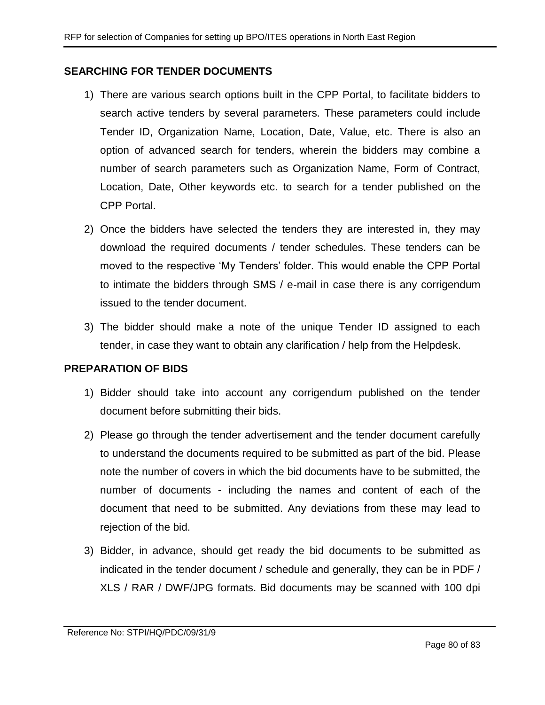### **SEARCHING FOR TENDER DOCUMENTS**

- 1) There are various search options built in the CPP Portal, to facilitate bidders to search active tenders by several parameters. These parameters could include Tender ID, Organization Name, Location, Date, Value, etc. There is also an option of advanced search for tenders, wherein the bidders may combine a number of search parameters such as Organization Name, Form of Contract, Location, Date, Other keywords etc. to search for a tender published on the CPP Portal.
- 2) Once the bidders have selected the tenders they are interested in, they may download the required documents / tender schedules. These tenders can be moved to the respective 'My Tenders' folder. This would enable the CPP Portal to intimate the bidders through SMS / e-mail in case there is any corrigendum issued to the tender document.
- 3) The bidder should make a note of the unique Tender ID assigned to each tender, in case they want to obtain any clarification / help from the Helpdesk.

### **PREPARATION OF BIDS**

- 1) Bidder should take into account any corrigendum published on the tender document before submitting their bids.
- 2) Please go through the tender advertisement and the tender document carefully to understand the documents required to be submitted as part of the bid. Please note the number of covers in which the bid documents have to be submitted, the number of documents - including the names and content of each of the document that need to be submitted. Any deviations from these may lead to rejection of the bid.
- 3) Bidder, in advance, should get ready the bid documents to be submitted as indicated in the tender document / schedule and generally, they can be in PDF / XLS / RAR / DWF/JPG formats. Bid documents may be scanned with 100 dpi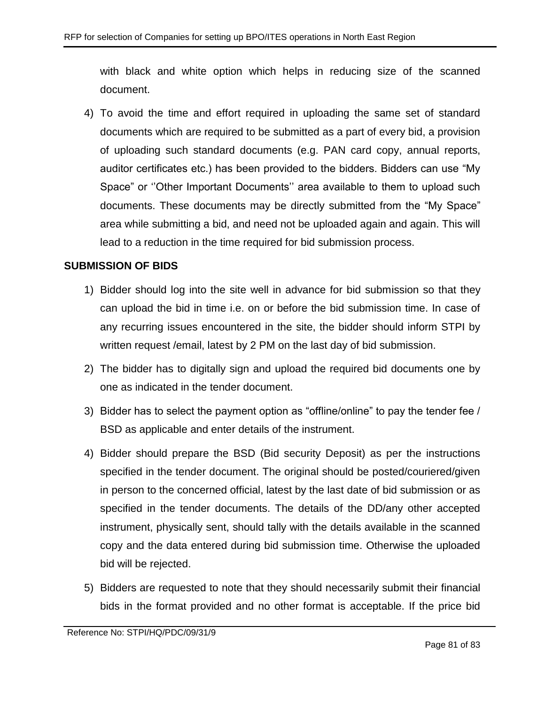with black and white option which helps in reducing size of the scanned document.

4) To avoid the time and effort required in uploading the same set of standard documents which are required to be submitted as a part of every bid, a provision of uploading such standard documents (e.g. PAN card copy, annual reports, auditor certificates etc.) has been provided to the bidders. Bidders can use "My Space" or ''Other Important Documents'' area available to them to upload such documents. These documents may be directly submitted from the "My Space" area while submitting a bid, and need not be uploaded again and again. This will lead to a reduction in the time required for bid submission process.

### **SUBMISSION OF BIDS**

- 1) Bidder should log into the site well in advance for bid submission so that they can upload the bid in time i.e. on or before the bid submission time. In case of any recurring issues encountered in the site, the bidder should inform STPI by written request /email, latest by 2 PM on the last day of bid submission.
- 2) The bidder has to digitally sign and upload the required bid documents one by one as indicated in the tender document.
- 3) Bidder has to select the payment option as "offline/online" to pay the tender fee / BSD as applicable and enter details of the instrument.
- 4) Bidder should prepare the BSD (Bid security Deposit) as per the instructions specified in the tender document. The original should be posted/couriered/given in person to the concerned official, latest by the last date of bid submission or as specified in the tender documents. The details of the DD/any other accepted instrument, physically sent, should tally with the details available in the scanned copy and the data entered during bid submission time. Otherwise the uploaded bid will be rejected.
- 5) Bidders are requested to note that they should necessarily submit their financial bids in the format provided and no other format is acceptable. If the price bid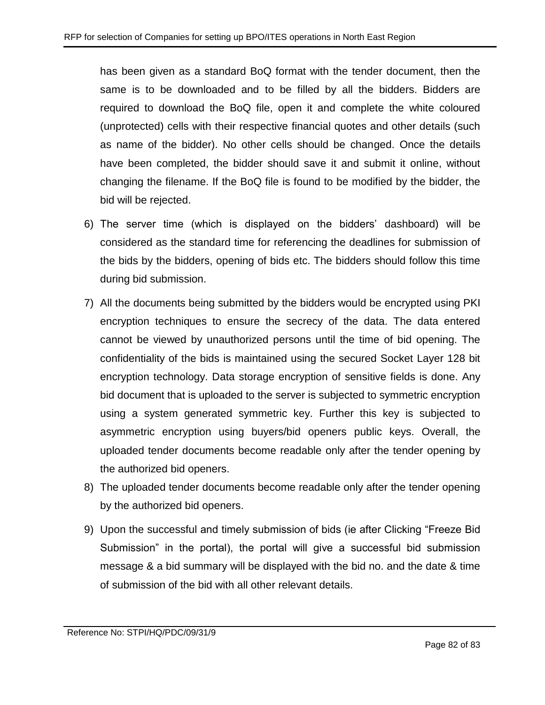has been given as a standard BoQ format with the tender document, then the same is to be downloaded and to be filled by all the bidders. Bidders are required to download the BoQ file, open it and complete the white coloured (unprotected) cells with their respective financial quotes and other details (such as name of the bidder). No other cells should be changed. Once the details have been completed, the bidder should save it and submit it online, without changing the filename. If the BoQ file is found to be modified by the bidder, the bid will be rejected.

- 6) The server time (which is displayed on the bidders' dashboard) will be considered as the standard time for referencing the deadlines for submission of the bids by the bidders, opening of bids etc. The bidders should follow this time during bid submission.
- 7) All the documents being submitted by the bidders would be encrypted using PKI encryption techniques to ensure the secrecy of the data. The data entered cannot be viewed by unauthorized persons until the time of bid opening. The confidentiality of the bids is maintained using the secured Socket Layer 128 bit encryption technology. Data storage encryption of sensitive fields is done. Any bid document that is uploaded to the server is subjected to symmetric encryption using a system generated symmetric key. Further this key is subjected to asymmetric encryption using buyers/bid openers public keys. Overall, the uploaded tender documents become readable only after the tender opening by the authorized bid openers.
- 8) The uploaded tender documents become readable only after the tender opening by the authorized bid openers.
- 9) Upon the successful and timely submission of bids (ie after Clicking "Freeze Bid Submission" in the portal), the portal will give a successful bid submission message & a bid summary will be displayed with the bid no. and the date & time of submission of the bid with all other relevant details.